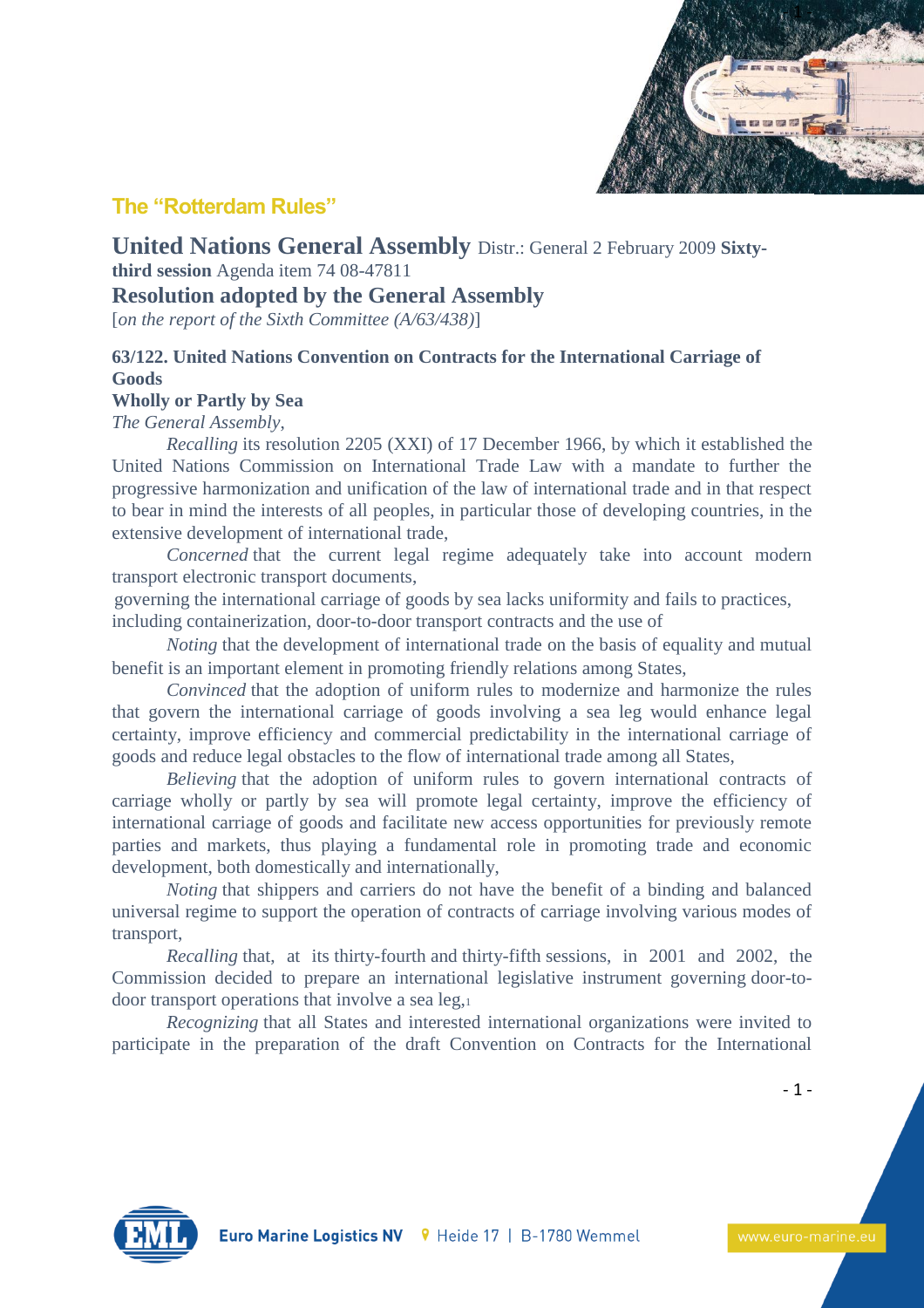

# **The "Rotterdam Rules"**

**United Nations General Assembly** Distr.: General 2 February 2009 **Sixtythird session** Agenda item 74 08-47811 **Resolution adopted by the General Assembly** [*on the report of the Sixth Committee (A/63/438)*]

# **63/122. United Nations Convention on Contracts for the International Carriage of Goods**

## **Wholly or Partly by Sea**

*The General Assembly*,

*Recalling* its resolution 2205 (XXI) of 17 December 1966, by which it established the United Nations Commission on International Trade Law with a mandate to further the progressive harmonization and unification of the law of international trade and in that respect to bear in mind the interests of all peoples, in particular those of developing countries, in the extensive development of international trade,

*Concerned* that the current legal regime adequately take into account modern transport electronic transport documents,

governing the international carriage of goods by sea lacks uniformity and fails to practices, including containerization, door-to-door transport contracts and the use of

*Noting* that the development of international trade on the basis of equality and mutual benefit is an important element in promoting friendly relations among States,

*Convinced* that the adoption of uniform rules to modernize and harmonize the rules that govern the international carriage of goods involving a sea leg would enhance legal certainty, improve efficiency and commercial predictability in the international carriage of goods and reduce legal obstacles to the flow of international trade among all States,

*Believing* that the adoption of uniform rules to govern international contracts of carriage wholly or partly by sea will promote legal certainty, improve the efficiency of international carriage of goods and facilitate new access opportunities for previously remote parties and markets, thus playing a fundamental role in promoting trade and economic development, both domestically and internationally,

*Noting* that shippers and carriers do not have the benefit of a binding and balanced universal regime to support the operation of contracts of carriage involving various modes of transport,

*Recalling* that, at its thirty-fourth and thirty-fifth sessions, in 2001 and 2002, the Commission decided to prepare an international legislative instrument governing door-todoor transport operations that involve a sea leg,<sup>1</sup>

*Recognizing* that all States and interested international organizations were invited to participate in the preparation of the draft Convention on Contracts for the International



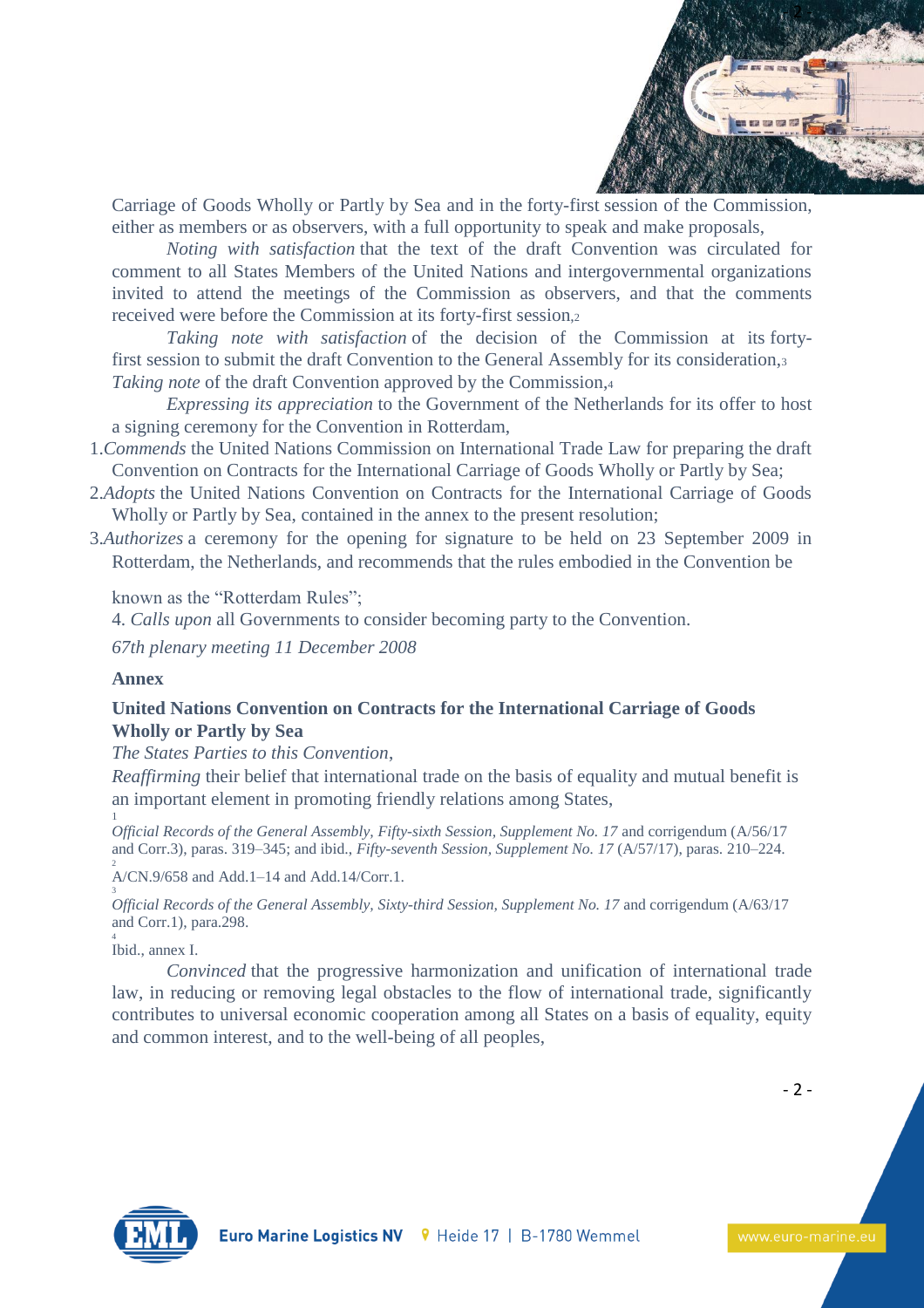

Carriage of Goods Wholly or Partly by Sea and in the forty-first session of the Commission, either as members or as observers, with a full opportunity to speak and make proposals,

*Noting with satisfaction* that the text of the draft Convention was circulated for comment to all States Members of the United Nations and intergovernmental organizations invited to attend the meetings of the Commission as observers, and that the comments received were before the Commission at its forty-first session,<sup>2</sup>

*Taking note with satisfaction* of the decision of the Commission at its fortyfirst session to submit the draft Convention to the General Assembly for its consideration,<sup>3</sup> *Taking note* of the draft Convention approved by the Commission,<sup>4</sup>

*Expressing its appreciation* to the Government of the Netherlands for its offer to host a signing ceremony for the Convention in Rotterdam,

- 1.*Commends* the United Nations Commission on International Trade Law for preparing the draft Convention on Contracts for the International Carriage of Goods Wholly or Partly by Sea;
- 2.*Adopts* the United Nations Convention on Contracts for the International Carriage of Goods Wholly or Partly by Sea, contained in the annex to the present resolution;
- 3.*Authorizes* a ceremony for the opening for signature to be held on 23 September 2009 in Rotterdam, the Netherlands, and recommends that the rules embodied in the Convention be

known as the "Rotterdam Rules";

4. *Calls upon* all Governments to consider becoming party to the Convention.

*67th plenary meeting 11 December 2008*

#### **Annex**

1

3

## **United Nations Convention on Contracts for the International Carriage of Goods Wholly or Partly by Sea**

*The States Parties to this Convention*,

*Reaffirming* their belief that international trade on the basis of equality and mutual benefit is an important element in promoting friendly relations among States,

*Official Records of the General Assembly, Fifty-sixth Session, Supplement No. 17* and corrigendum (A/56/17 and Corr.3), paras. 319–345; and ibid., *Fifty-seventh Session, Supplement No. 17* (A/57/17), paras. 210–224. 2

A/CN.9/658 and Add.1–14 and Add.14/Corr.1.

*Official Records of the General Assembly, Sixty-third Session, Supplement No. 17* and corrigendum (A/63/17 and Corr.1), para.298.

4 Ibid., annex I.

*Convinced* that the progressive harmonization and unification of international trade law, in reducing or removing legal obstacles to the flow of international trade, significantly contributes to universal economic cooperation among all States on a basis of equality, equity and common interest, and to the well-being of all peoples,

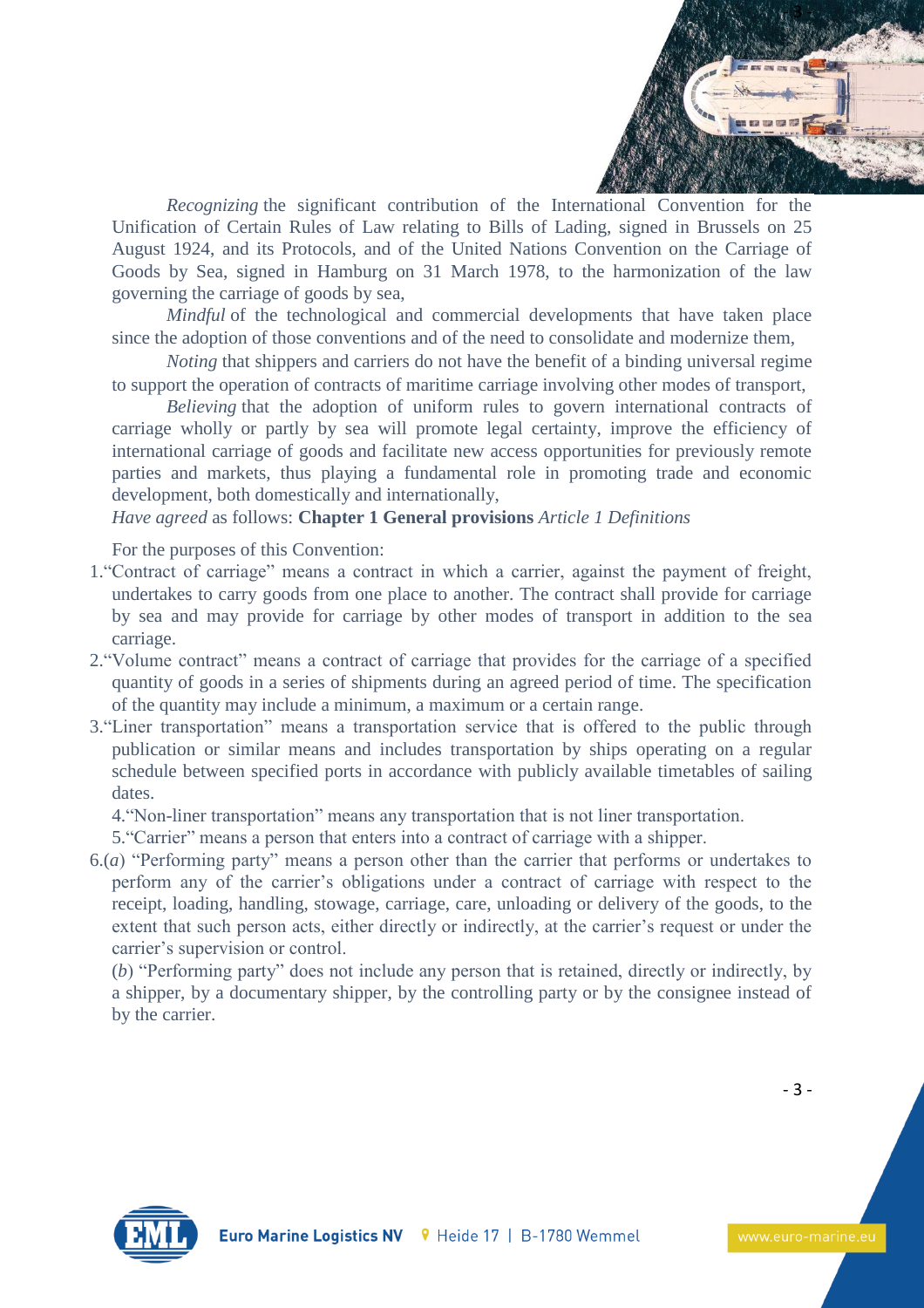

*Recognizing* the significant contribution of the International Convention for the Unification of Certain Rules of Law relating to Bills of Lading, signed in Brussels on 25 August 1924, and its Protocols, and of the United Nations Convention on the Carriage of Goods by Sea, signed in Hamburg on 31 March 1978, to the harmonization of the law governing the carriage of goods by sea,

*Mindful* of the technological and commercial developments that have taken place since the adoption of those conventions and of the need to consolidate and modernize them,

*Noting* that shippers and carriers do not have the benefit of a binding universal regime to support the operation of contracts of maritime carriage involving other modes of transport,

*Believing* that the adoption of uniform rules to govern international contracts of carriage wholly or partly by sea will promote legal certainty, improve the efficiency of international carriage of goods and facilitate new access opportunities for previously remote parties and markets, thus playing a fundamental role in promoting trade and economic development, both domestically and internationally,

*Have agreed* as follows: **Chapter 1 General provisions** *Article 1 Definitions*

For the purposes of this Convention:

- 1."Contract of carriage" means a contract in which a carrier, against the payment of freight, undertakes to carry goods from one place to another. The contract shall provide for carriage by sea and may provide for carriage by other modes of transport in addition to the sea carriage.
- 2."Volume contract" means a contract of carriage that provides for the carriage of a specified quantity of goods in a series of shipments during an agreed period of time. The specification of the quantity may include a minimum, a maximum or a certain range.
- 3."Liner transportation" means a transportation service that is offered to the public through publication or similar means and includes transportation by ships operating on a regular schedule between specified ports in accordance with publicly available timetables of sailing dates.

4."Non-liner transportation" means any transportation that is not liner transportation.

5."Carrier" means a person that enters into a contract of carriage with a shipper.

6.(*a*) "Performing party" means a person other than the carrier that performs or undertakes to perform any of the carrier's obligations under a contract of carriage with respect to the receipt, loading, handling, stowage, carriage, care, unloading or delivery of the goods, to the extent that such person acts, either directly or indirectly, at the carrier's request or under the carrier's supervision or control.

(*b*) "Performing party" does not include any person that is retained, directly or indirectly, by a shipper, by a documentary shipper, by the controlling party or by the consignee instead of by the carrier.



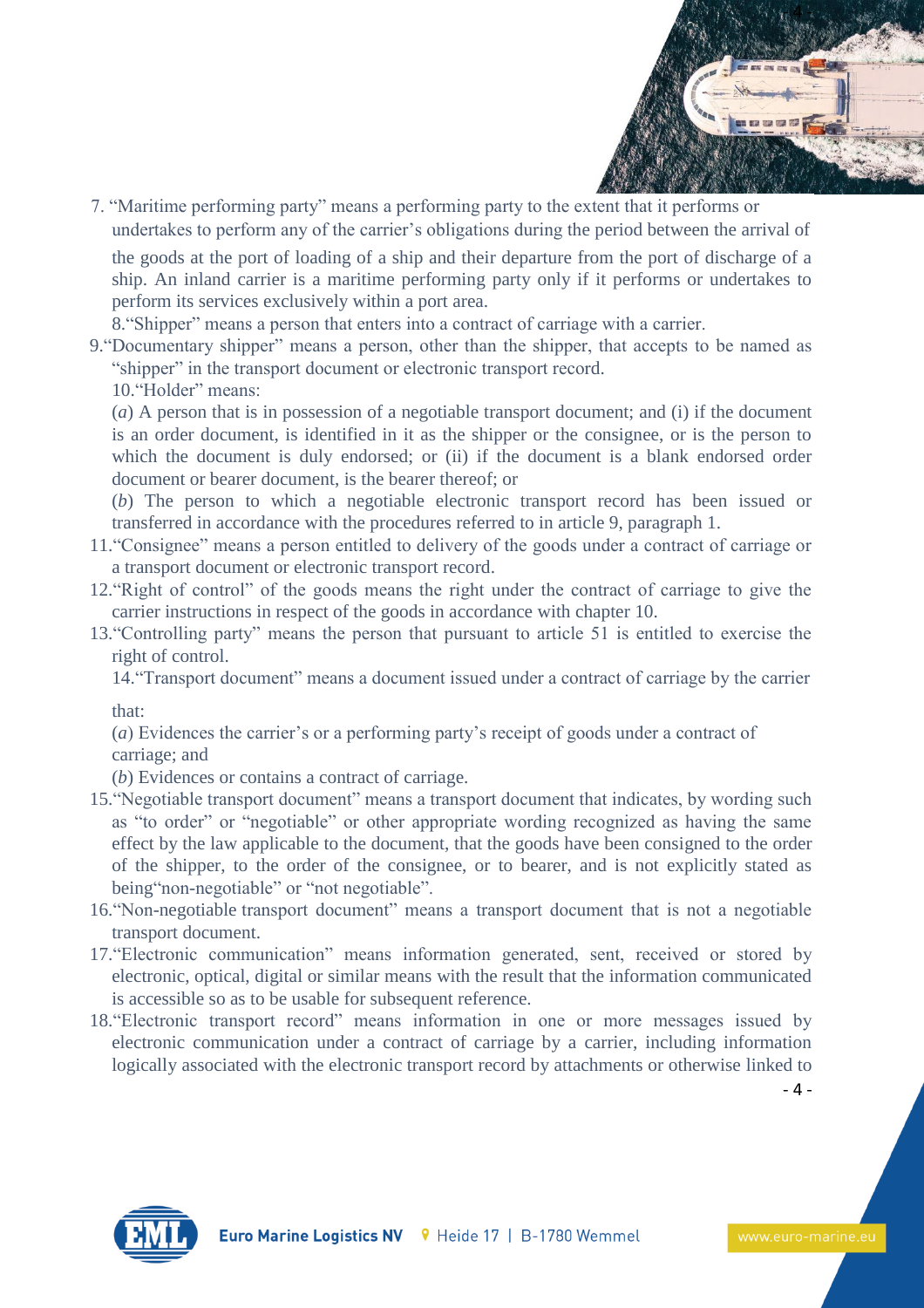

7. "Maritime performing party" means a performing party to the extent that it performs or undertakes to perform any of the carrier's obligations during the period between the arrival of

the goods at the port of loading of a ship and their departure from the port of discharge of a ship. An inland carrier is a maritime performing party only if it performs or undertakes to perform its services exclusively within a port area.

8."Shipper" means a person that enters into a contract of carriage with a carrier.

9."Documentary shipper" means a person, other than the shipper, that accepts to be named as "shipper" in the transport document or electronic transport record.

10."Holder" means:

(*a*) A person that is in possession of a negotiable transport document; and (i) if the document is an order document, is identified in it as the shipper or the consignee, or is the person to which the document is duly endorsed; or (ii) if the document is a blank endorsed order document or bearer document, is the bearer thereof; or

(*b*) The person to which a negotiable electronic transport record has been issued or transferred in accordance with the procedures referred to in article 9, paragraph 1.

- 11."Consignee" means a person entitled to delivery of the goods under a contract of carriage or a transport document or electronic transport record.
- 12."Right of control" of the goods means the right under the contract of carriage to give the carrier instructions in respect of the goods in accordance with chapter 10.
- 13."Controlling party" means the person that pursuant to article 51 is entitled to exercise the right of control.

14."Transport document" means a document issued under a contract of carriage by the carrier

that:

(*a*) Evidences the carrier's or a performing party's receipt of goods under a contract of carriage; and

(*b*) Evidences or contains a contract of carriage.

- 15."Negotiable transport document" means a transport document that indicates, by wording such as "to order" or "negotiable" or other appropriate wording recognized as having the same effect by the law applicable to the document, that the goods have been consigned to the order of the shipper, to the order of the consignee, or to bearer, and is not explicitly stated as being "non-negotiable" or "not negotiable".
- 16."Non-negotiable transport document" means a transport document that is not a negotiable transport document.
- 17."Electronic communication" means information generated, sent, received or stored by electronic, optical, digital or similar means with the result that the information communicated is accessible so as to be usable for subsequent reference.
- 18."Electronic transport record" means information in one or more messages issued by electronic communication under a contract of carriage by a carrier, including information logically associated with the electronic transport record by attachments or otherwise linked to

- 4 -

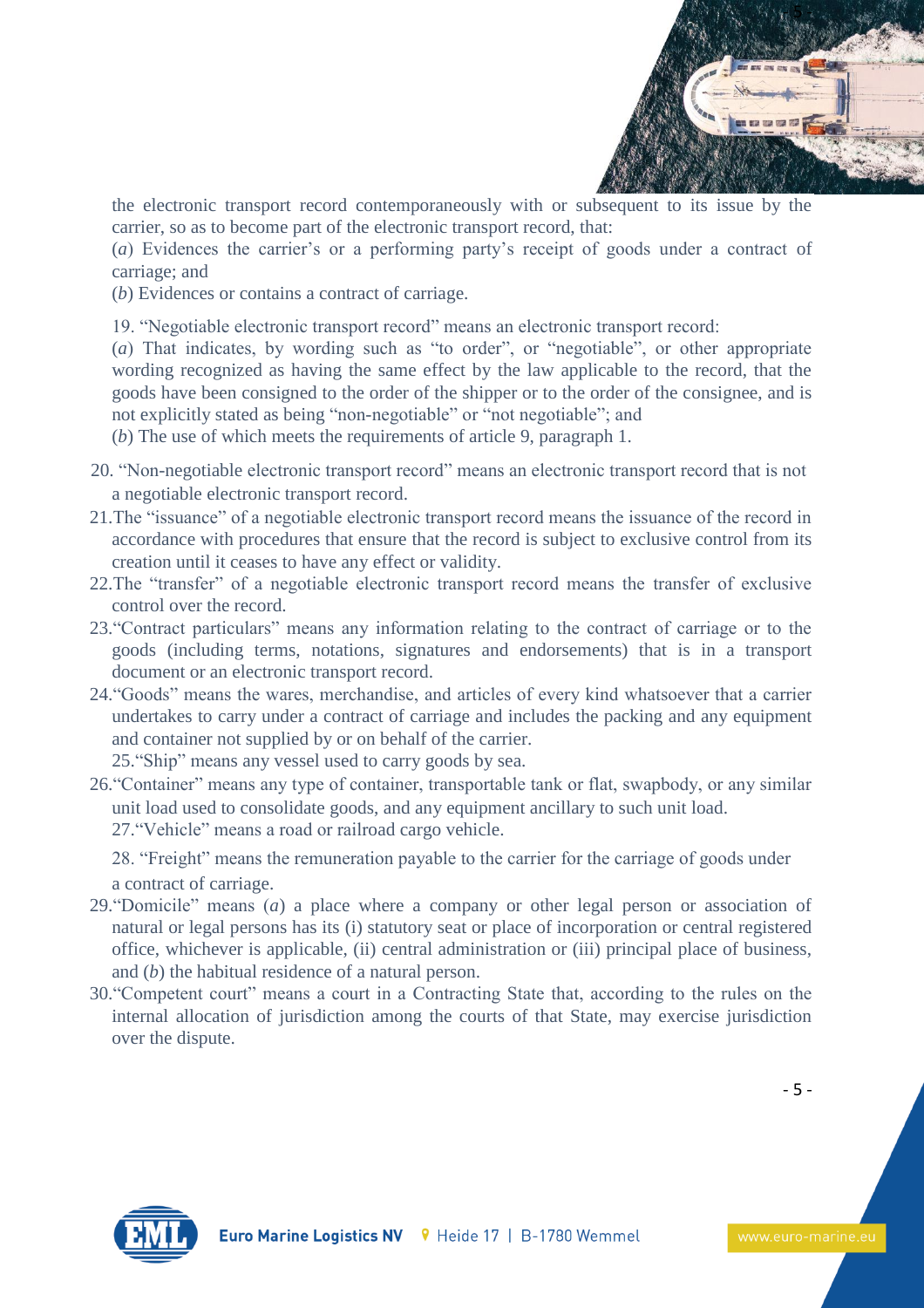

the electronic transport record contemporaneously with or subsequent to its issue by the carrier, so as to become part of the electronic transport record, that:

(*a*) Evidences the carrier's or a performing party's receipt of goods under a contract of carriage; and

(*b*) Evidences or contains a contract of carriage.

19. "Negotiable electronic transport record" means an electronic transport record:

(*a*) That indicates, by wording such as "to order", or "negotiable", or other appropriate wording recognized as having the same effect by the law applicable to the record, that the goods have been consigned to the order of the shipper or to the order of the consignee, and is not explicitly stated as being "non-negotiable" or "not negotiable"; and

(*b*) The use of which meets the requirements of article 9, paragraph 1.

- 20. "Non-negotiable electronic transport record" means an electronic transport record that is not a negotiable electronic transport record.
- 21.The "issuance" of a negotiable electronic transport record means the issuance of the record in accordance with procedures that ensure that the record is subject to exclusive control from its creation until it ceases to have any effect or validity.
- 22.The "transfer" of a negotiable electronic transport record means the transfer of exclusive control over the record.
- 23."Contract particulars" means any information relating to the contract of carriage or to the goods (including terms, notations, signatures and endorsements) that is in a transport document or an electronic transport record.
- 24."Goods" means the wares, merchandise, and articles of every kind whatsoever that a carrier undertakes to carry under a contract of carriage and includes the packing and any equipment and container not supplied by or on behalf of the carrier.

25."Ship" means any vessel used to carry goods by sea.

26."Container" means any type of container, transportable tank or flat, swapbody, or any similar unit load used to consolidate goods, and any equipment ancillary to such unit load. 27."Vehicle" means a road or railroad cargo vehicle.

28. "Freight" means the remuneration payable to the carrier for the carriage of goods under a contract of carriage.

- 29."Domicile" means (*a*) a place where a company or other legal person or association of natural or legal persons has its (i) statutory seat or place of incorporation or central registered office, whichever is applicable, (ii) central administration or (iii) principal place of business, and (*b*) the habitual residence of a natural person.
- 30."Competent court" means a court in a Contracting State that, according to the rules on the internal allocation of jurisdiction among the courts of that State, may exercise jurisdiction over the dispute.



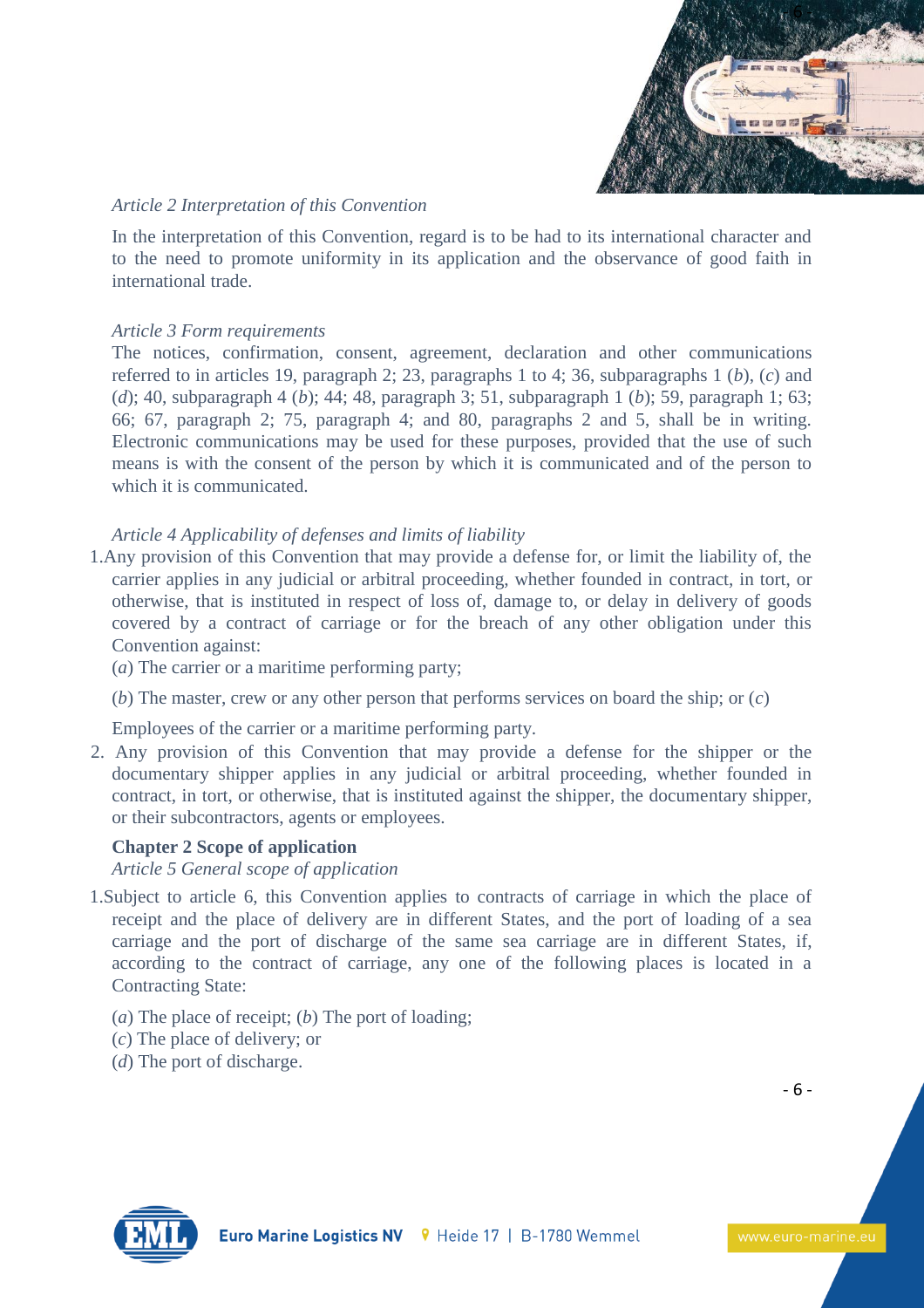

## *Article 2 Interpretation of this Convention*

In the interpretation of this Convention, regard is to be had to its international character and to the need to promote uniformity in its application and the observance of good faith in international trade.

## *Article 3 Form requirements*

The notices, confirmation, consent, agreement, declaration and other communications referred to in articles 19, paragraph 2; 23, paragraphs 1 to 4; 36, subparagraphs 1 (*b*), (*c*) and (*d*); 40, subparagraph 4 (*b*); 44; 48, paragraph 3; 51, subparagraph 1 (*b*); 59, paragraph 1; 63; 66; 67, paragraph 2; 75, paragraph 4; and 80, paragraphs 2 and 5, shall be in writing. Electronic communications may be used for these purposes, provided that the use of such means is with the consent of the person by which it is communicated and of the person to which it is communicated.

#### *Article 4 Applicability of defenses and limits of liability*

- 1.Any provision of this Convention that may provide a defense for, or limit the liability of, the carrier applies in any judicial or arbitral proceeding, whether founded in contract, in tort, or otherwise, that is instituted in respect of loss of, damage to, or delay in delivery of goods covered by a contract of carriage or for the breach of any other obligation under this Convention against:
	- (*a*) The carrier or a maritime performing party;
	- (*b*) The master, crew or any other person that performs services on board the ship; or (*c*)

Employees of the carrier or a maritime performing party.

2. Any provision of this Convention that may provide a defense for the shipper or the documentary shipper applies in any judicial or arbitral proceeding, whether founded in contract, in tort, or otherwise, that is instituted against the shipper, the documentary shipper, or their subcontractors, agents or employees.

#### **Chapter 2 Scope of application**

*Article 5 General scope of application*

- 1.Subject to article 6, this Convention applies to contracts of carriage in which the place of receipt and the place of delivery are in different States, and the port of loading of a sea carriage and the port of discharge of the same sea carriage are in different States, if, according to the contract of carriage, any one of the following places is located in a Contracting State:
	- (*a*) The place of receipt; (*b*) The port of loading;
	- (*c*) The place of delivery; or
	- (*d*) The port of discharge.

- 6 -

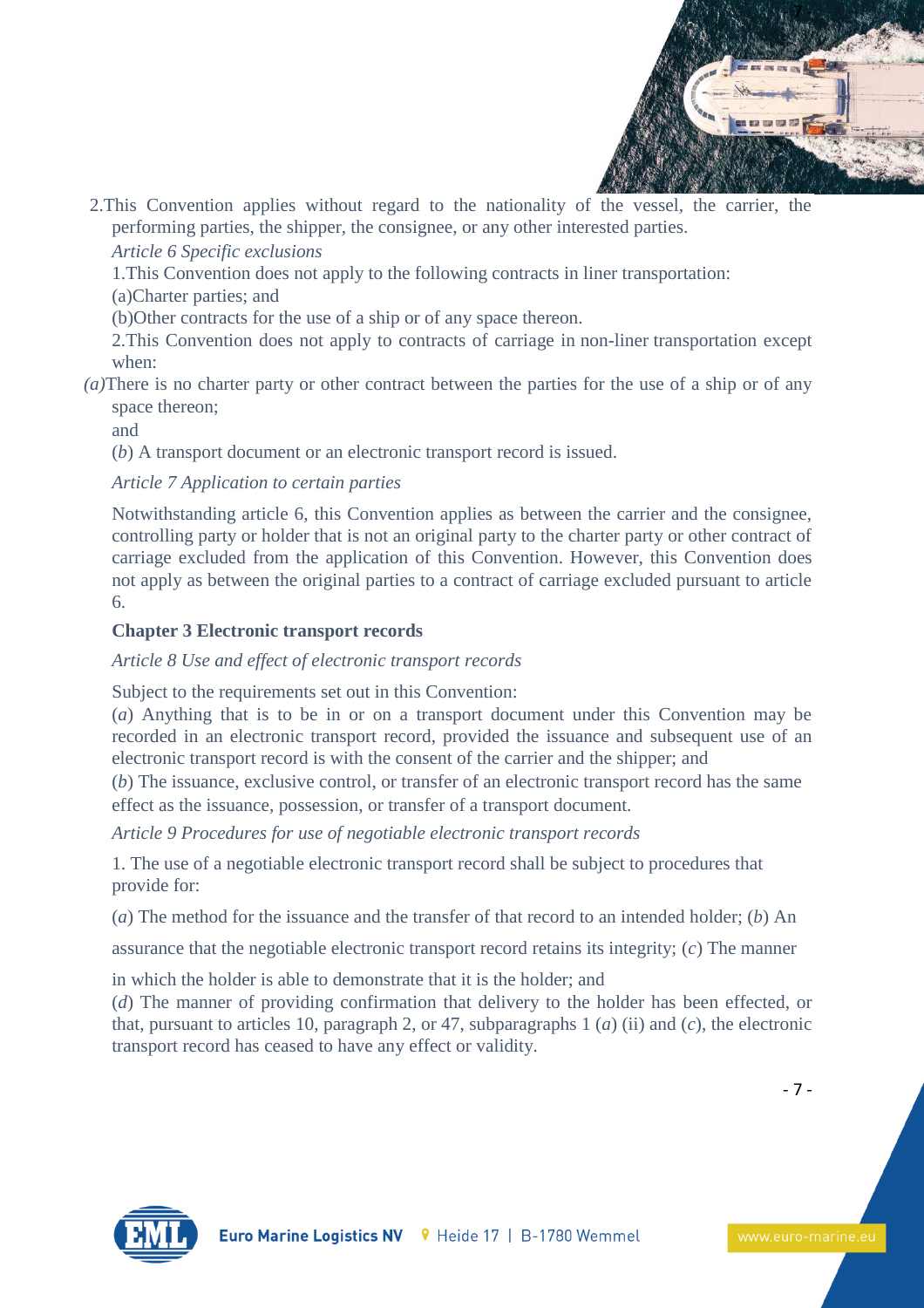

2.This Convention applies without regard to the nationality of the vessel, the carrier, the performing parties, the shipper, the consignee, or any other interested parties.

*Article 6 Specific exclusions*

1.This Convention does not apply to the following contracts in liner transportation:

(a)Charter parties; and

(b)Other contracts for the use of a ship or of any space thereon.

2.This Convention does not apply to contracts of carriage in non-liner transportation except when:

- *(a)*There is no charter party or other contract between the parties for the use of a ship or of any space thereon;
	- and

(*b*) A transport document or an electronic transport record is issued.

*Article 7 Application to certain parties*

Notwithstanding article 6, this Convention applies as between the carrier and the consignee, controlling party or holder that is not an original party to the charter party or other contract of carriage excluded from the application of this Convention. However, this Convention does not apply as between the original parties to a contract of carriage excluded pursuant to article 6.

## **Chapter 3 Electronic transport records**

*Article 8 Use and effect of electronic transport records*

Subject to the requirements set out in this Convention:

(*a*) Anything that is to be in or on a transport document under this Convention may be recorded in an electronic transport record, provided the issuance and subsequent use of an electronic transport record is with the consent of the carrier and the shipper; and

(*b*) The issuance, exclusive control, or transfer of an electronic transport record has the same effect as the issuance, possession, or transfer of a transport document.

*Article 9 Procedures for use of negotiable electronic transport records*

1. The use of a negotiable electronic transport record shall be subject to procedures that provide for:

(*a*) The method for the issuance and the transfer of that record to an intended holder; (*b*) An

assurance that the negotiable electronic transport record retains its integrity; (*c*) The manner

in which the holder is able to demonstrate that it is the holder; and

(*d*) The manner of providing confirmation that delivery to the holder has been effected, or that, pursuant to articles 10, paragraph 2, or 47, subparagraphs 1 (*a*) (ii) and (*c*), the electronic transport record has ceased to have any effect or validity.



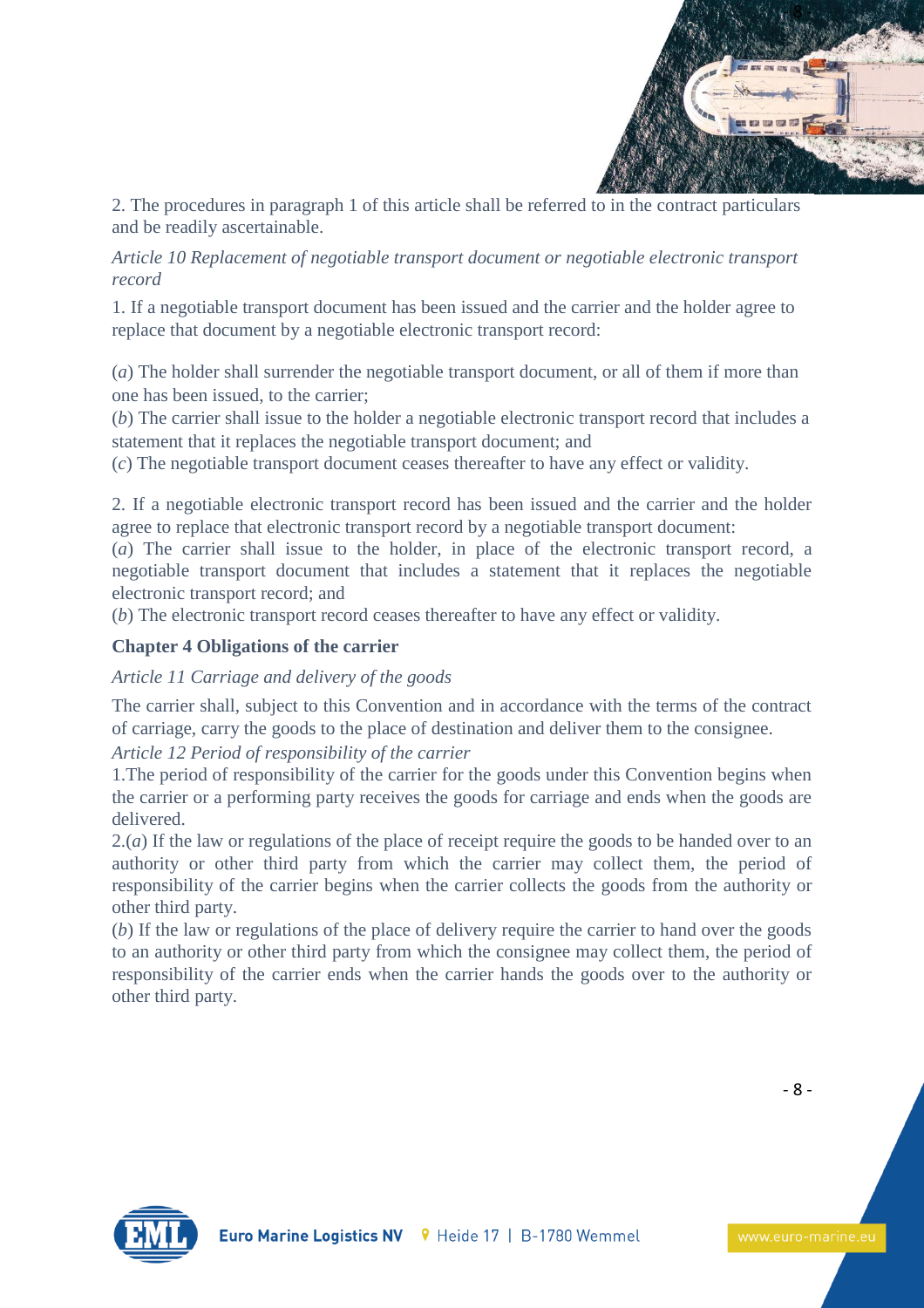

2. The procedures in paragraph 1 of this article shall be referred to in the contract particulars and be readily ascertainable.

*Article 10 Replacement of negotiable transport document or negotiable electronic transport record*

1. If a negotiable transport document has been issued and the carrier and the holder agree to replace that document by a negotiable electronic transport record:

(*a*) The holder shall surrender the negotiable transport document, or all of them if more than one has been issued, to the carrier;

(*b*) The carrier shall issue to the holder a negotiable electronic transport record that includes a statement that it replaces the negotiable transport document; and

(*c*) The negotiable transport document ceases thereafter to have any effect or validity.

2. If a negotiable electronic transport record has been issued and the carrier and the holder agree to replace that electronic transport record by a negotiable transport document:

(*a*) The carrier shall issue to the holder, in place of the electronic transport record, a negotiable transport document that includes a statement that it replaces the negotiable electronic transport record; and

(*b*) The electronic transport record ceases thereafter to have any effect or validity.

## **Chapter 4 Obligations of the carrier**

*Article 11 Carriage and delivery of the goods*

The carrier shall, subject to this Convention and in accordance with the terms of the contract of carriage, carry the goods to the place of destination and deliver them to the consignee.

*Article 12 Period of responsibility of the carrier*

1.The period of responsibility of the carrier for the goods under this Convention begins when the carrier or a performing party receives the goods for carriage and ends when the goods are delivered.

2.(*a*) If the law or regulations of the place of receipt require the goods to be handed over to an authority or other third party from which the carrier may collect them, the period of responsibility of the carrier begins when the carrier collects the goods from the authority or other third party.

(*b*) If the law or regulations of the place of delivery require the carrier to hand over the goods to an authority or other third party from which the consignee may collect them, the period of responsibility of the carrier ends when the carrier hands the goods over to the authority or other third party.

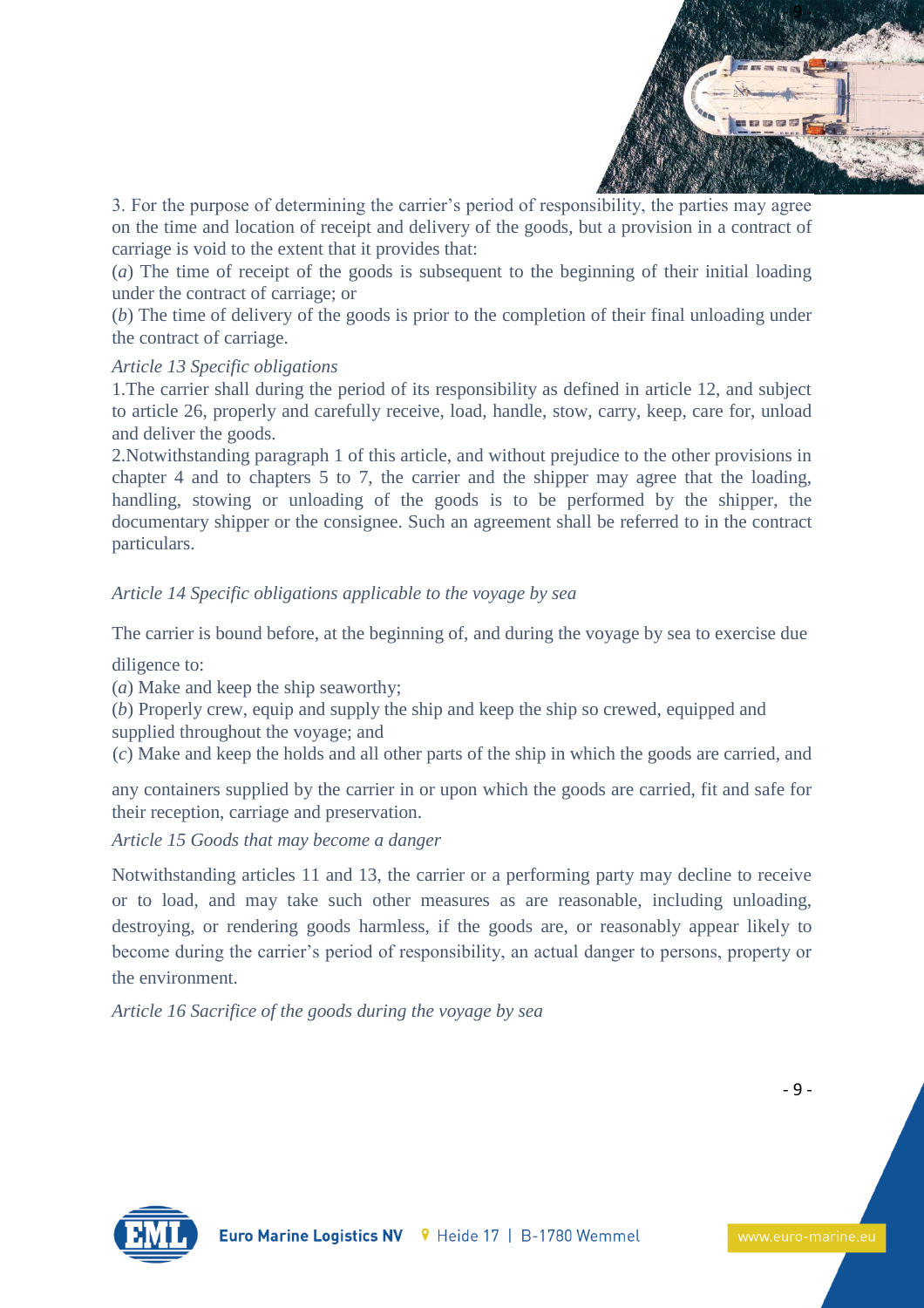

3. For the purpose of determining the carrier's period of responsibility, the parties may agree on the time and location of receipt and delivery of the goods, but a provision in a contract of carriage is void to the extent that it provides that:

(*a*) The time of receipt of the goods is subsequent to the beginning of their initial loading under the contract of carriage; or

(*b*) The time of delivery of the goods is prior to the completion of their final unloading under the contract of carriage.

## *Article 13 Specific obligations*

1.The carrier shall during the period of its responsibility as defined in article 12, and subject to article 26, properly and carefully receive, load, handle, stow, carry, keep, care for, unload and deliver the goods.

2.Notwithstanding paragraph 1 of this article, and without prejudice to the other provisions in chapter 4 and to chapters 5 to 7, the carrier and the shipper may agree that the loading, handling, stowing or unloading of the goods is to be performed by the shipper, the documentary shipper or the consignee. Such an agreement shall be referred to in the contract particulars.

## *Article 14 Specific obligations applicable to the voyage by sea*

The carrier is bound before, at the beginning of, and during the voyage by sea to exercise due

diligence to:

(*a*) Make and keep the ship seaworthy;

(*b*) Properly crew, equip and supply the ship and keep the ship so crewed, equipped and supplied throughout the voyage; and

(*c*) Make and keep the holds and all other parts of the ship in which the goods are carried, and

any containers supplied by the carrier in or upon which the goods are carried, fit and safe for their reception, carriage and preservation.

*Article 15 Goods that may become a danger*

Notwithstanding articles 11 and 13, the carrier or a performing party may decline to receive or to load, and may take such other measures as are reasonable, including unloading, destroying, or rendering goods harmless, if the goods are, or reasonably appear likely to become during the carrier's period of responsibility, an actual danger to persons, property or the environment.

*Article 16 Sacrifice of the goods during the voyage by sea*

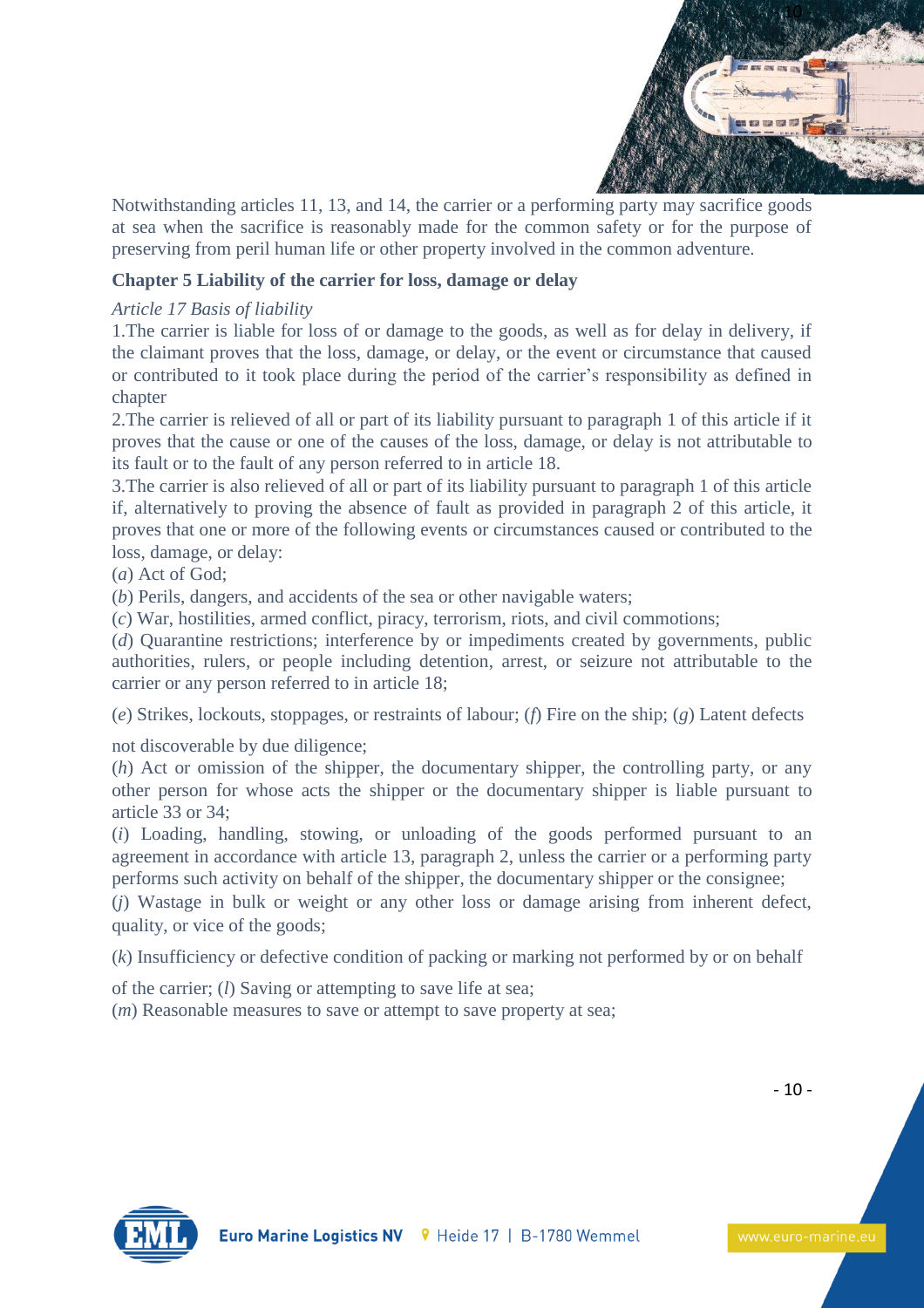

Notwithstanding articles 11, 13, and 14, the carrier or a performing party may sacrifice goods at sea when the sacrifice is reasonably made for the common safety or for the purpose of preserving from peril human life or other property involved in the common adventure.

## **Chapter 5 Liability of the carrier for loss, damage or delay**

## *Article 17 Basis of liability*

1.The carrier is liable for loss of or damage to the goods, as well as for delay in delivery, if the claimant proves that the loss, damage, or delay, or the event or circumstance that caused or contributed to it took place during the period of the carrier's responsibility as defined in chapter

2.The carrier is relieved of all or part of its liability pursuant to paragraph 1 of this article if it proves that the cause or one of the causes of the loss, damage, or delay is not attributable to its fault or to the fault of any person referred to in article 18.

3.The carrier is also relieved of all or part of its liability pursuant to paragraph 1 of this article if, alternatively to proving the absence of fault as provided in paragraph 2 of this article, it proves that one or more of the following events or circumstances caused or contributed to the loss, damage, or delay:

(*a*) Act of God;

(*b*) Perils, dangers, and accidents of the sea or other navigable waters;

(*c*) War, hostilities, armed conflict, piracy, terrorism, riots, and civil commotions;

(*d*) Quarantine restrictions; interference by or impediments created by governments, public authorities, rulers, or people including detention, arrest, or seizure not attributable to the carrier or any person referred to in article 18;

(*e*) Strikes, lockouts, stoppages, or restraints of labour; (*f*) Fire on the ship; (*g*) Latent defects

not discoverable by due diligence;

(*h*) Act or omission of the shipper, the documentary shipper, the controlling party, or any other person for whose acts the shipper or the documentary shipper is liable pursuant to article 33 or 34;

(*i*) Loading, handling, stowing, or unloading of the goods performed pursuant to an agreement in accordance with article 13, paragraph 2, unless the carrier or a performing party performs such activity on behalf of the shipper, the documentary shipper or the consignee;

(*j*) Wastage in bulk or weight or any other loss or damage arising from inherent defect, quality, or vice of the goods;

(*k*) Insufficiency or defective condition of packing or marking not performed by or on behalf

of the carrier; (*l*) Saving or attempting to save life at sea;

(*m*) Reasonable measures to save or attempt to save property at sea;



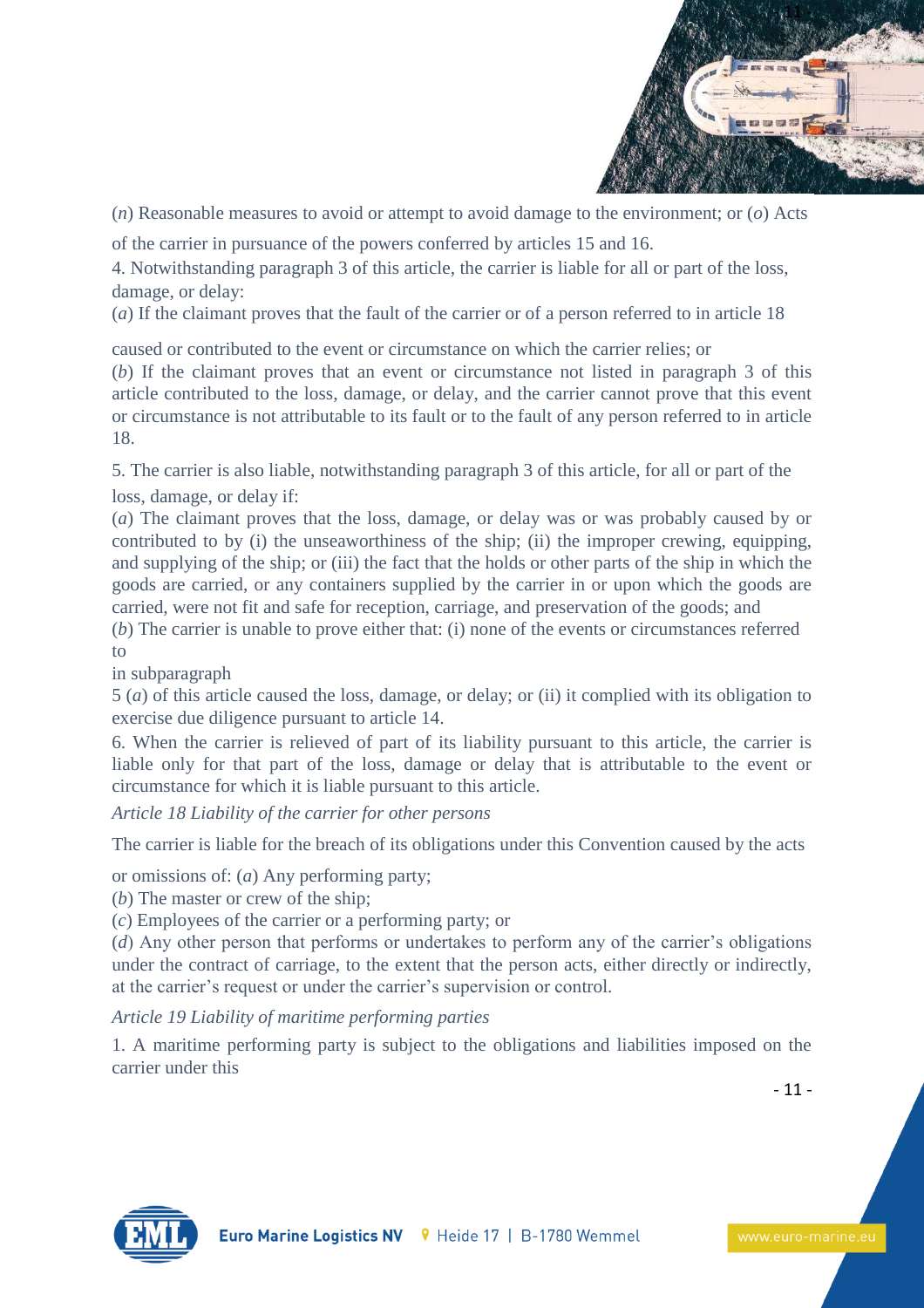

(*n*) Reasonable measures to avoid or attempt to avoid damage to the environment; or (*o*) Acts

of the carrier in pursuance of the powers conferred by articles 15 and 16.

4. Notwithstanding paragraph 3 of this article, the carrier is liable for all or part of the loss, damage, or delay:

(*a*) If the claimant proves that the fault of the carrier or of a person referred to in article 18

caused or contributed to the event or circumstance on which the carrier relies; or

(*b*) If the claimant proves that an event or circumstance not listed in paragraph 3 of this article contributed to the loss, damage, or delay, and the carrier cannot prove that this event or circumstance is not attributable to its fault or to the fault of any person referred to in article 18.

5. The carrier is also liable, notwithstanding paragraph 3 of this article, for all or part of the loss, damage, or delay if:

(*a*) The claimant proves that the loss, damage, or delay was or was probably caused by or contributed to by (i) the unseaworthiness of the ship; (ii) the improper crewing, equipping, and supplying of the ship; or (iii) the fact that the holds or other parts of the ship in which the goods are carried, or any containers supplied by the carrier in or upon which the goods are carried, were not fit and safe for reception, carriage, and preservation of the goods; and

(*b*) The carrier is unable to prove either that: (i) none of the events or circumstances referred to

in subparagraph

5 (*a*) of this article caused the loss, damage, or delay; or (ii) it complied with its obligation to exercise due diligence pursuant to article 14.

6. When the carrier is relieved of part of its liability pursuant to this article, the carrier is liable only for that part of the loss, damage or delay that is attributable to the event or circumstance for which it is liable pursuant to this article.

*Article 18 Liability of the carrier for other persons*

The carrier is liable for the breach of its obligations under this Convention caused by the acts

or omissions of: (*a*) Any performing party;

(*b*) The master or crew of the ship;

(*c*) Employees of the carrier or a performing party; or

(*d*) Any other person that performs or undertakes to perform any of the carrier's obligations under the contract of carriage, to the extent that the person acts, either directly or indirectly, at the carrier's request or under the carrier's supervision or control.

## *Article 19 Liability of maritime performing parties*

1. A maritime performing party is subject to the obligations and liabilities imposed on the carrier under this

- 11 -

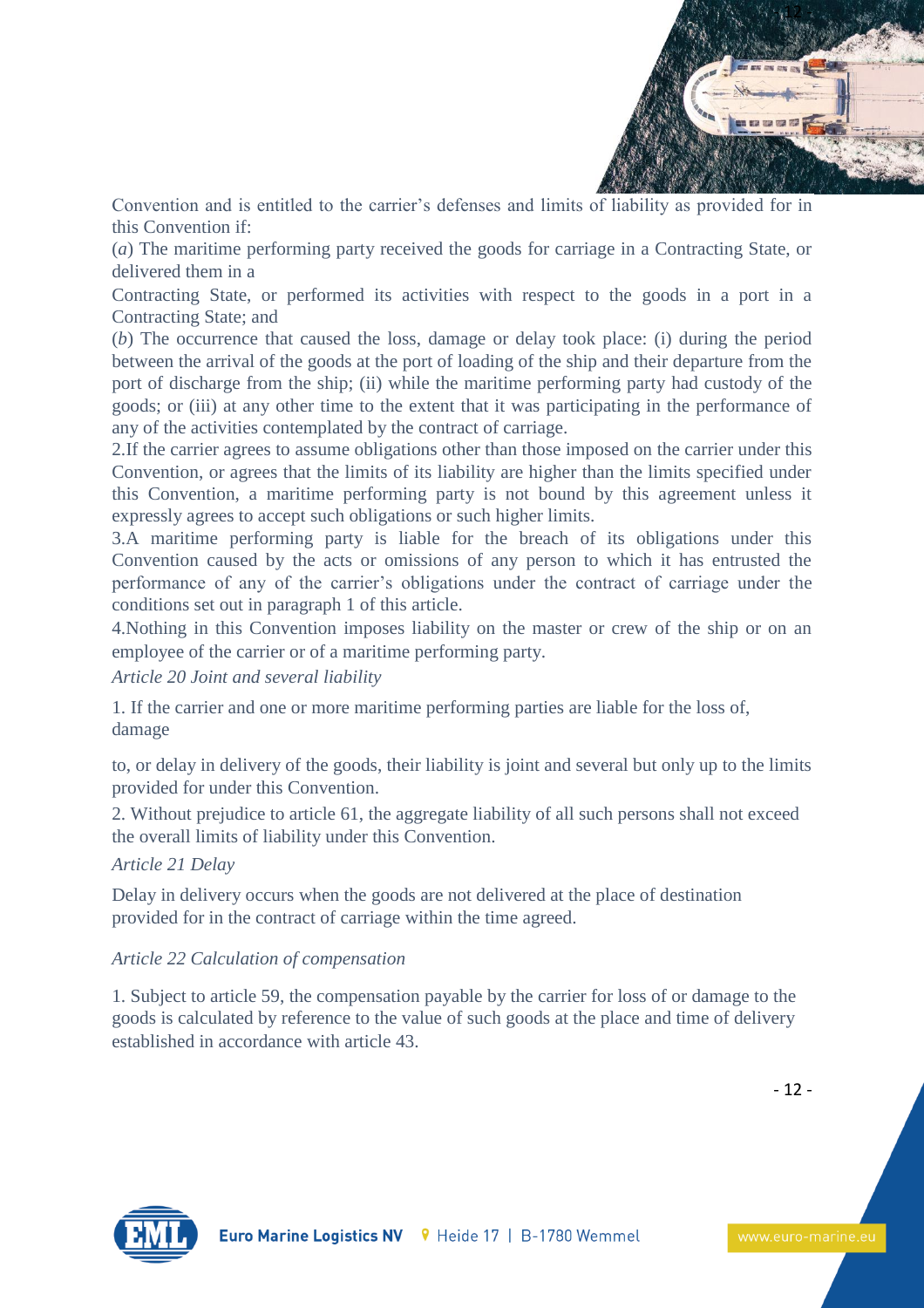

Convention and is entitled to the carrier's defenses and limits of liability as provided for in this Convention if:

(*a*) The maritime performing party received the goods for carriage in a Contracting State, or delivered them in a

Contracting State, or performed its activities with respect to the goods in a port in a Contracting State; and

(*b*) The occurrence that caused the loss, damage or delay took place: (i) during the period between the arrival of the goods at the port of loading of the ship and their departure from the port of discharge from the ship; (ii) while the maritime performing party had custody of the goods; or (iii) at any other time to the extent that it was participating in the performance of any of the activities contemplated by the contract of carriage.

2.If the carrier agrees to assume obligations other than those imposed on the carrier under this Convention, or agrees that the limits of its liability are higher than the limits specified under this Convention, a maritime performing party is not bound by this agreement unless it expressly agrees to accept such obligations or such higher limits.

3.A maritime performing party is liable for the breach of its obligations under this Convention caused by the acts or omissions of any person to which it has entrusted the performance of any of the carrier's obligations under the contract of carriage under the conditions set out in paragraph 1 of this article.

4.Nothing in this Convention imposes liability on the master or crew of the ship or on an employee of the carrier or of a maritime performing party.

*Article 20 Joint and several liability*

1. If the carrier and one or more maritime performing parties are liable for the loss of, damage

to, or delay in delivery of the goods, their liability is joint and several but only up to the limits provided for under this Convention.

2. Without prejudice to article 61, the aggregate liability of all such persons shall not exceed the overall limits of liability under this Convention.

## *Article 21 Delay*

Delay in delivery occurs when the goods are not delivered at the place of destination provided for in the contract of carriage within the time agreed.

## *Article 22 Calculation of compensation*

1. Subject to article 59, the compensation payable by the carrier for loss of or damage to the goods is calculated by reference to the value of such goods at the place and time of delivery established in accordance with article 43.

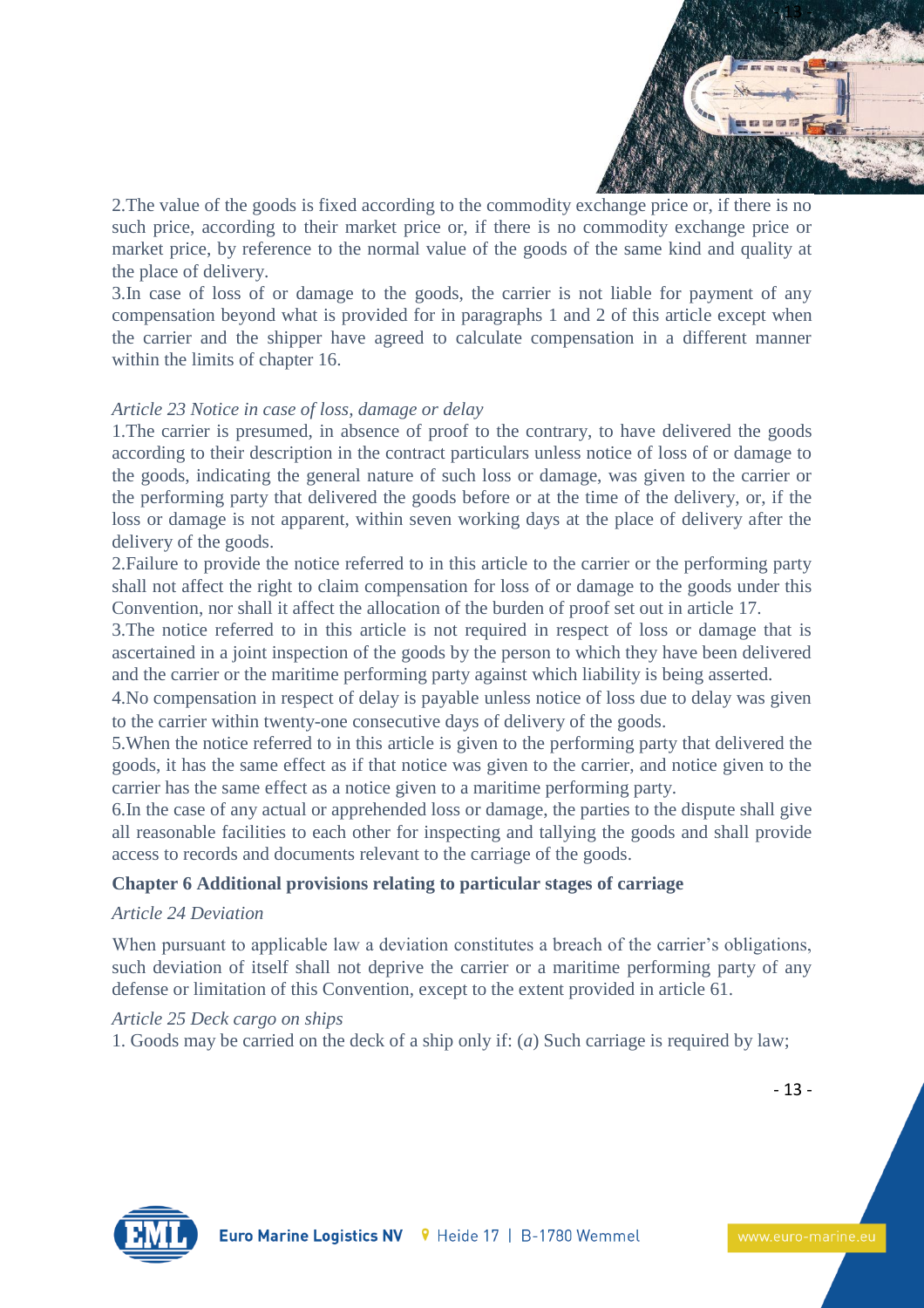

2.The value of the goods is fixed according to the commodity exchange price or, if there is no such price, according to their market price or, if there is no commodity exchange price or market price, by reference to the normal value of the goods of the same kind and quality at the place of delivery.

3.In case of loss of or damage to the goods, the carrier is not liable for payment of any compensation beyond what is provided for in paragraphs 1 and 2 of this article except when the carrier and the shipper have agreed to calculate compensation in a different manner within the limits of chapter 16.

## *Article 23 Notice in case of loss, damage or delay*

1.The carrier is presumed, in absence of proof to the contrary, to have delivered the goods according to their description in the contract particulars unless notice of loss of or damage to the goods, indicating the general nature of such loss or damage, was given to the carrier or the performing party that delivered the goods before or at the time of the delivery, or, if the loss or damage is not apparent, within seven working days at the place of delivery after the delivery of the goods.

2.Failure to provide the notice referred to in this article to the carrier or the performing party shall not affect the right to claim compensation for loss of or damage to the goods under this Convention, nor shall it affect the allocation of the burden of proof set out in article 17.

3.The notice referred to in this article is not required in respect of loss or damage that is ascertained in a joint inspection of the goods by the person to which they have been delivered and the carrier or the maritime performing party against which liability is being asserted.

4.No compensation in respect of delay is payable unless notice of loss due to delay was given to the carrier within twenty-one consecutive days of delivery of the goods.

5.When the notice referred to in this article is given to the performing party that delivered the goods, it has the same effect as if that notice was given to the carrier, and notice given to the carrier has the same effect as a notice given to a maritime performing party.

6.In the case of any actual or apprehended loss or damage, the parties to the dispute shall give all reasonable facilities to each other for inspecting and tallying the goods and shall provide access to records and documents relevant to the carriage of the goods.

## **Chapter 6 Additional provisions relating to particular stages of carriage**

## *Article 24 Deviation*

When pursuant to applicable law a deviation constitutes a breach of the carrier's obligations, such deviation of itself shall not deprive the carrier or a maritime performing party of any defense or limitation of this Convention, except to the extent provided in article 61.

## *Article 25 Deck cargo on ships*

1. Goods may be carried on the deck of a ship only if: (*a*) Such carriage is required by law;

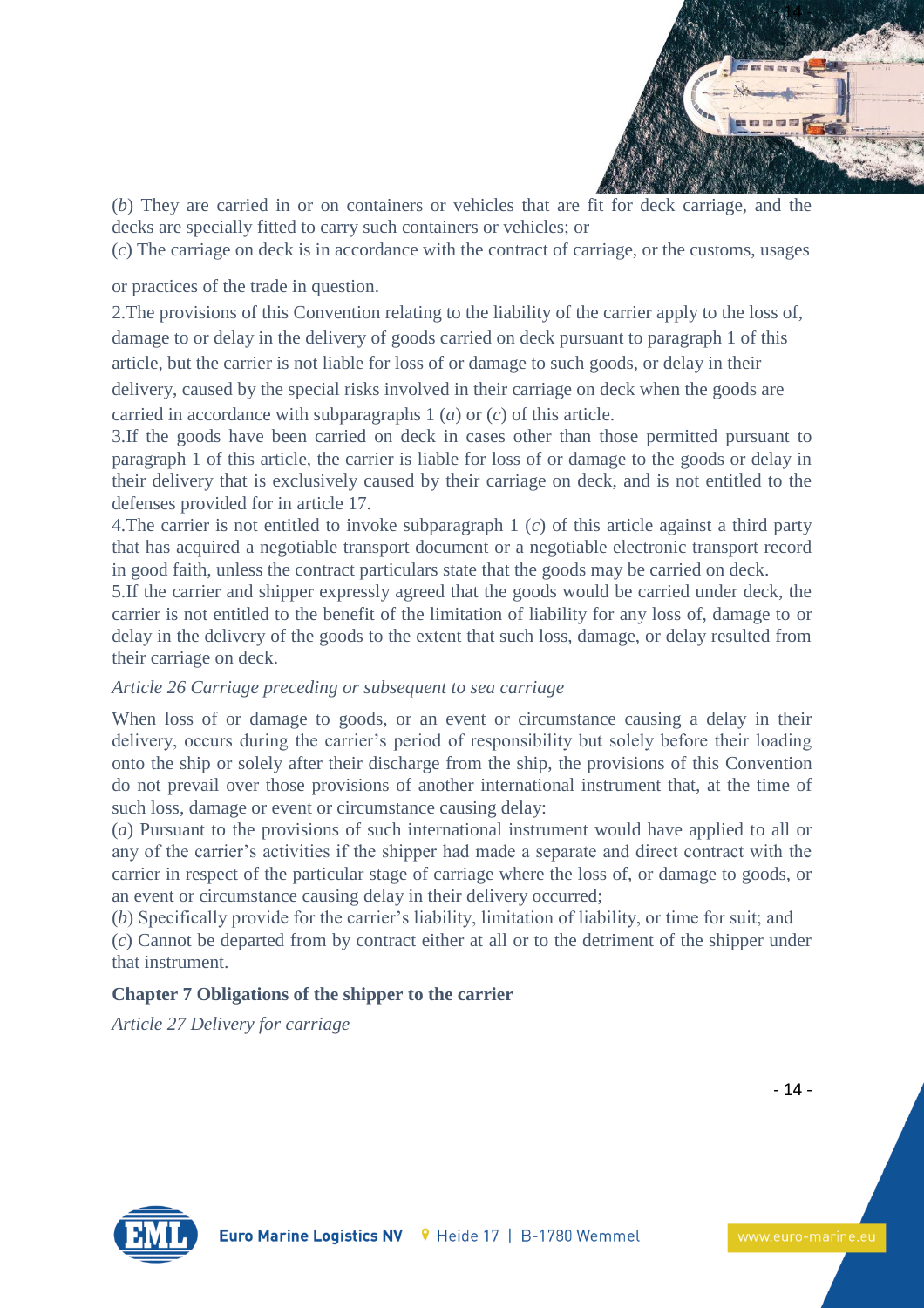

(*b*) They are carried in or on containers or vehicles that are fit for deck carriage, and the decks are specially fitted to carry such containers or vehicles; or

(*c*) The carriage on deck is in accordance with the contract of carriage, or the customs, usages

## or practices of the trade in question.

2.The provisions of this Convention relating to the liability of the carrier apply to the loss of, damage to or delay in the delivery of goods carried on deck pursuant to paragraph 1 of this article, but the carrier is not liable for loss of or damage to such goods, or delay in their delivery, caused by the special risks involved in their carriage on deck when the goods are carried in accordance with subparagraphs 1 (*a*) or (*c*) of this article.

3.If the goods have been carried on deck in cases other than those permitted pursuant to paragraph 1 of this article, the carrier is liable for loss of or damage to the goods or delay in their delivery that is exclusively caused by their carriage on deck, and is not entitled to the defenses provided for in article 17.

4.The carrier is not entitled to invoke subparagraph 1 (*c*) of this article against a third party that has acquired a negotiable transport document or a negotiable electronic transport record in good faith, unless the contract particulars state that the goods may be carried on deck.

5.If the carrier and shipper expressly agreed that the goods would be carried under deck, the carrier is not entitled to the benefit of the limitation of liability for any loss of, damage to or delay in the delivery of the goods to the extent that such loss, damage, or delay resulted from their carriage on deck.

## *Article 26 Carriage preceding or subsequent to sea carriage*

When loss of or damage to goods, or an event or circumstance causing a delay in their delivery, occurs during the carrier's period of responsibility but solely before their loading onto the ship or solely after their discharge from the ship, the provisions of this Convention do not prevail over those provisions of another international instrument that, at the time of such loss, damage or event or circumstance causing delay:

(*a*) Pursuant to the provisions of such international instrument would have applied to all or any of the carrier's activities if the shipper had made a separate and direct contract with the carrier in respect of the particular stage of carriage where the loss of, or damage to goods, or an event or circumstance causing delay in their delivery occurred;

(*b*) Specifically provide for the carrier's liability, limitation of liability, or time for suit; and (*c*) Cannot be departed from by contract either at all or to the detriment of the shipper under that instrument.

## **Chapter 7 Obligations of the shipper to the carrier**

*Article 27 Delivery for carriage*

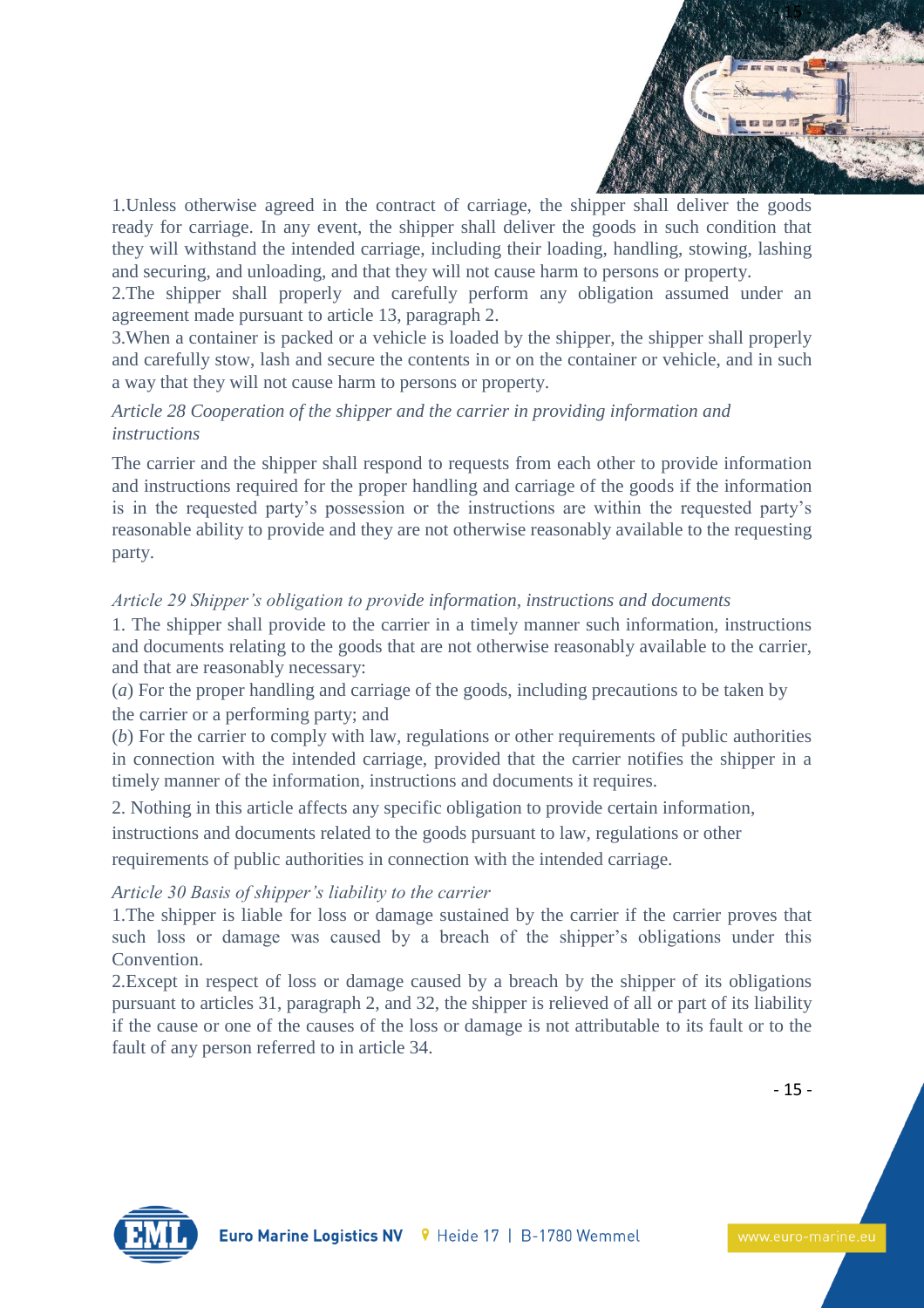

1.Unless otherwise agreed in the contract of carriage, the shipper shall deliver the goods ready for carriage. In any event, the shipper shall deliver the goods in such condition that they will withstand the intended carriage, including their loading, handling, stowing, lashing and securing, and unloading, and that they will not cause harm to persons or property.

2.The shipper shall properly and carefully perform any obligation assumed under an agreement made pursuant to article 13, paragraph 2.

3.When a container is packed or a vehicle is loaded by the shipper, the shipper shall properly and carefully stow, lash and secure the contents in or on the container or vehicle, and in such a way that they will not cause harm to persons or property.

## *Article 28 Cooperation of the shipper and the carrier in providing information and instructions*

The carrier and the shipper shall respond to requests from each other to provide information and instructions required for the proper handling and carriage of the goods if the information is in the requested party's possession or the instructions are within the requested party's reasonable ability to provide and they are not otherwise reasonably available to the requesting party.

## *Article 29 Shipper's obligation to provide information, instructions and documents*

1. The shipper shall provide to the carrier in a timely manner such information, instructions and documents relating to the goods that are not otherwise reasonably available to the carrier, and that are reasonably necessary:

(*a*) For the proper handling and carriage of the goods, including precautions to be taken by the carrier or a performing party; and

(*b*) For the carrier to comply with law, regulations or other requirements of public authorities in connection with the intended carriage, provided that the carrier notifies the shipper in a timely manner of the information, instructions and documents it requires.

2. Nothing in this article affects any specific obligation to provide certain information,

instructions and documents related to the goods pursuant to law, regulations or other

requirements of public authorities in connection with the intended carriage.

## *Article 30 Basis of shipper's liability to the carrier*

1.The shipper is liable for loss or damage sustained by the carrier if the carrier proves that such loss or damage was caused by a breach of the shipper's obligations under this Convention.

2.Except in respect of loss or damage caused by a breach by the shipper of its obligations pursuant to articles 31, paragraph 2, and 32, the shipper is relieved of all or part of its liability if the cause or one of the causes of the loss or damage is not attributable to its fault or to the fault of any person referred to in article 34.

- 15 -

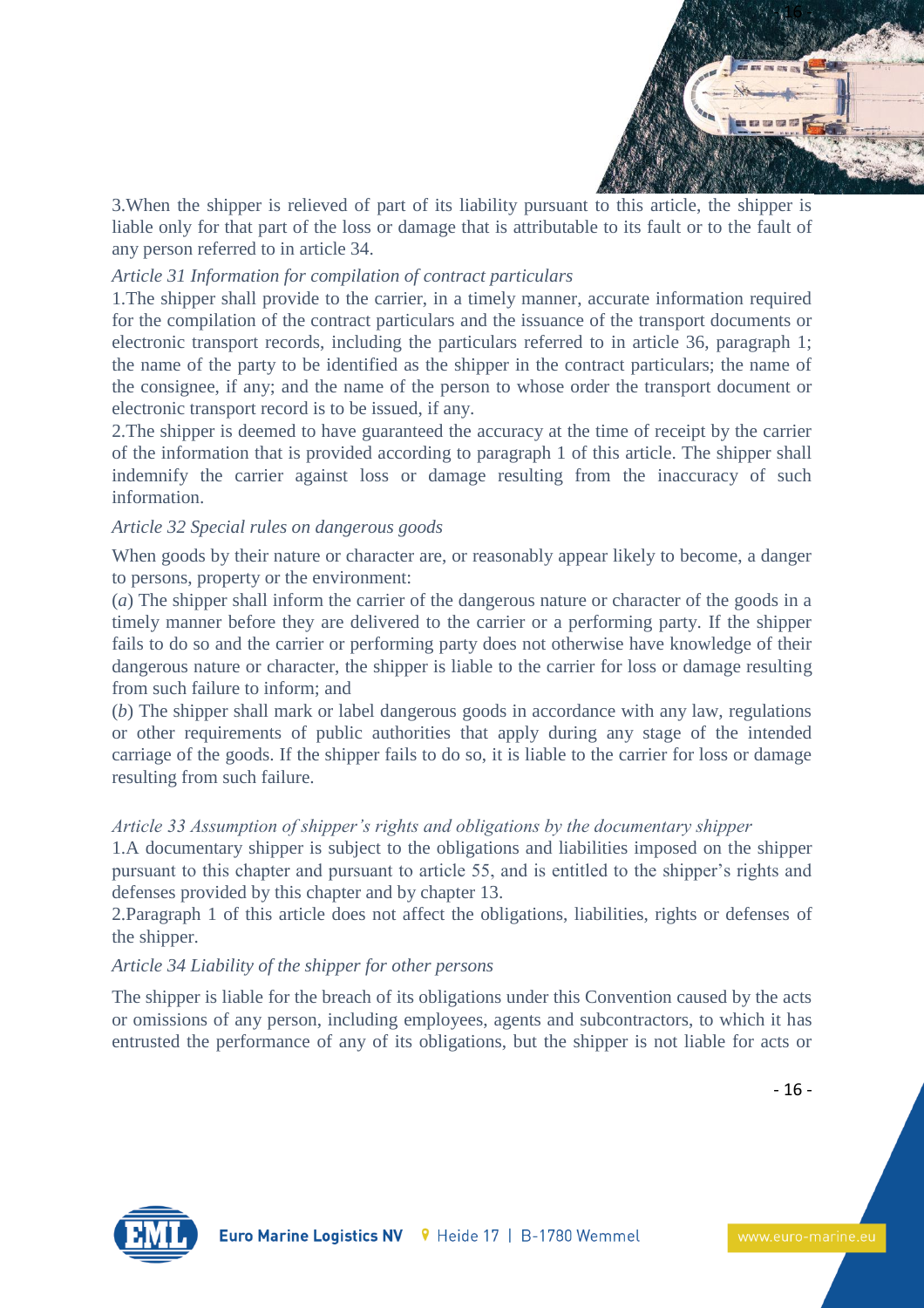

3.When the shipper is relieved of part of its liability pursuant to this article, the shipper is liable only for that part of the loss or damage that is attributable to its fault or to the fault of any person referred to in article 34.

## *Article 31 Information for compilation of contract particulars*

1.The shipper shall provide to the carrier, in a timely manner, accurate information required for the compilation of the contract particulars and the issuance of the transport documents or electronic transport records, including the particulars referred to in article 36, paragraph 1; the name of the party to be identified as the shipper in the contract particulars; the name of the consignee, if any; and the name of the person to whose order the transport document or electronic transport record is to be issued, if any.

2.The shipper is deemed to have guaranteed the accuracy at the time of receipt by the carrier of the information that is provided according to paragraph 1 of this article. The shipper shall indemnify the carrier against loss or damage resulting from the inaccuracy of such information.

## *Article 32 Special rules on dangerous goods*

When goods by their nature or character are, or reasonably appear likely to become, a danger to persons, property or the environment:

(*a*) The shipper shall inform the carrier of the dangerous nature or character of the goods in a timely manner before they are delivered to the carrier or a performing party. If the shipper fails to do so and the carrier or performing party does not otherwise have knowledge of their dangerous nature or character, the shipper is liable to the carrier for loss or damage resulting from such failure to inform; and

(*b*) The shipper shall mark or label dangerous goods in accordance with any law, regulations or other requirements of public authorities that apply during any stage of the intended carriage of the goods. If the shipper fails to do so, it is liable to the carrier for loss or damage resulting from such failure.

## *Article 33 Assumption of shipper's rights and obligations by the documentary shipper*

1.A documentary shipper is subject to the obligations and liabilities imposed on the shipper pursuant to this chapter and pursuant to article 55, and is entitled to the shipper's rights and defenses provided by this chapter and by chapter 13.

2.Paragraph 1 of this article does not affect the obligations, liabilities, rights or defenses of the shipper.

## *Article 34 Liability of the shipper for other persons*

The shipper is liable for the breach of its obligations under this Convention caused by the acts or omissions of any person, including employees, agents and subcontractors, to which it has entrusted the performance of any of its obligations, but the shipper is not liable for acts or

- 16 -

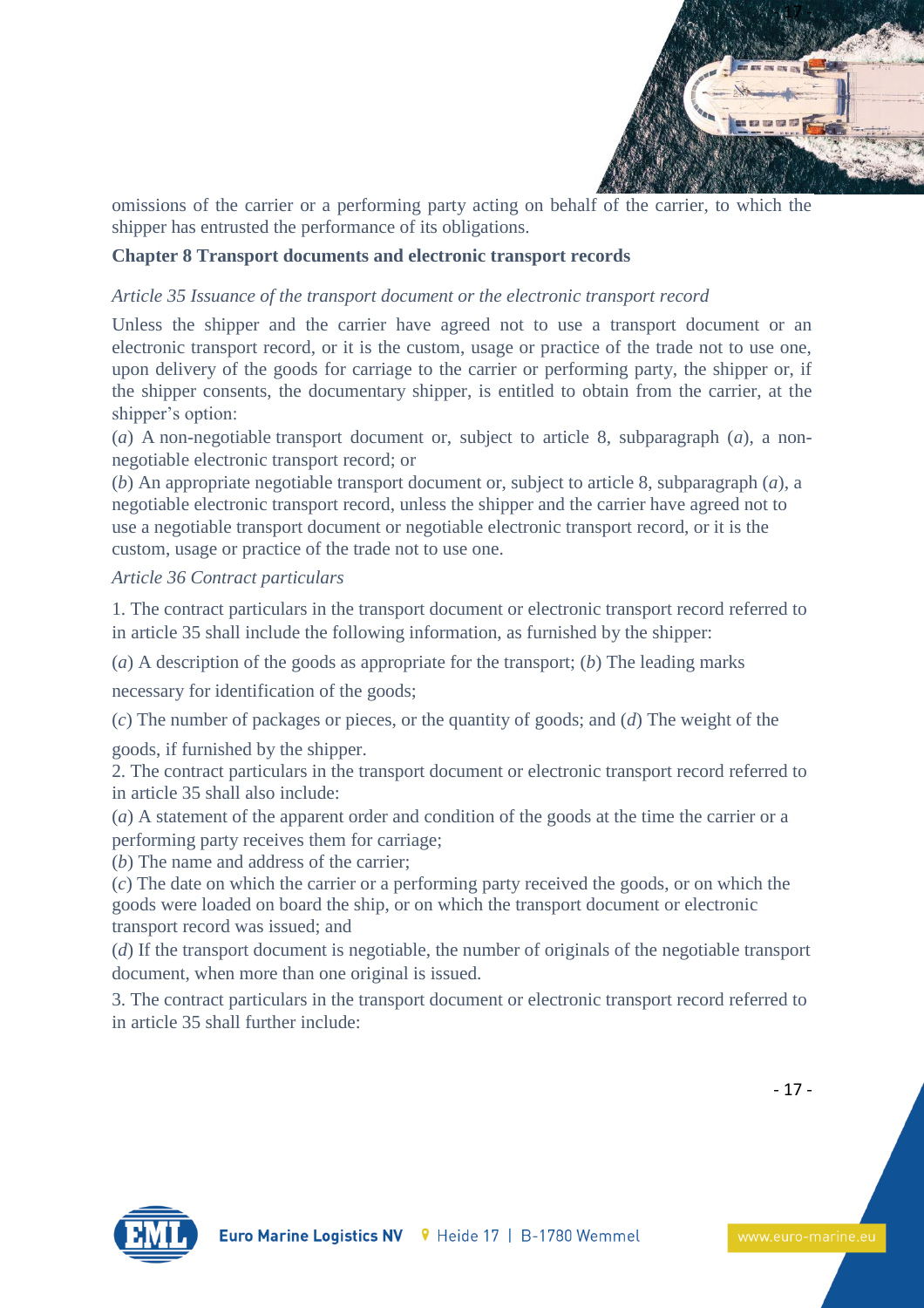

omissions of the carrier or a performing party acting on behalf of the carrier, to which the shipper has entrusted the performance of its obligations.

## **Chapter 8 Transport documents and electronic transport records**

#### *Article 35 Issuance of the transport document or the electronic transport record*

Unless the shipper and the carrier have agreed not to use a transport document or an electronic transport record, or it is the custom, usage or practice of the trade not to use one, upon delivery of the goods for carriage to the carrier or performing party, the shipper or, if the shipper consents, the documentary shipper, is entitled to obtain from the carrier, at the shipper's option:

(*a*) A non-negotiable transport document or, subject to article 8, subparagraph (*a*), a nonnegotiable electronic transport record; or

(*b*) An appropriate negotiable transport document or, subject to article 8, subparagraph (*a*), a negotiable electronic transport record, unless the shipper and the carrier have agreed not to use a negotiable transport document or negotiable electronic transport record, or it is the custom, usage or practice of the trade not to use one.

## *Article 36 Contract particulars*

1. The contract particulars in the transport document or electronic transport record referred to in article 35 shall include the following information, as furnished by the shipper:

(*a*) A description of the goods as appropriate for the transport; (*b*) The leading marks

necessary for identification of the goods;

(*c*) The number of packages or pieces, or the quantity of goods; and (*d*) The weight of the

goods, if furnished by the shipper.

2. The contract particulars in the transport document or electronic transport record referred to in article 35 shall also include:

(*a*) A statement of the apparent order and condition of the goods at the time the carrier or a performing party receives them for carriage;

(*b*) The name and address of the carrier;

(*c*) The date on which the carrier or a performing party received the goods, or on which the goods were loaded on board the ship, or on which the transport document or electronic transport record was issued; and

(*d*) If the transport document is negotiable, the number of originals of the negotiable transport document, when more than one original is issued.

3. The contract particulars in the transport document or electronic transport record referred to in article 35 shall further include:

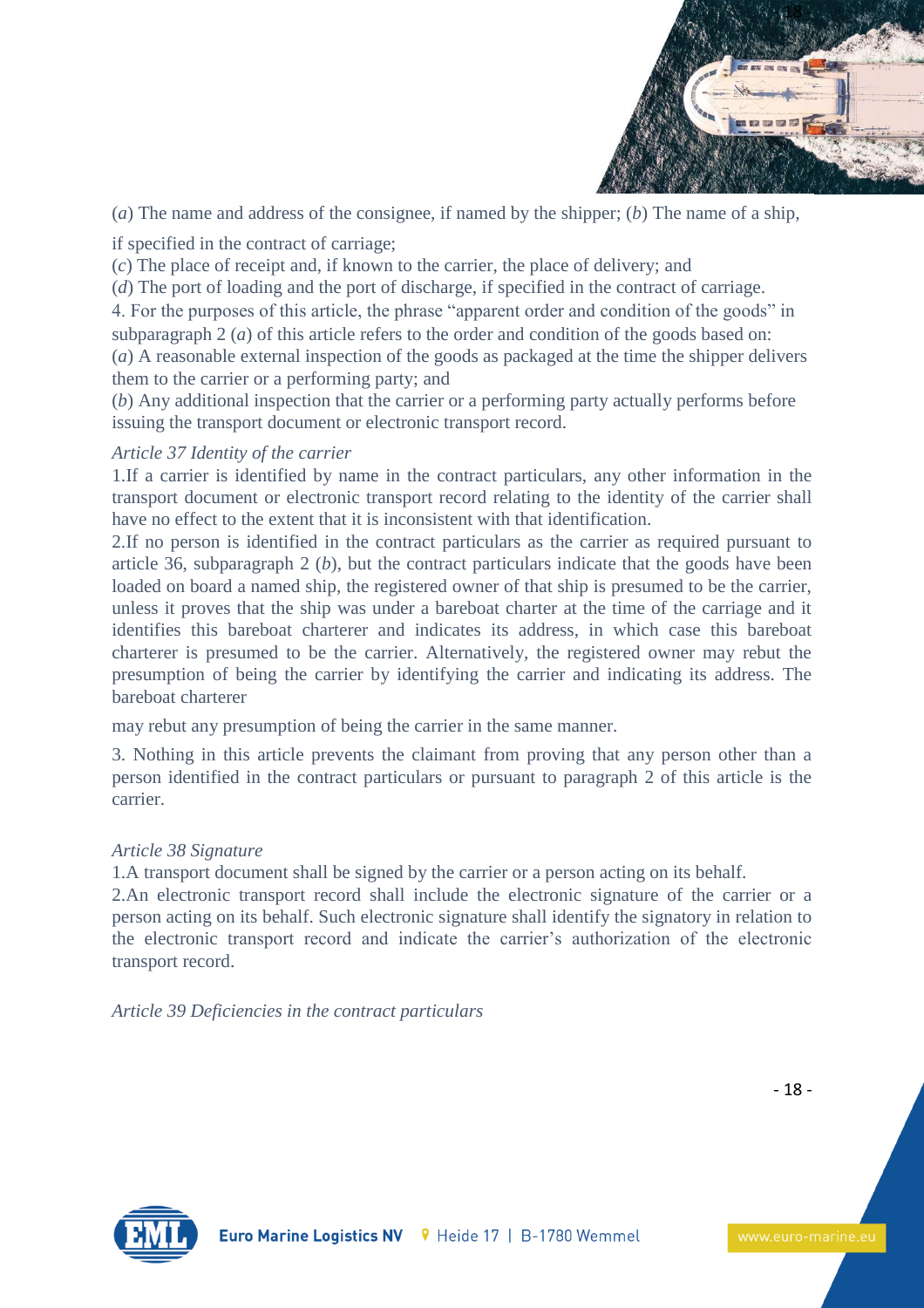

(*a*) The name and address of the consignee, if named by the shipper; (*b*) The name of a ship,

if specified in the contract of carriage;

(*c*) The place of receipt and, if known to the carrier, the place of delivery; and

(*d*) The port of loading and the port of discharge, if specified in the contract of carriage.

4. For the purposes of this article, the phrase "apparent order and condition of the goods" in subparagraph 2 (*a*) of this article refers to the order and condition of the goods based on:

(*a*) A reasonable external inspection of the goods as packaged at the time the shipper delivers them to the carrier or a performing party; and

(*b*) Any additional inspection that the carrier or a performing party actually performs before issuing the transport document or electronic transport record.

## *Article 37 Identity of the carrier*

1.If a carrier is identified by name in the contract particulars, any other information in the transport document or electronic transport record relating to the identity of the carrier shall have no effect to the extent that it is inconsistent with that identification.

2.If no person is identified in the contract particulars as the carrier as required pursuant to article 36, subparagraph 2 (*b*), but the contract particulars indicate that the goods have been loaded on board a named ship, the registered owner of that ship is presumed to be the carrier, unless it proves that the ship was under a bareboat charter at the time of the carriage and it identifies this bareboat charterer and indicates its address, in which case this bareboat charterer is presumed to be the carrier. Alternatively, the registered owner may rebut the presumption of being the carrier by identifying the carrier and indicating its address. The bareboat charterer

may rebut any presumption of being the carrier in the same manner.

3. Nothing in this article prevents the claimant from proving that any person other than a person identified in the contract particulars or pursuant to paragraph 2 of this article is the carrier.

## *Article 38 Signature*

1.A transport document shall be signed by the carrier or a person acting on its behalf.

2.An electronic transport record shall include the electronic signature of the carrier or a person acting on its behalf. Such electronic signature shall identify the signatory in relation to the electronic transport record and indicate the carrier's authorization of the electronic transport record.

*Article 39 Deficiencies in the contract particulars*

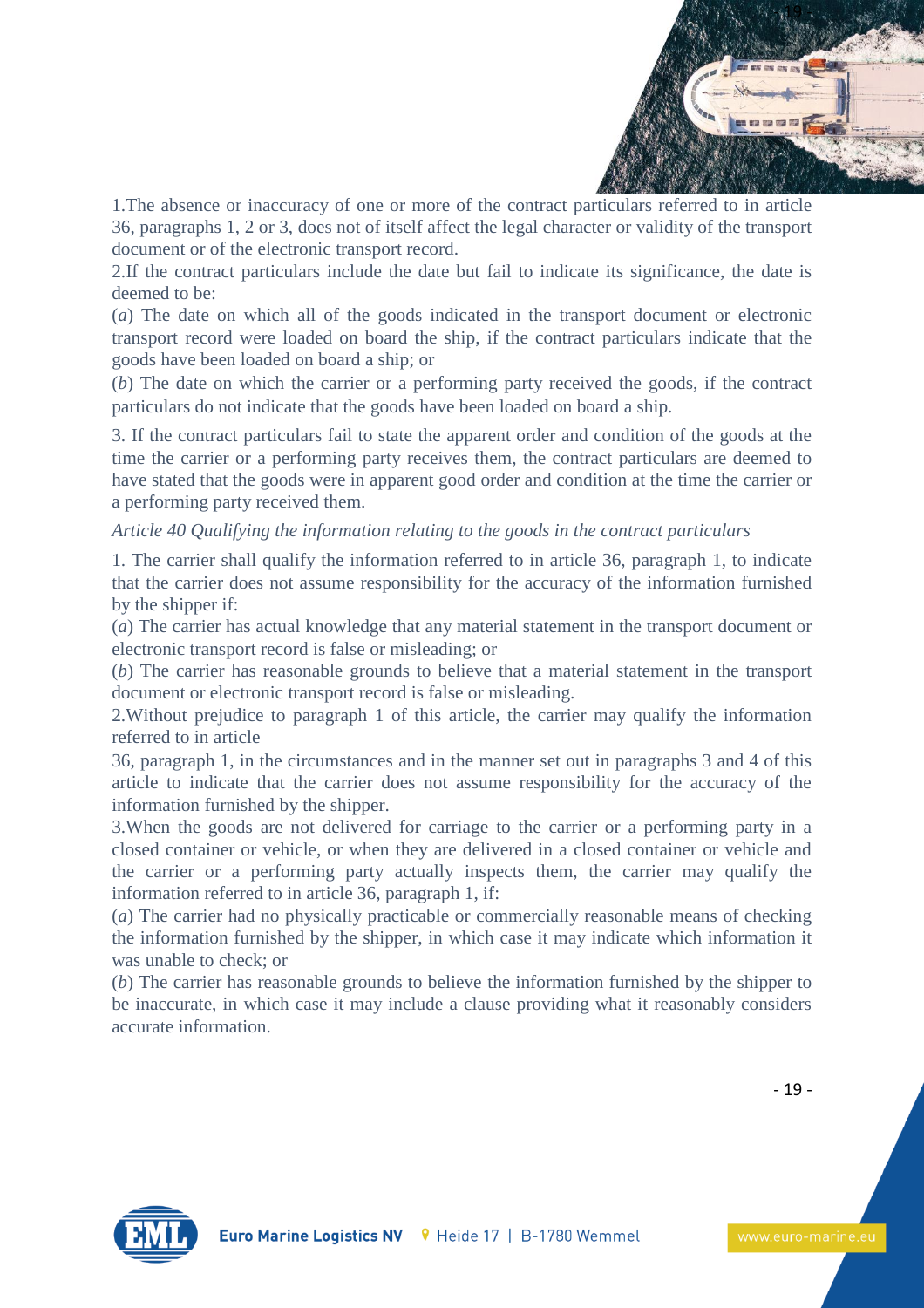

1.The absence or inaccuracy of one or more of the contract particulars referred to in article 36, paragraphs 1, 2 or 3, does not of itself affect the legal character or validity of the transport document or of the electronic transport record.

2.If the contract particulars include the date but fail to indicate its significance, the date is deemed to be:

(*a*) The date on which all of the goods indicated in the transport document or electronic transport record were loaded on board the ship, if the contract particulars indicate that the goods have been loaded on board a ship; or

(*b*) The date on which the carrier or a performing party received the goods, if the contract particulars do not indicate that the goods have been loaded on board a ship.

3. If the contract particulars fail to state the apparent order and condition of the goods at the time the carrier or a performing party receives them, the contract particulars are deemed to have stated that the goods were in apparent good order and condition at the time the carrier or a performing party received them.

## *Article 40 Qualifying the information relating to the goods in the contract particulars*

1. The carrier shall qualify the information referred to in article 36, paragraph 1, to indicate that the carrier does not assume responsibility for the accuracy of the information furnished by the shipper if:

(*a*) The carrier has actual knowledge that any material statement in the transport document or electronic transport record is false or misleading; or

(*b*) The carrier has reasonable grounds to believe that a material statement in the transport document or electronic transport record is false or misleading.

2.Without prejudice to paragraph 1 of this article, the carrier may qualify the information referred to in article

36, paragraph 1, in the circumstances and in the manner set out in paragraphs 3 and 4 of this article to indicate that the carrier does not assume responsibility for the accuracy of the information furnished by the shipper.

3.When the goods are not delivered for carriage to the carrier or a performing party in a closed container or vehicle, or when they are delivered in a closed container or vehicle and the carrier or a performing party actually inspects them, the carrier may qualify the information referred to in article 36, paragraph 1, if:

(*a*) The carrier had no physically practicable or commercially reasonable means of checking the information furnished by the shipper, in which case it may indicate which information it was unable to check; or

(*b*) The carrier has reasonable grounds to believe the information furnished by the shipper to be inaccurate, in which case it may include a clause providing what it reasonably considers accurate information.

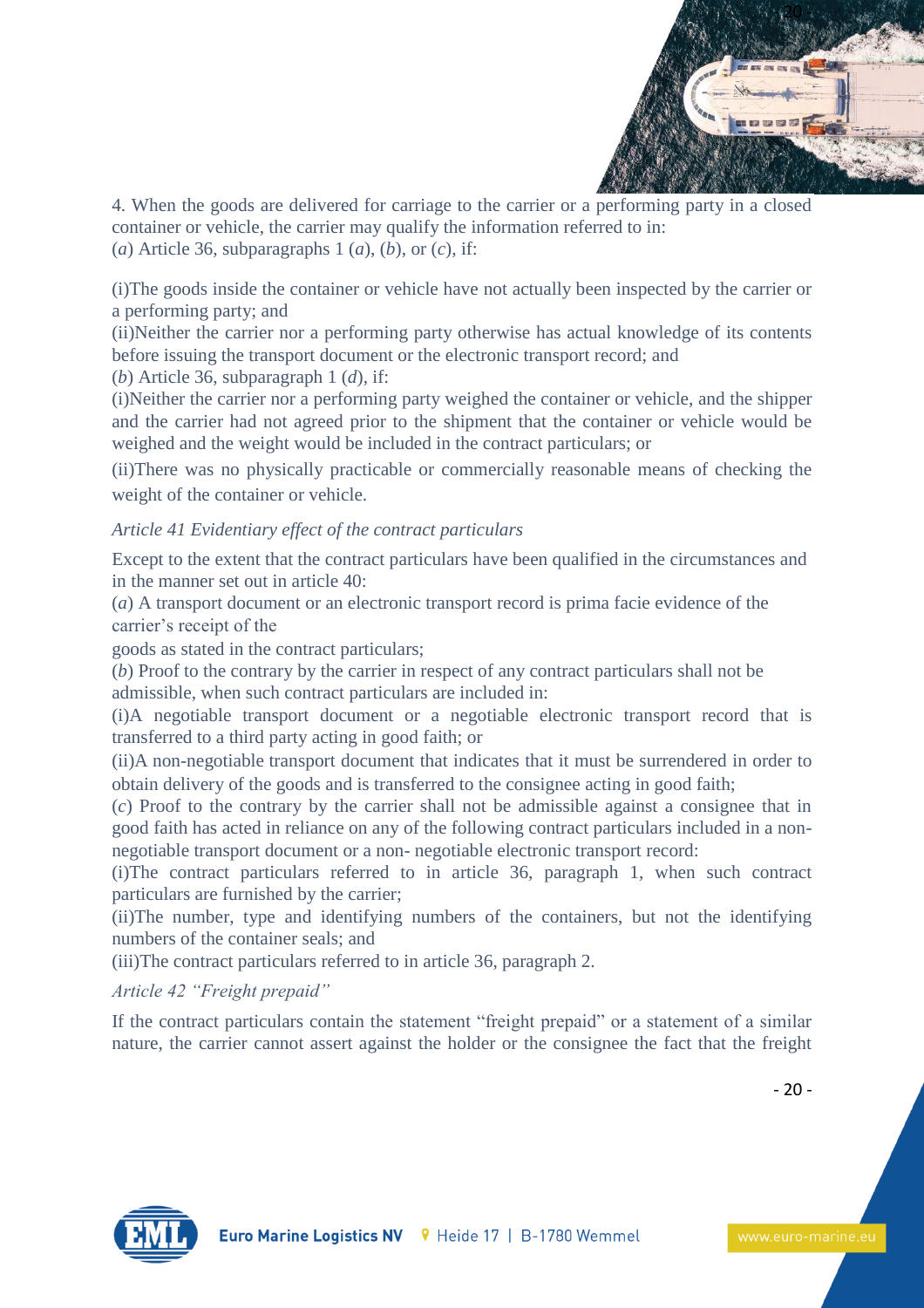

4. When the goods are delivered for carriage to the carrier or a performing party in a closed container or vehicle, the carrier may qualify the information referred to in: (*a*) Article 36, subparagraphs 1 (*a*), (*b*), or (*c*), if:

(i)The goods inside the container or vehicle have not actually been inspected by the carrier or a performing party; and

(ii)Neither the carrier nor a performing party otherwise has actual knowledge of its contents before issuing the transport document or the electronic transport record; and

(*b*) Article 36, subparagraph 1 (*d*), if:

(i)Neither the carrier nor a performing party weighed the container or vehicle, and the shipper and the carrier had not agreed prior to the shipment that the container or vehicle would be weighed and the weight would be included in the contract particulars; or

(ii)There was no physically practicable or commercially reasonable means of checking the weight of the container or vehicle.

## *Article 41 Evidentiary effect of the contract particulars*

Except to the extent that the contract particulars have been qualified in the circumstances and in the manner set out in article 40:

(*a*) A transport document or an electronic transport record is prima facie evidence of the carrier's receipt of the

goods as stated in the contract particulars;

(*b*) Proof to the contrary by the carrier in respect of any contract particulars shall not be admissible, when such contract particulars are included in:

(i)A negotiable transport document or a negotiable electronic transport record that is transferred to a third party acting in good faith; or

(ii)A non-negotiable transport document that indicates that it must be surrendered in order to obtain delivery of the goods and is transferred to the consignee acting in good faith;

(*c*) Proof to the contrary by the carrier shall not be admissible against a consignee that in good faith has acted in reliance on any of the following contract particulars included in a nonnegotiable transport document or a non- negotiable electronic transport record:

(i)The contract particulars referred to in article 36, paragraph 1, when such contract particulars are furnished by the carrier;

(ii)The number, type and identifying numbers of the containers, but not the identifying numbers of the container seals; and

(iii)The contract particulars referred to in article 36, paragraph 2.

## *Article 42 "Freight prepaid"*

If the contract particulars contain the statement "freight prepaid" or a statement of a similar nature, the carrier cannot assert against the holder or the consignee the fact that the freight

- 20 -

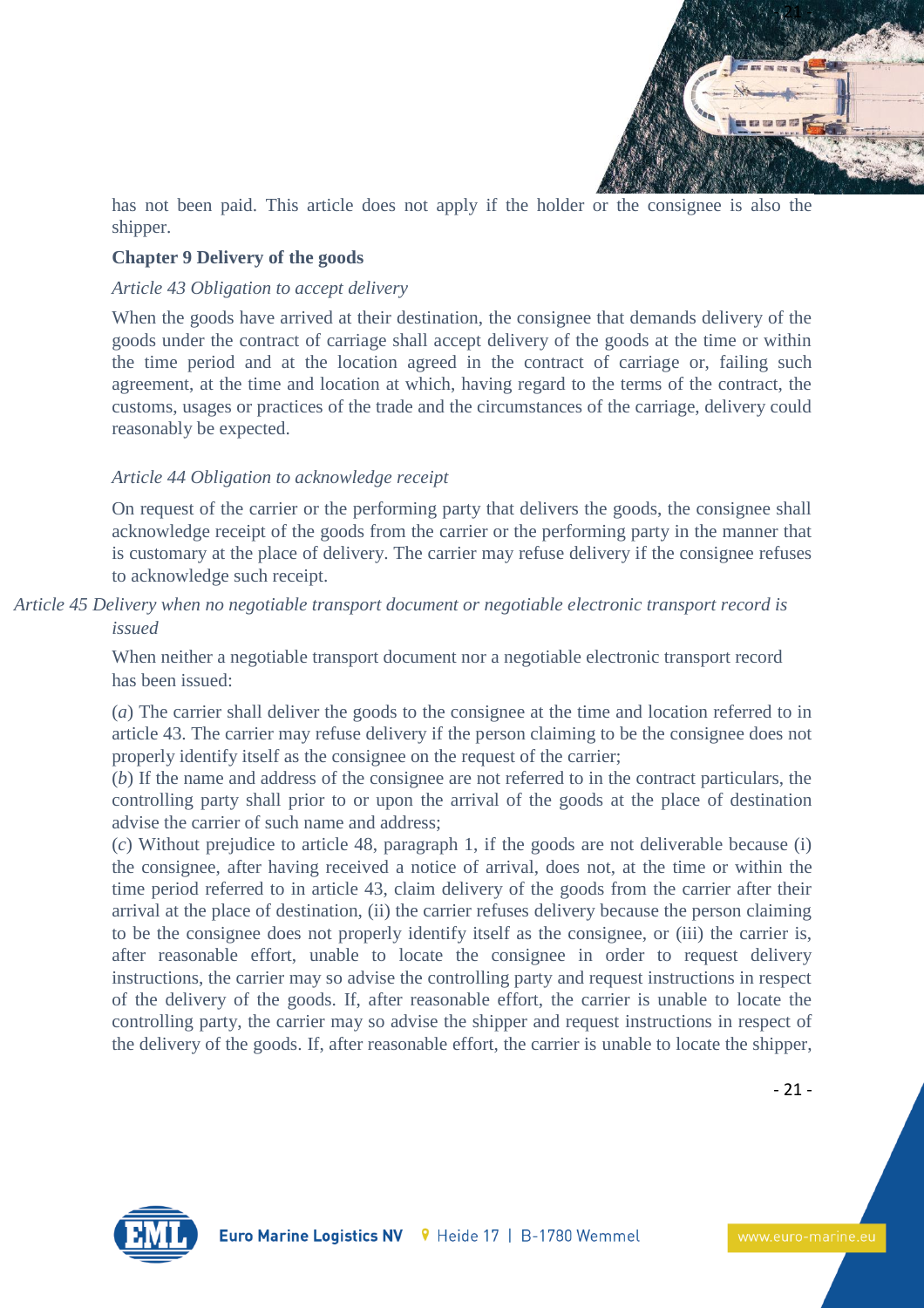

has not been paid. This article does not apply if the holder or the consignee is also the shipper.

## **Chapter 9 Delivery of the goods**

## *Article 43 Obligation to accept delivery*

When the goods have arrived at their destination, the consignee that demands delivery of the goods under the contract of carriage shall accept delivery of the goods at the time or within the time period and at the location agreed in the contract of carriage or, failing such agreement, at the time and location at which, having regard to the terms of the contract, the customs, usages or practices of the trade and the circumstances of the carriage, delivery could reasonably be expected.

## *Article 44 Obligation to acknowledge receipt*

On request of the carrier or the performing party that delivers the goods, the consignee shall acknowledge receipt of the goods from the carrier or the performing party in the manner that is customary at the place of delivery. The carrier may refuse delivery if the consignee refuses to acknowledge such receipt.

## *Article 45 Delivery when no negotiable transport document or negotiable electronic transport record is issued*

When neither a negotiable transport document nor a negotiable electronic transport record has been issued:

(*a*) The carrier shall deliver the goods to the consignee at the time and location referred to in article 43. The carrier may refuse delivery if the person claiming to be the consignee does not properly identify itself as the consignee on the request of the carrier;

(*b*) If the name and address of the consignee are not referred to in the contract particulars, the controlling party shall prior to or upon the arrival of the goods at the place of destination advise the carrier of such name and address;

(*c*) Without prejudice to article 48, paragraph 1, if the goods are not deliverable because (i) the consignee, after having received a notice of arrival, does not, at the time or within the time period referred to in article 43, claim delivery of the goods from the carrier after their arrival at the place of destination, (ii) the carrier refuses delivery because the person claiming to be the consignee does not properly identify itself as the consignee, or (iii) the carrier is, after reasonable effort, unable to locate the consignee in order to request delivery instructions, the carrier may so advise the controlling party and request instructions in respect of the delivery of the goods. If, after reasonable effort, the carrier is unable to locate the controlling party, the carrier may so advise the shipper and request instructions in respect of the delivery of the goods. If, after reasonable effort, the carrier is unable to locate the shipper,

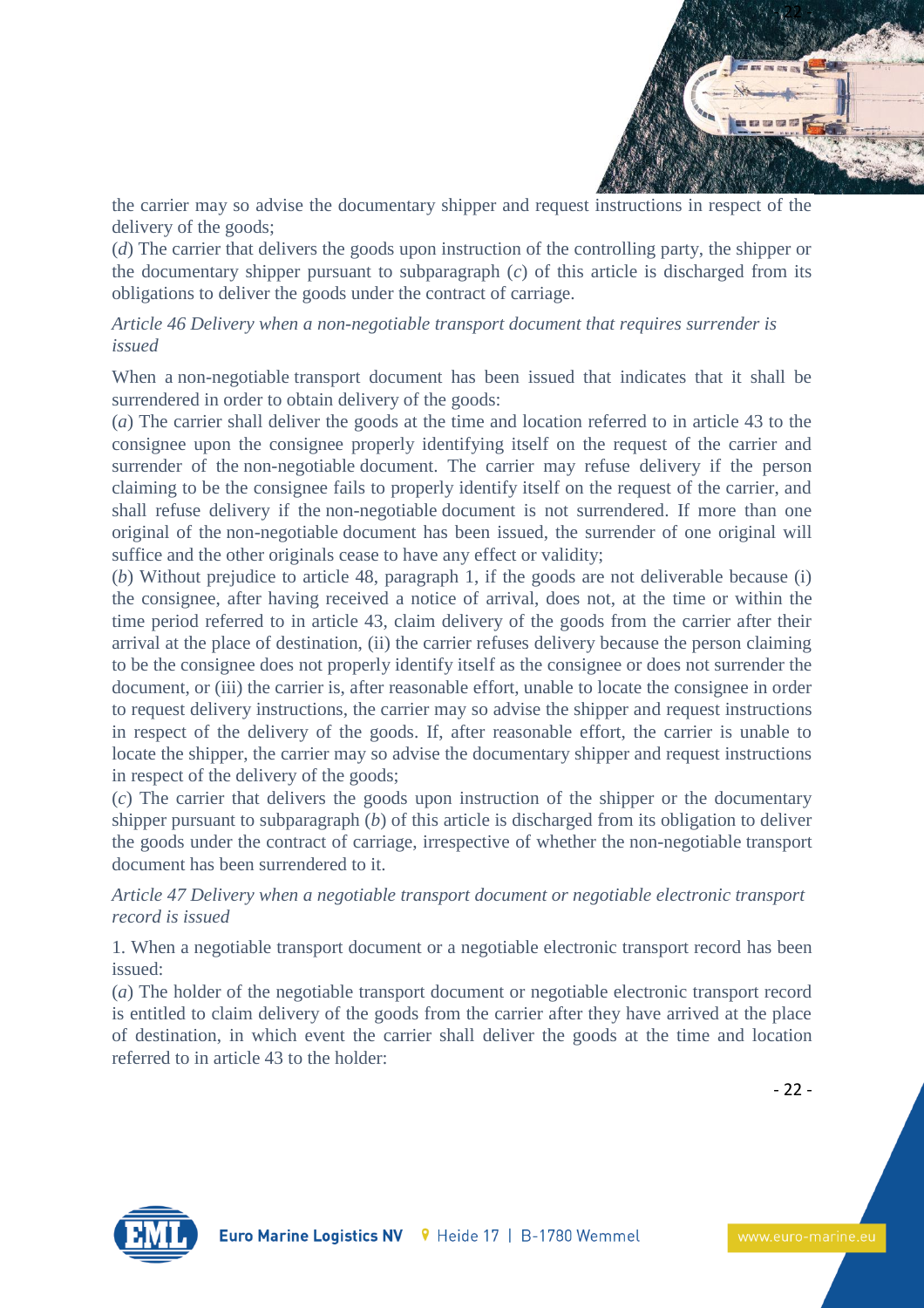

the carrier may so advise the documentary shipper and request instructions in respect of the delivery of the goods;

(*d*) The carrier that delivers the goods upon instruction of the controlling party, the shipper or the documentary shipper pursuant to subparagraph (*c*) of this article is discharged from its obligations to deliver the goods under the contract of carriage.

*Article 46 Delivery when a non-negotiable transport document that requires surrender is issued*

When a non-negotiable transport document has been issued that indicates that it shall be surrendered in order to obtain delivery of the goods:

(*a*) The carrier shall deliver the goods at the time and location referred to in article 43 to the consignee upon the consignee properly identifying itself on the request of the carrier and surrender of the non-negotiable document. The carrier may refuse delivery if the person claiming to be the consignee fails to properly identify itself on the request of the carrier, and shall refuse delivery if the non-negotiable document is not surrendered. If more than one original of the non-negotiable document has been issued, the surrender of one original will suffice and the other originals cease to have any effect or validity;

(*b*) Without prejudice to article 48, paragraph 1, if the goods are not deliverable because (i) the consignee, after having received a notice of arrival, does not, at the time or within the time period referred to in article 43, claim delivery of the goods from the carrier after their arrival at the place of destination, (ii) the carrier refuses delivery because the person claiming to be the consignee does not properly identify itself as the consignee or does not surrender the document, or (iii) the carrier is, after reasonable effort, unable to locate the consignee in order to request delivery instructions, the carrier may so advise the shipper and request instructions in respect of the delivery of the goods. If, after reasonable effort, the carrier is unable to locate the shipper, the carrier may so advise the documentary shipper and request instructions in respect of the delivery of the goods;

(*c*) The carrier that delivers the goods upon instruction of the shipper or the documentary shipper pursuant to subparagraph (*b*) of this article is discharged from its obligation to deliver the goods under the contract of carriage, irrespective of whether the non-negotiable transport document has been surrendered to it.

*Article 47 Delivery when a negotiable transport document or negotiable electronic transport record is issued*

1. When a negotiable transport document or a negotiable electronic transport record has been issued:

(*a*) The holder of the negotiable transport document or negotiable electronic transport record is entitled to claim delivery of the goods from the carrier after they have arrived at the place of destination, in which event the carrier shall deliver the goods at the time and location referred to in article 43 to the holder:

- 22 -

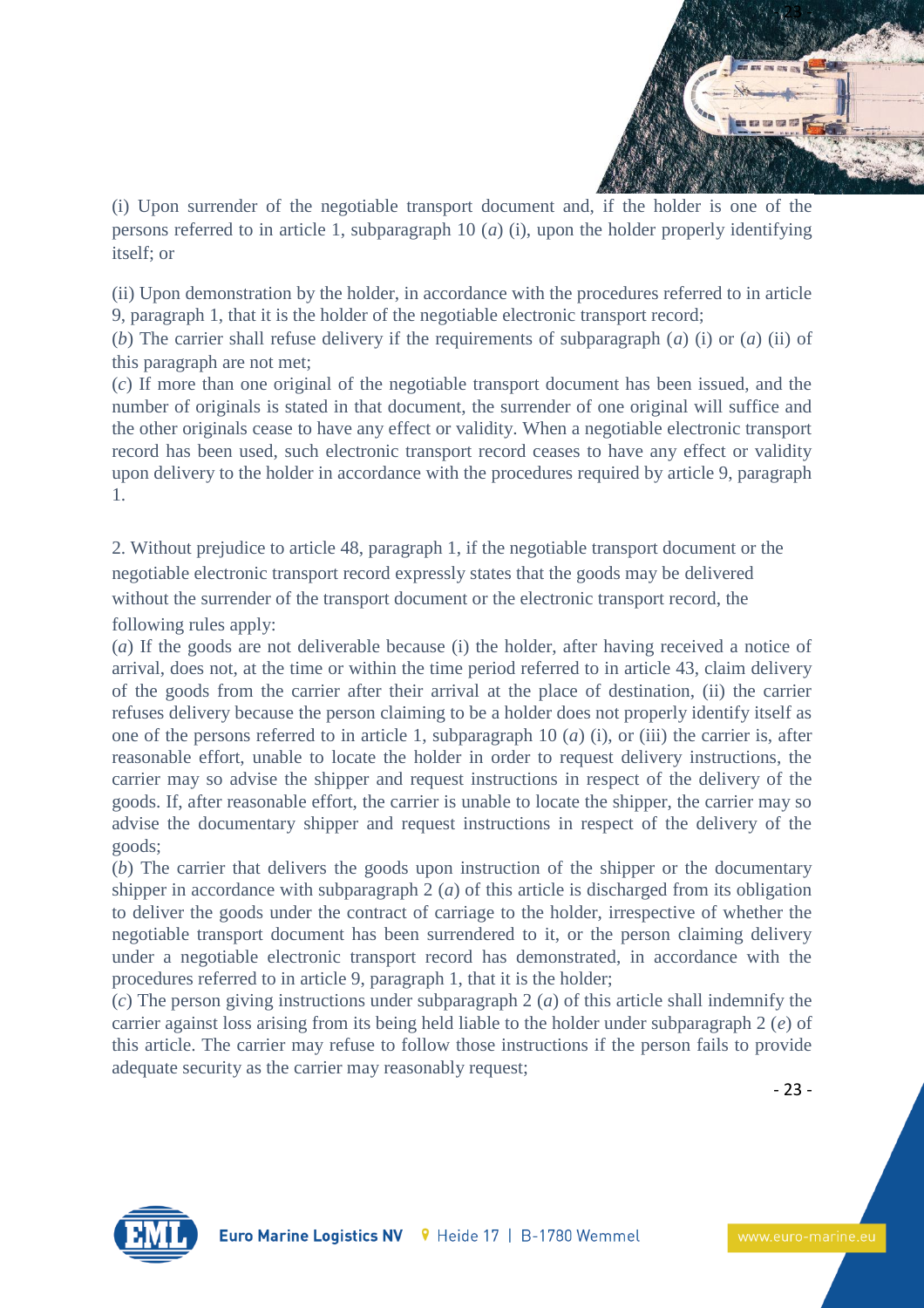

(i) Upon surrender of the negotiable transport document and, if the holder is one of the persons referred to in article 1, subparagraph 10 (*a*) (i), upon the holder properly identifying itself; or

(ii) Upon demonstration by the holder, in accordance with the procedures referred to in article 9, paragraph 1, that it is the holder of the negotiable electronic transport record;

(*b*) The carrier shall refuse delivery if the requirements of subparagraph (*a*) (i) or (*a*) (ii) of this paragraph are not met;

(*c*) If more than one original of the negotiable transport document has been issued, and the number of originals is stated in that document, the surrender of one original will suffice and the other originals cease to have any effect or validity. When a negotiable electronic transport record has been used, such electronic transport record ceases to have any effect or validity upon delivery to the holder in accordance with the procedures required by article 9, paragraph 1.

2. Without prejudice to article 48, paragraph 1, if the negotiable transport document or the negotiable electronic transport record expressly states that the goods may be delivered without the surrender of the transport document or the electronic transport record, the following rules apply:

(*a*) If the goods are not deliverable because (i) the holder, after having received a notice of arrival, does not, at the time or within the time period referred to in article 43, claim delivery of the goods from the carrier after their arrival at the place of destination, (ii) the carrier refuses delivery because the person claiming to be a holder does not properly identify itself as one of the persons referred to in article 1, subparagraph 10 (*a*) (i), or (iii) the carrier is, after reasonable effort, unable to locate the holder in order to request delivery instructions, the carrier may so advise the shipper and request instructions in respect of the delivery of the goods. If, after reasonable effort, the carrier is unable to locate the shipper, the carrier may so advise the documentary shipper and request instructions in respect of the delivery of the goods;

(*b*) The carrier that delivers the goods upon instruction of the shipper or the documentary shipper in accordance with subparagraph 2 (*a*) of this article is discharged from its obligation to deliver the goods under the contract of carriage to the holder, irrespective of whether the negotiable transport document has been surrendered to it, or the person claiming delivery under a negotiable electronic transport record has demonstrated, in accordance with the procedures referred to in article 9, paragraph 1, that it is the holder;

(*c*) The person giving instructions under subparagraph 2 (*a*) of this article shall indemnify the carrier against loss arising from its being held liable to the holder under subparagraph 2 (*e*) of this article. The carrier may refuse to follow those instructions if the person fails to provide adequate security as the carrier may reasonably request;

- 23 -

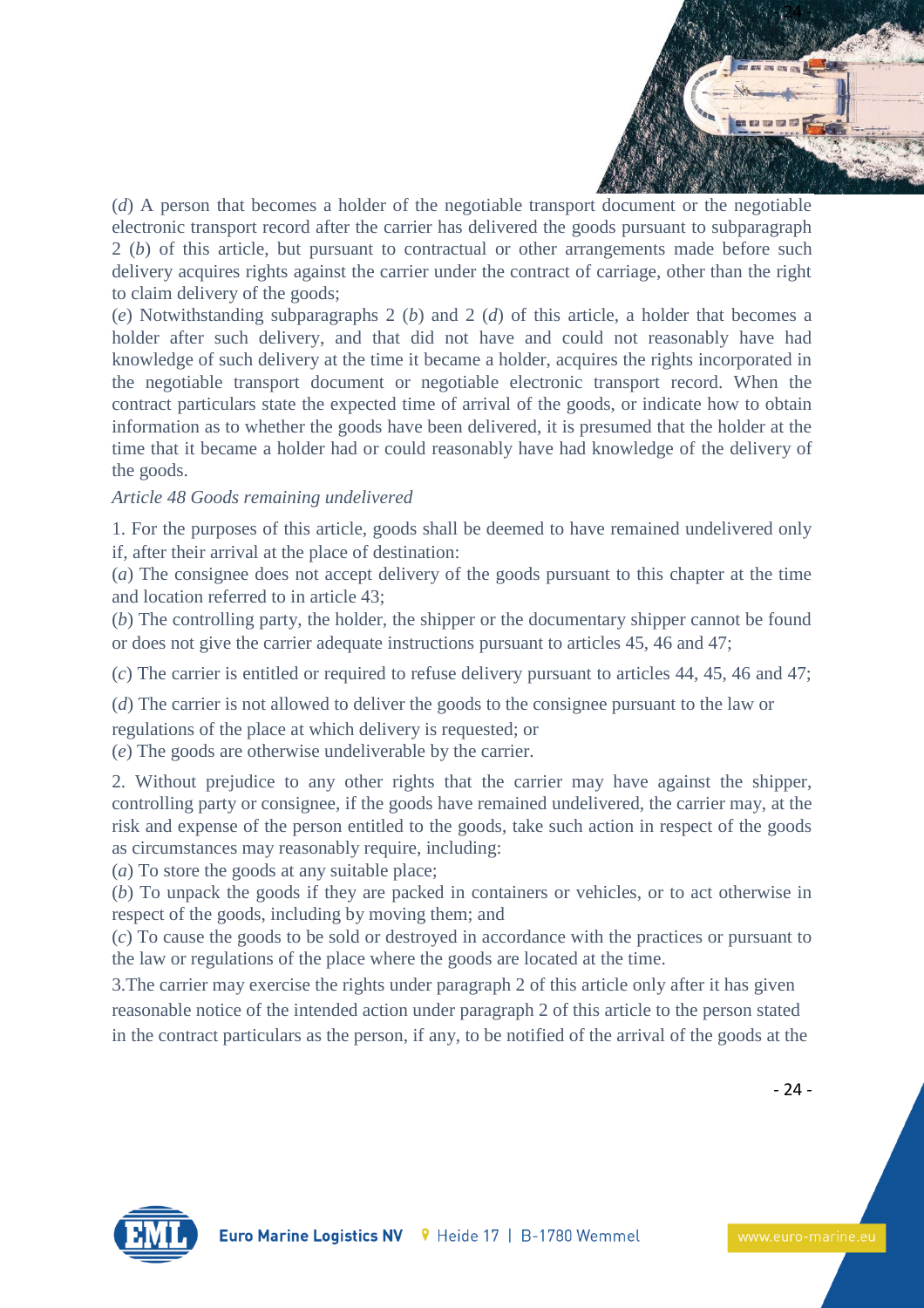

(*d*) A person that becomes a holder of the negotiable transport document or the negotiable electronic transport record after the carrier has delivered the goods pursuant to subparagraph 2 (*b*) of this article, but pursuant to contractual or other arrangements made before such delivery acquires rights against the carrier under the contract of carriage, other than the right to claim delivery of the goods;

(*e*) Notwithstanding subparagraphs 2 (*b*) and 2 (*d*) of this article, a holder that becomes a holder after such delivery, and that did not have and could not reasonably have had knowledge of such delivery at the time it became a holder, acquires the rights incorporated in the negotiable transport document or negotiable electronic transport record. When the contract particulars state the expected time of arrival of the goods, or indicate how to obtain information as to whether the goods have been delivered, it is presumed that the holder at the time that it became a holder had or could reasonably have had knowledge of the delivery of the goods.

## *Article 48 Goods remaining undelivered*

1. For the purposes of this article, goods shall be deemed to have remained undelivered only if, after their arrival at the place of destination:

(*a*) The consignee does not accept delivery of the goods pursuant to this chapter at the time and location referred to in article 43;

(*b*) The controlling party, the holder, the shipper or the documentary shipper cannot be found or does not give the carrier adequate instructions pursuant to articles 45, 46 and 47;

(*c*) The carrier is entitled or required to refuse delivery pursuant to articles 44, 45, 46 and 47;

(*d*) The carrier is not allowed to deliver the goods to the consignee pursuant to the law or regulations of the place at which delivery is requested; or

(*e*) The goods are otherwise undeliverable by the carrier.

2. Without prejudice to any other rights that the carrier may have against the shipper, controlling party or consignee, if the goods have remained undelivered, the carrier may, at the risk and expense of the person entitled to the goods, take such action in respect of the goods as circumstances may reasonably require, including:

(*a*) To store the goods at any suitable place;

(*b*) To unpack the goods if they are packed in containers or vehicles, or to act otherwise in respect of the goods, including by moving them; and

(*c*) To cause the goods to be sold or destroyed in accordance with the practices or pursuant to the law or regulations of the place where the goods are located at the time.

3.The carrier may exercise the rights under paragraph 2 of this article only after it has given reasonable notice of the intended action under paragraph 2 of this article to the person stated in the contract particulars as the person, if any, to be notified of the arrival of the goods at the



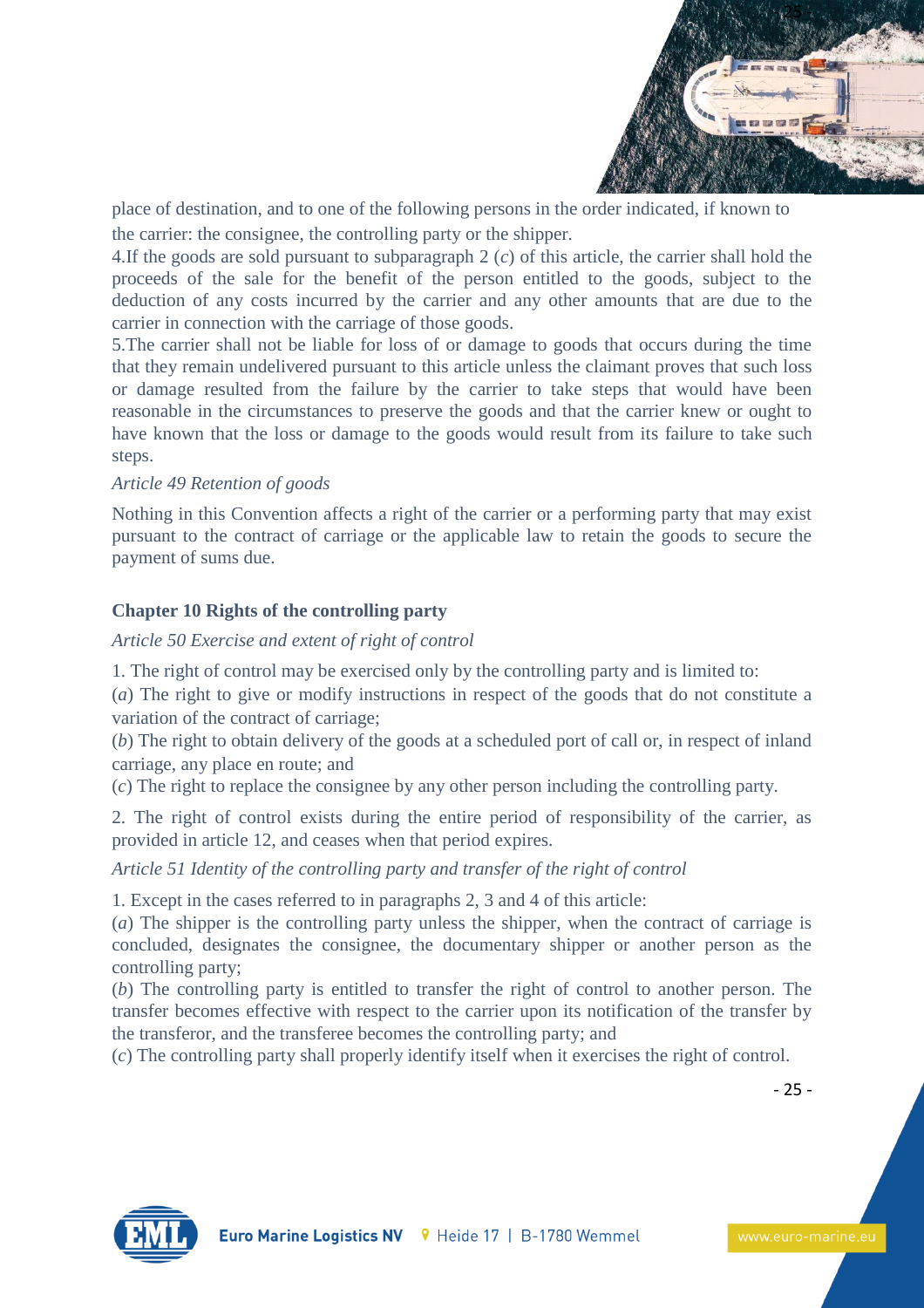

place of destination, and to one of the following persons in the order indicated, if known to the carrier: the consignee, the controlling party or the shipper.

4.If the goods are sold pursuant to subparagraph 2 (*c*) of this article, the carrier shall hold the proceeds of the sale for the benefit of the person entitled to the goods, subject to the deduction of any costs incurred by the carrier and any other amounts that are due to the carrier in connection with the carriage of those goods.

5.The carrier shall not be liable for loss of or damage to goods that occurs during the time that they remain undelivered pursuant to this article unless the claimant proves that such loss or damage resulted from the failure by the carrier to take steps that would have been reasonable in the circumstances to preserve the goods and that the carrier knew or ought to have known that the loss or damage to the goods would result from its failure to take such steps.

## *Article 49 Retention of goods*

Nothing in this Convention affects a right of the carrier or a performing party that may exist pursuant to the contract of carriage or the applicable law to retain the goods to secure the payment of sums due.

## **Chapter 10 Rights of the controlling party**

*Article 50 Exercise and extent of right of control*

1. The right of control may be exercised only by the controlling party and is limited to:

(*a*) The right to give or modify instructions in respect of the goods that do not constitute a variation of the contract of carriage;

(*b*) The right to obtain delivery of the goods at a scheduled port of call or, in respect of inland carriage, any place en route; and

(*c*) The right to replace the consignee by any other person including the controlling party.

2. The right of control exists during the entire period of responsibility of the carrier, as provided in article 12, and ceases when that period expires.

*Article 51 Identity of the controlling party and transfer of the right of control*

1. Except in the cases referred to in paragraphs 2, 3 and 4 of this article:

(*a*) The shipper is the controlling party unless the shipper, when the contract of carriage is concluded, designates the consignee, the documentary shipper or another person as the controlling party;

(*b*) The controlling party is entitled to transfer the right of control to another person. The transfer becomes effective with respect to the carrier upon its notification of the transfer by the transferor, and the transferee becomes the controlling party; and

(*c*) The controlling party shall properly identify itself when it exercises the right of control.

- 25 -

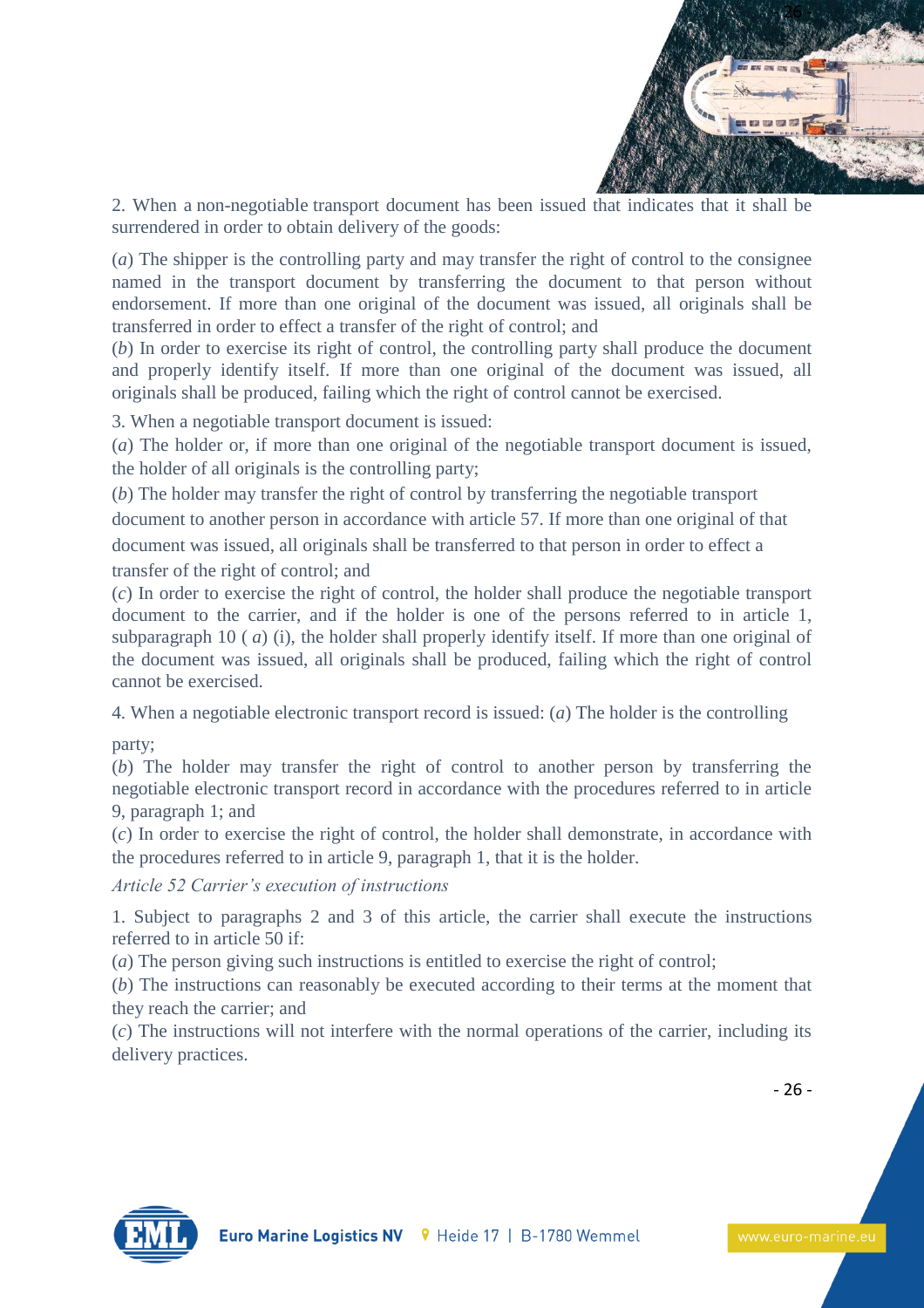

2. When a non-negotiable transport document has been issued that indicates that it shall be surrendered in order to obtain delivery of the goods:

(*a*) The shipper is the controlling party and may transfer the right of control to the consignee named in the transport document by transferring the document to that person without endorsement. If more than one original of the document was issued, all originals shall be transferred in order to effect a transfer of the right of control; and

(*b*) In order to exercise its right of control, the controlling party shall produce the document and properly identify itself. If more than one original of the document was issued, all originals shall be produced, failing which the right of control cannot be exercised.

3. When a negotiable transport document is issued:

(*a*) The holder or, if more than one original of the negotiable transport document is issued, the holder of all originals is the controlling party;

(*b*) The holder may transfer the right of control by transferring the negotiable transport document to another person in accordance with article 57. If more than one original of that document was issued, all originals shall be transferred to that person in order to effect a transfer of the right of control; and

(*c*) In order to exercise the right of control, the holder shall produce the negotiable transport document to the carrier, and if the holder is one of the persons referred to in article 1, subparagraph 10 ( *a*) (i), the holder shall properly identify itself. If more than one original of the document was issued, all originals shall be produced, failing which the right of control cannot be exercised.

4. When a negotiable electronic transport record is issued: (*a*) The holder is the controlling

party;

(*b*) The holder may transfer the right of control to another person by transferring the negotiable electronic transport record in accordance with the procedures referred to in article 9, paragraph 1; and

(*c*) In order to exercise the right of control, the holder shall demonstrate, in accordance with the procedures referred to in article 9, paragraph 1, that it is the holder.

## *Article 52 Carrier's execution of instructions*

1. Subject to paragraphs 2 and 3 of this article, the carrier shall execute the instructions referred to in article 50 if:

(*a*) The person giving such instructions is entitled to exercise the right of control;

(*b*) The instructions can reasonably be executed according to their terms at the moment that they reach the carrier; and

(*c*) The instructions will not interfere with the normal operations of the carrier, including its delivery practices.

- 26 -

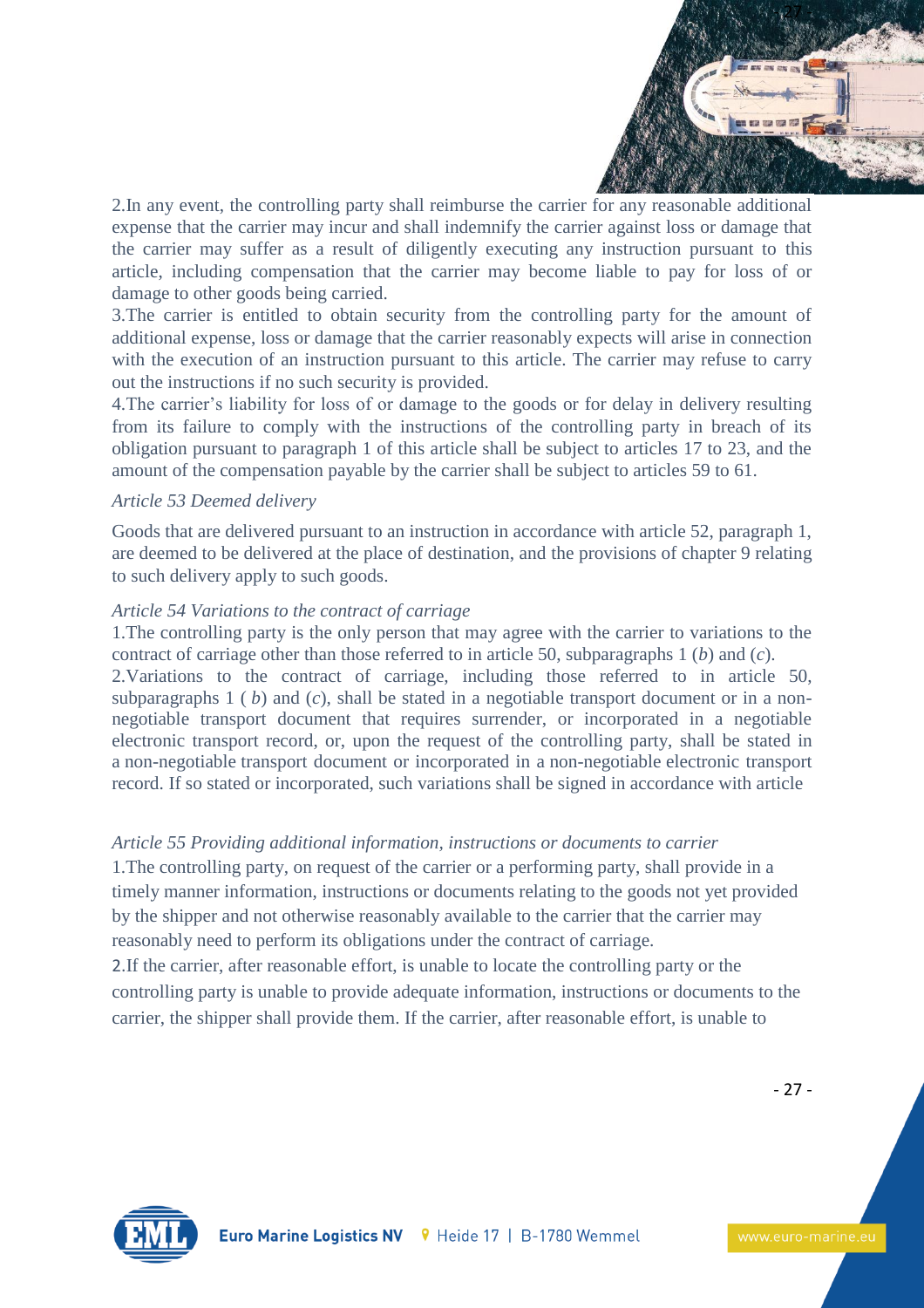

2.In any event, the controlling party shall reimburse the carrier for any reasonable additional expense that the carrier may incur and shall indemnify the carrier against loss or damage that the carrier may suffer as a result of diligently executing any instruction pursuant to this article, including compensation that the carrier may become liable to pay for loss of or damage to other goods being carried.

3.The carrier is entitled to obtain security from the controlling party for the amount of additional expense, loss or damage that the carrier reasonably expects will arise in connection with the execution of an instruction pursuant to this article. The carrier may refuse to carry out the instructions if no such security is provided.

4.The carrier's liability for loss of or damage to the goods or for delay in delivery resulting from its failure to comply with the instructions of the controlling party in breach of its obligation pursuant to paragraph 1 of this article shall be subject to articles 17 to 23, and the amount of the compensation payable by the carrier shall be subject to articles 59 to 61.

#### *Article 53 Deemed delivery*

Goods that are delivered pursuant to an instruction in accordance with article 52, paragraph 1, are deemed to be delivered at the place of destination, and the provisions of chapter 9 relating to such delivery apply to such goods.

#### *Article 54 Variations to the contract of carriage*

1.The controlling party is the only person that may agree with the carrier to variations to the contract of carriage other than those referred to in article 50, subparagraphs 1 (*b*) and (*c*). 2.Variations to the contract of carriage, including those referred to in article 50, subparagraphs 1 ( *b*) and (*c*), shall be stated in a negotiable transport document or in a nonnegotiable transport document that requires surrender, or incorporated in a negotiable electronic transport record, or, upon the request of the controlling party, shall be stated in a non-negotiable transport document or incorporated in a non-negotiable electronic transport record. If so stated or incorporated, such variations shall be signed in accordance with article

## *Article 55 Providing additional information, instructions or documents to carrier*

1.The controlling party, on request of the carrier or a performing party, shall provide in a timely manner information, instructions or documents relating to the goods not yet provided by the shipper and not otherwise reasonably available to the carrier that the carrier may reasonably need to perform its obligations under the contract of carriage.

2.If the carrier, after reasonable effort, is unable to locate the controlling party or the controlling party is unable to provide adequate information, instructions or documents to the carrier, the shipper shall provide them. If the carrier, after reasonable effort, is unable to

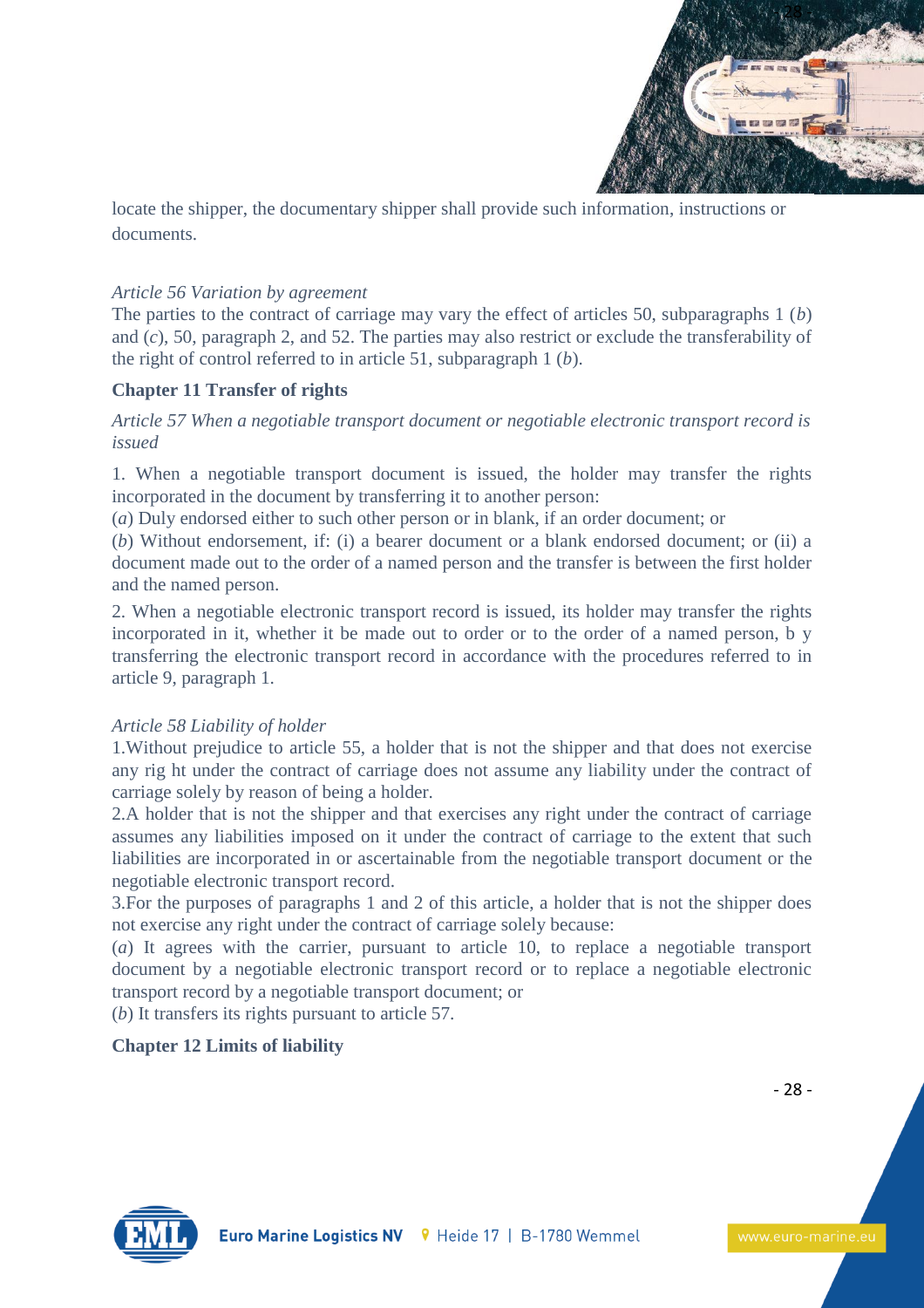

locate the shipper, the documentary shipper shall provide such information, instructions or documents.

## *Article 56 Variation by agreement*

The parties to the contract of carriage may vary the effect of articles 50, subparagraphs 1 (*b*) and (*c*), 50, paragraph 2, and 52. The parties may also restrict or exclude the transferability of the right of control referred to in article 51, subparagraph 1 (*b*).

## **Chapter 11 Transfer of rights**

*Article 57 When a negotiable transport document or negotiable electronic transport record is issued*

1. When a negotiable transport document is issued, the holder may transfer the rights incorporated in the document by transferring it to another person:

(*a*) Duly endorsed either to such other person or in blank, if an order document; or

(*b*) Without endorsement, if: (i) a bearer document or a blank endorsed document; or (ii) a document made out to the order of a named person and the transfer is between the first holder and the named person.

2. When a negotiable electronic transport record is issued, its holder may transfer the rights incorporated in it, whether it be made out to order or to the order of a named person, b y transferring the electronic transport record in accordance with the procedures referred to in article 9, paragraph 1.

## *Article 58 Liability of holder*

1.Without prejudice to article 55, a holder that is not the shipper and that does not exercise any rig ht under the contract of carriage does not assume any liability under the contract of carriage solely by reason of being a holder.

2.A holder that is not the shipper and that exercises any right under the contract of carriage assumes any liabilities imposed on it under the contract of carriage to the extent that such liabilities are incorporated in or ascertainable from the negotiable transport document or the negotiable electronic transport record.

3.For the purposes of paragraphs 1 and 2 of this article, a holder that is not the shipper does not exercise any right under the contract of carriage solely because:

(*a*) It agrees with the carrier, pursuant to article 10, to replace a negotiable transport document by a negotiable electronic transport record or to replace a negotiable electronic transport record by a negotiable transport document; or

(*b*) It transfers its rights pursuant to article 57.

## **Chapter 12 Limits of liability**

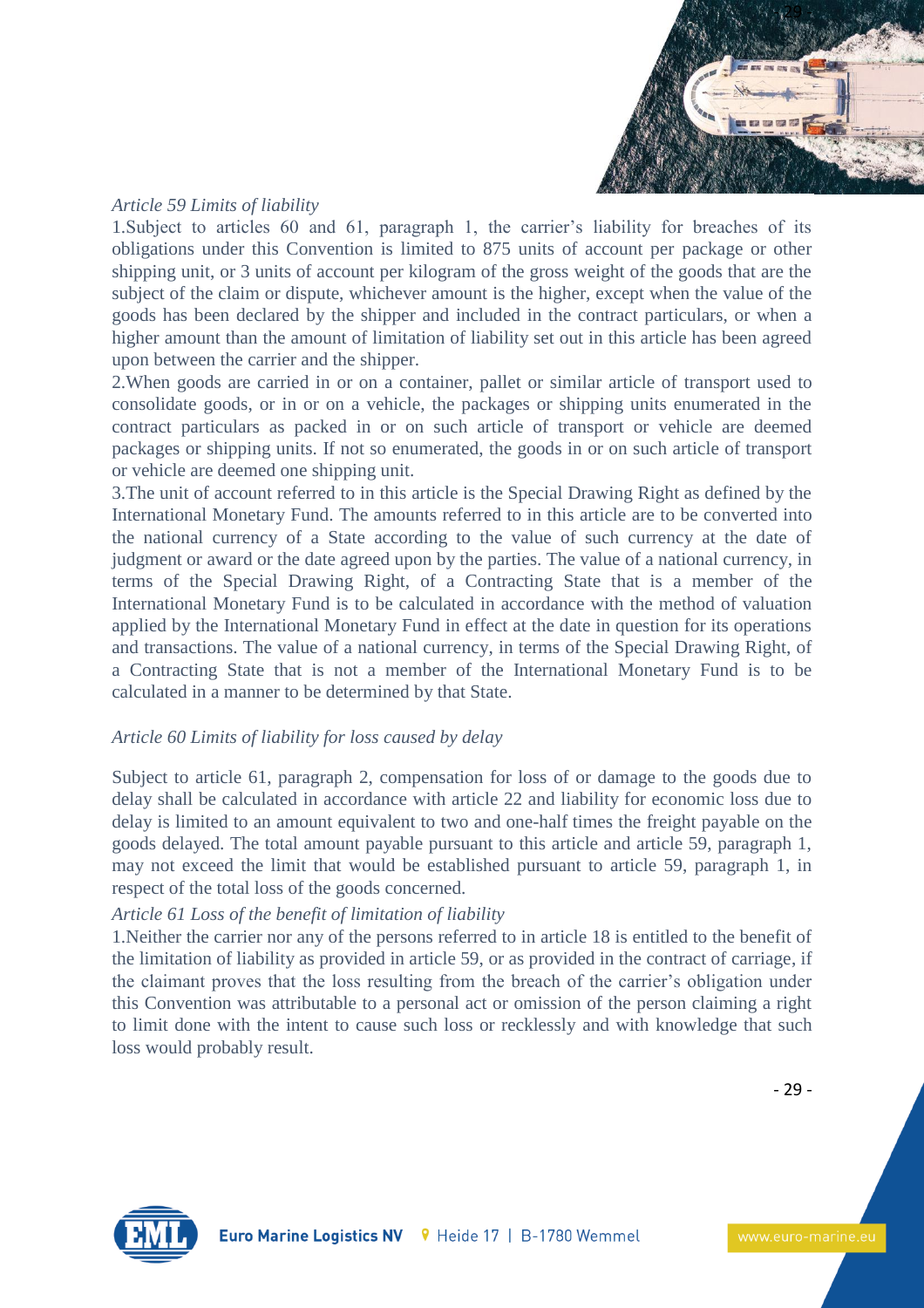

## *Article 59 Limits of liability*

1.Subject to articles 60 and 61, paragraph 1, the carrier's liability for breaches of its obligations under this Convention is limited to 875 units of account per package or other shipping unit, or 3 units of account per kilogram of the gross weight of the goods that are the subject of the claim or dispute, whichever amount is the higher, except when the value of the goods has been declared by the shipper and included in the contract particulars, or when a higher amount than the amount of limitation of liability set out in this article has been agreed upon between the carrier and the shipper.

2.When goods are carried in or on a container, pallet or similar article of transport used to consolidate goods, or in or on a vehicle, the packages or shipping units enumerated in the contract particulars as packed in or on such article of transport or vehicle are deemed packages or shipping units. If not so enumerated, the goods in or on such article of transport or vehicle are deemed one shipping unit.

3.The unit of account referred to in this article is the Special Drawing Right as defined by the International Monetary Fund. The amounts referred to in this article are to be converted into the national currency of a State according to the value of such currency at the date of judgment or award or the date agreed upon by the parties. The value of a national currency, in terms of the Special Drawing Right, of a Contracting State that is a member of the International Monetary Fund is to be calculated in accordance with the method of valuation applied by the International Monetary Fund in effect at the date in question for its operations and transactions. The value of a national currency, in terms of the Special Drawing Right, of a Contracting State that is not a member of the International Monetary Fund is to be calculated in a manner to be determined by that State.

## *Article 60 Limits of liability for loss caused by delay*

Subject to article 61, paragraph 2, compensation for loss of or damage to the goods due to delay shall be calculated in accordance with article 22 and liability for economic loss due to delay is limited to an amount equivalent to two and one-half times the freight payable on the goods delayed. The total amount payable pursuant to this article and article 59, paragraph 1, may not exceed the limit that would be established pursuant to article 59, paragraph 1, in respect of the total loss of the goods concerned.

## *Article 61 Loss of the benefit of limitation of liability*

1.Neither the carrier nor any of the persons referred to in article 18 is entitled to the benefit of the limitation of liability as provided in article 59, or as provided in the contract of carriage, if the claimant proves that the loss resulting from the breach of the carrier's obligation under this Convention was attributable to a personal act or omission of the person claiming a right to limit done with the intent to cause such loss or recklessly and with knowledge that such loss would probably result.

- 29 -

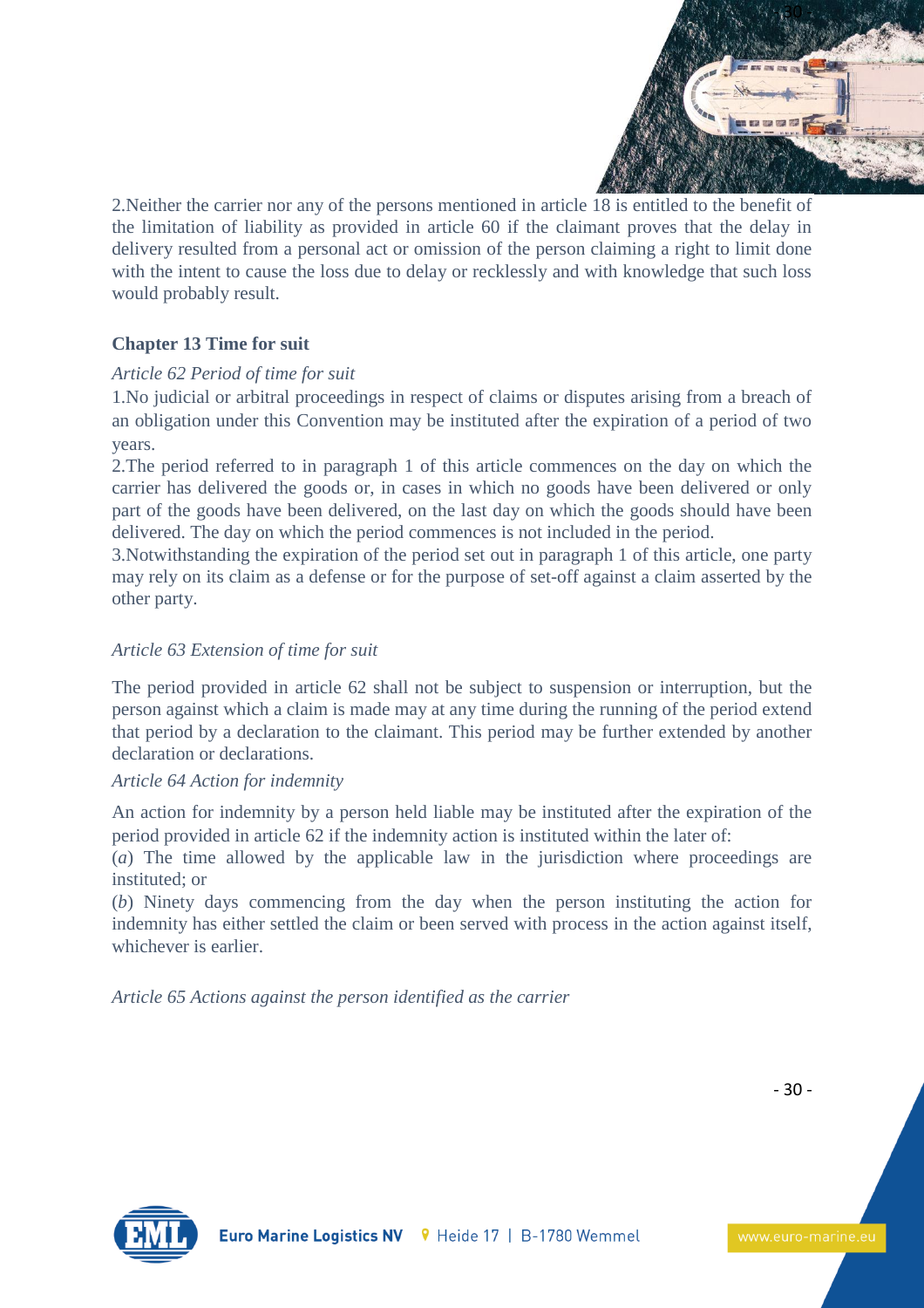

2.Neither the carrier nor any of the persons mentioned in article 18 is entitled to the benefit of the limitation of liability as provided in article 60 if the claimant proves that the delay in delivery resulted from a personal act or omission of the person claiming a right to limit done with the intent to cause the loss due to delay or recklessly and with knowledge that such loss would probably result.

# **Chapter 13 Time for suit**

## *Article 62 Period of time for suit*

1.No judicial or arbitral proceedings in respect of claims or disputes arising from a breach of an obligation under this Convention may be instituted after the expiration of a period of two years.

2.The period referred to in paragraph 1 of this article commences on the day on which the carrier has delivered the goods or, in cases in which no goods have been delivered or only part of the goods have been delivered, on the last day on which the goods should have been delivered. The day on which the period commences is not included in the period.

3.Notwithstanding the expiration of the period set out in paragraph 1 of this article, one party may rely on its claim as a defense or for the purpose of set-off against a claim asserted by the other party.

## *Article 63 Extension of time for suit*

The period provided in article 62 shall not be subject to suspension or interruption, but the person against which a claim is made may at any time during the running of the period extend that period by a declaration to the claimant. This period may be further extended by another declaration or declarations.

## *Article 64 Action for indemnity*

An action for indemnity by a person held liable may be instituted after the expiration of the period provided in article 62 if the indemnity action is instituted within the later of:

(*a*) The time allowed by the applicable law in the jurisdiction where proceedings are instituted; or

(*b*) Ninety days commencing from the day when the person instituting the action for indemnity has either settled the claim or been served with process in the action against itself, whichever is earlier.

*Article 65 Actions against the person identified as the carrier*



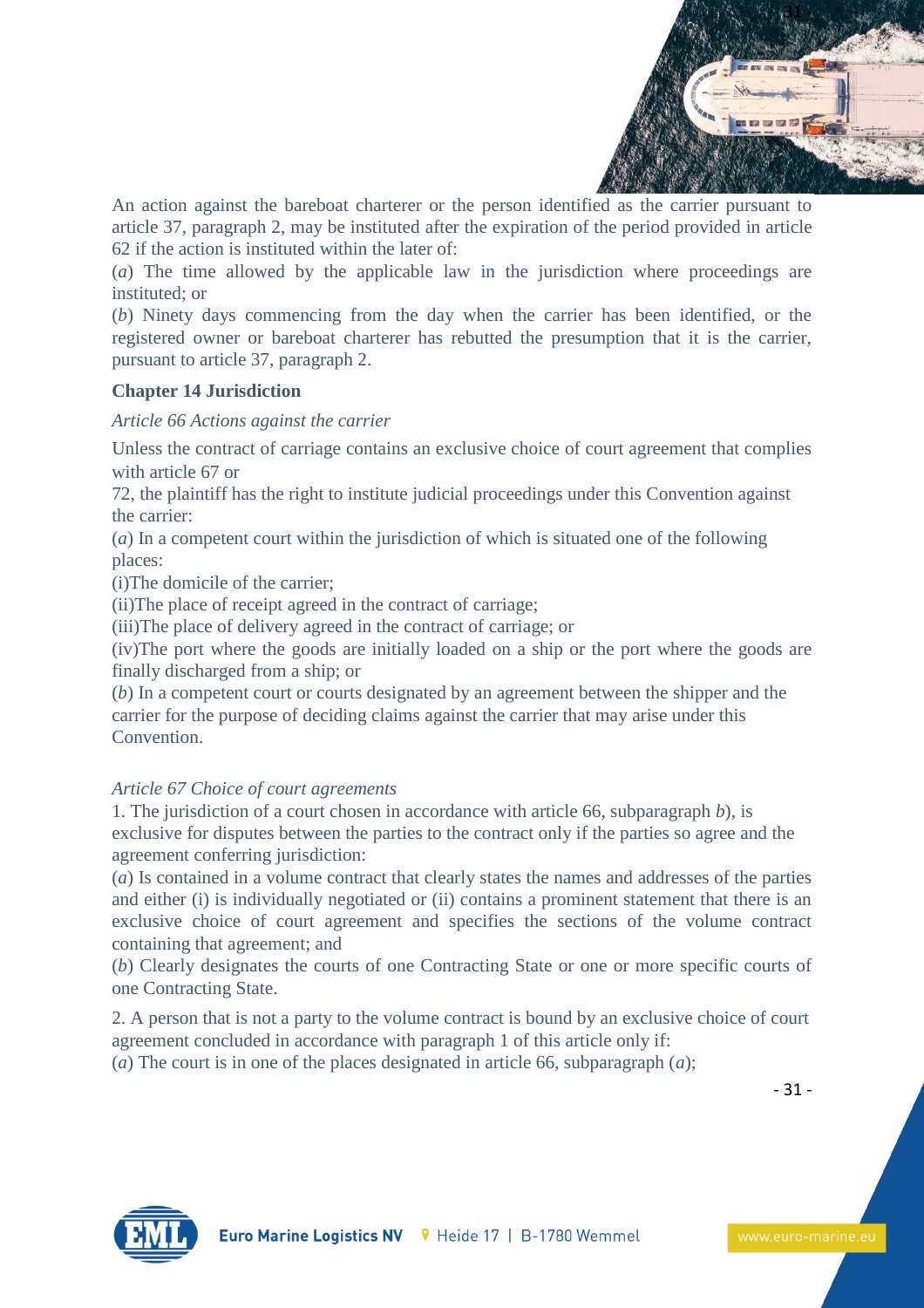

An action against the bareboat charterer or the person identified as the carrier pursuant to article 37, paragraph 2, may be instituted after the expiration of the period provided in article 62 if the action is instituted within the later of:

(*a*) The time allowed by the applicable law in the jurisdiction where proceedings are instituted; or

(*b*) Ninety days commencing from the day when the carrier has been identified, or the registered owner or bareboat charterer has rebutted the presumption that it is the carrier, pursuant to article 37, paragraph 2.

## **Chapter 14 Jurisdiction**

*Article 66 Actions against the carrier*

Unless the contract of carriage contains an exclusive choice of court agreement that complies with article 67 or

72, the plaintiff has the right to institute judicial proceedings under this Convention against the carrier:

(*a*) In a competent court within the jurisdiction of which is situated one of the following places:

(i)The domicile of the carrier;

(ii)The place of receipt agreed in the contract of carriage;

(iii)The place of delivery agreed in the contract of carriage; or

(iv)The port where the goods are initially loaded on a ship or the port where the goods are finally discharged from a ship; or

(*b*) In a competent court or courts designated by an agreement between the shipper and the carrier for the purpose of deciding claims against the carrier that may arise under this Convention.

## *Article 67 Choice of court agreements*

1. The jurisdiction of a court chosen in accordance with article 66, subparagraph *b*), is exclusive for disputes between the parties to the contract only if the parties so agree and the agreement conferring jurisdiction:

(*a*) Is contained in a volume contract that clearly states the names and addresses of the parties and either (i) is individually negotiated or (ii) contains a prominent statement that there is an exclusive choice of court agreement and specifies the sections of the volume contract containing that agreement; and

(*b*) Clearly designates the courts of one Contracting State or one or more specific courts of one Contracting State.

2. A person that is not a party to the volume contract is bound by an exclusive choice of court agreement concluded in accordance with paragraph 1 of this article only if:

(*a*) The court is in one of the places designated in article 66, subparagraph (*a*);

- 31 -

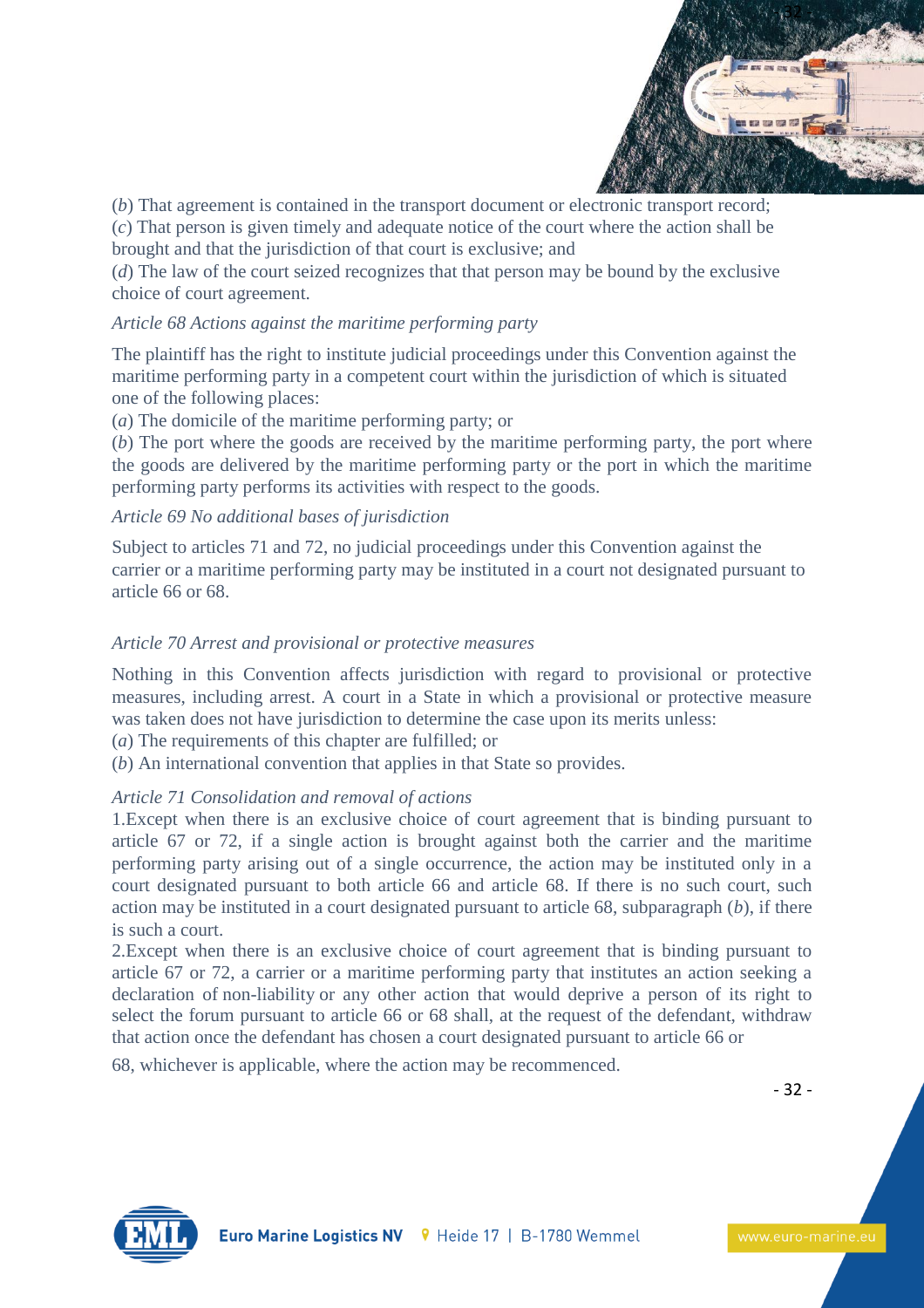

(*b*) That agreement is contained in the transport document or electronic transport record; (*c*) That person is given timely and adequate notice of the court where the action shall be brought and that the jurisdiction of that court is exclusive; and

(*d*) The law of the court seized recognizes that that person may be bound by the exclusive choice of court agreement.

## *Article 68 Actions against the maritime performing party*

The plaintiff has the right to institute judicial proceedings under this Convention against the maritime performing party in a competent court within the jurisdiction of which is situated one of the following places:

(*a*) The domicile of the maritime performing party; or

(*b*) The port where the goods are received by the maritime performing party, the port where the goods are delivered by the maritime performing party or the port in which the maritime performing party performs its activities with respect to the goods.

*Article 69 No additional bases of jurisdiction*

Subject to articles 71 and 72, no judicial proceedings under this Convention against the carrier or a maritime performing party may be instituted in a court not designated pursuant to article 66 or 68.

## *Article 70 Arrest and provisional or protective measures*

Nothing in this Convention affects jurisdiction with regard to provisional or protective measures, including arrest. A court in a State in which a provisional or protective measure was taken does not have jurisdiction to determine the case upon its merits unless:

(*a*) The requirements of this chapter are fulfilled; or

(*b*) An international convention that applies in that State so provides.

## *Article 71 Consolidation and removal of actions*

1.Except when there is an exclusive choice of court agreement that is binding pursuant to article 67 or 72, if a single action is brought against both the carrier and the maritime performing party arising out of a single occurrence, the action may be instituted only in a court designated pursuant to both article 66 and article 68. If there is no such court, such action may be instituted in a court designated pursuant to article 68, subparagraph (*b*), if there is such a court.

2.Except when there is an exclusive choice of court agreement that is binding pursuant to article 67 or 72, a carrier or a maritime performing party that institutes an action seeking a declaration of non-liability or any other action that would deprive a person of its right to select the forum pursuant to article 66 or 68 shall, at the request of the defendant, withdraw that action once the defendant has chosen a court designated pursuant to article 66 or

68, whichever is applicable, where the action may be recommenced.

- 32 -

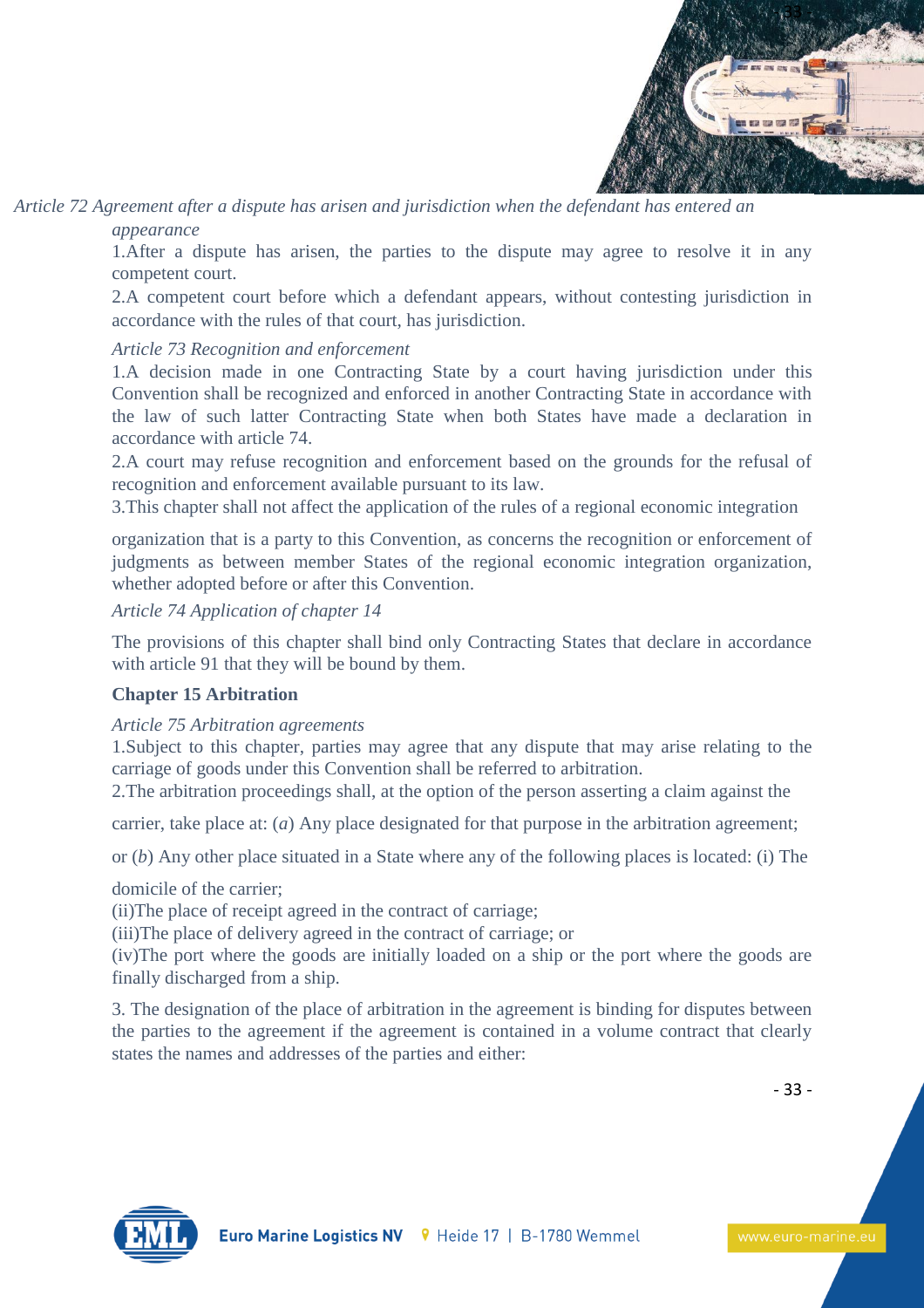

*Article 72 Agreement after a dispute has arisen and jurisdiction when the defendant has entered an* 

## *appearance*

1.After a dispute has arisen, the parties to the dispute may agree to resolve it in any competent court.

2.A competent court before which a defendant appears, without contesting jurisdiction in accordance with the rules of that court, has jurisdiction.

# *Article 73 Recognition and enforcement*

1.A decision made in one Contracting State by a court having jurisdiction under this Convention shall be recognized and enforced in another Contracting State in accordance with the law of such latter Contracting State when both States have made a declaration in accordance with article 74.

2.A court may refuse recognition and enforcement based on the grounds for the refusal of recognition and enforcement available pursuant to its law.

3.This chapter shall not affect the application of the rules of a regional economic integration

organization that is a party to this Convention, as concerns the recognition or enforcement of judgments as between member States of the regional economic integration organization, whether adopted before or after this Convention.

## *Article 74 Application of chapter 14*

The provisions of this chapter shall bind only Contracting States that declare in accordance with article 91 that they will be bound by them.

# **Chapter 15 Arbitration**

## *Article 75 Arbitration agreements*

1.Subject to this chapter, parties may agree that any dispute that may arise relating to the carriage of goods under this Convention shall be referred to arbitration.

2.The arbitration proceedings shall, at the option of the person asserting a claim against the

carrier, take place at: (*a*) Any place designated for that purpose in the arbitration agreement;

or (*b*) Any other place situated in a State where any of the following places is located: (i) The

domicile of the carrier;

(ii)The place of receipt agreed in the contract of carriage;

(iii)The place of delivery agreed in the contract of carriage; or

(iv)The port where the goods are initially loaded on a ship or the port where the goods are finally discharged from a ship.

3. The designation of the place of arbitration in the agreement is binding for disputes between the parties to the agreement if the agreement is contained in a volume contract that clearly states the names and addresses of the parties and either:

- 33 -

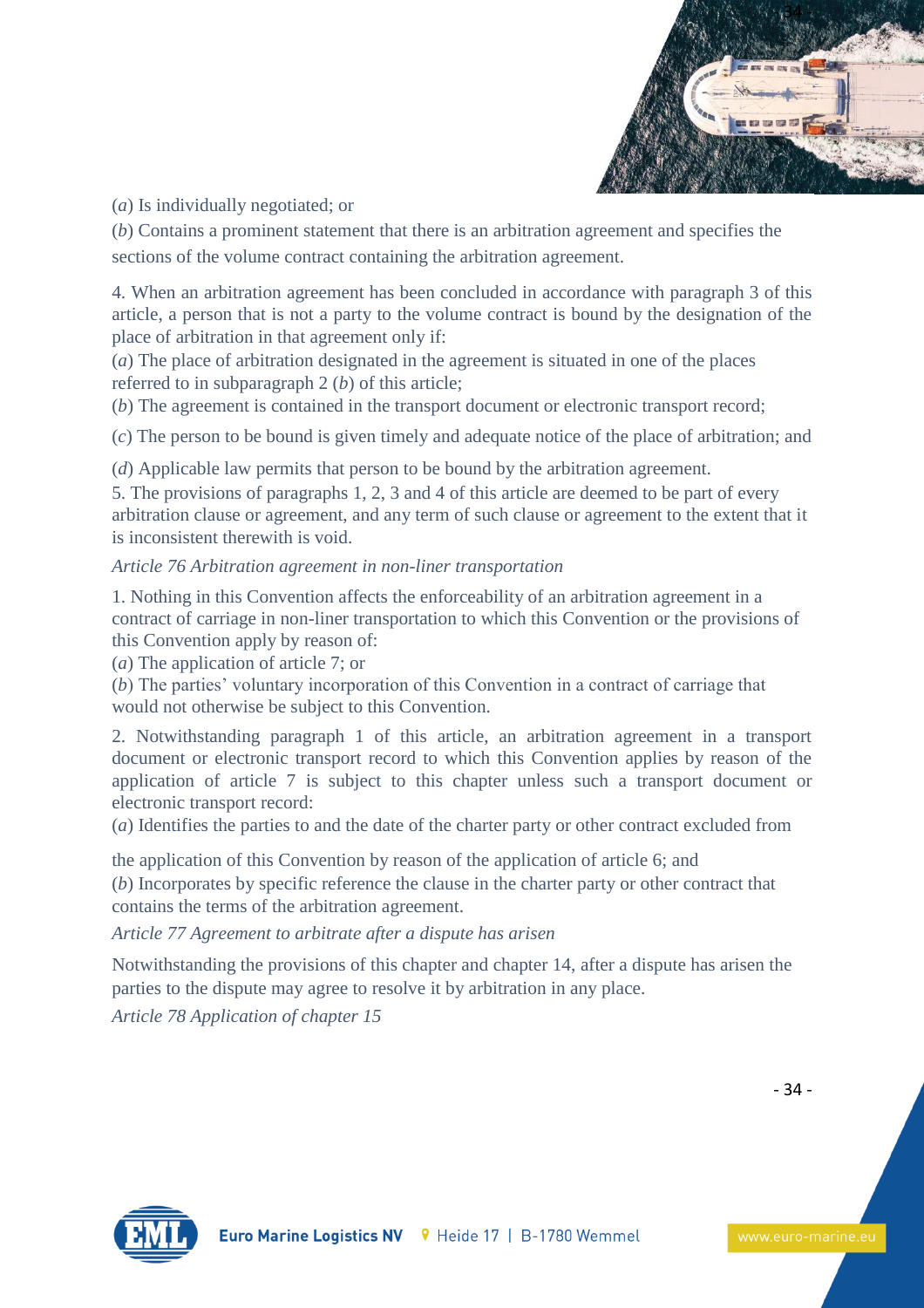

(*a*) Is individually negotiated; or

(*b*) Contains a prominent statement that there is an arbitration agreement and specifies the sections of the volume contract containing the arbitration agreement.

4. When an arbitration agreement has been concluded in accordance with paragraph 3 of this article, a person that is not a party to the volume contract is bound by the designation of the place of arbitration in that agreement only if:

(*a*) The place of arbitration designated in the agreement is situated in one of the places referred to in subparagraph 2 (*b*) of this article;

(*b*) The agreement is contained in the transport document or electronic transport record;

(*c*) The person to be bound is given timely and adequate notice of the place of arbitration; and

(*d*) Applicable law permits that person to be bound by the arbitration agreement.

5. The provisions of paragraphs 1, 2, 3 and 4 of this article are deemed to be part of every arbitration clause or agreement, and any term of such clause or agreement to the extent that it is inconsistent therewith is void.

*Article 76 Arbitration agreement in non-liner transportation*

1. Nothing in this Convention affects the enforceability of an arbitration agreement in a contract of carriage in non-liner transportation to which this Convention or the provisions of this Convention apply by reason of:

(*a*) The application of article 7; or

(*b*) The parties' voluntary incorporation of this Convention in a contract of carriage that would not otherwise be subject to this Convention.

2. Notwithstanding paragraph 1 of this article, an arbitration agreement in a transport document or electronic transport record to which this Convention applies by reason of the application of article 7 is subject to this chapter unless such a transport document or electronic transport record:

(*a*) Identifies the parties to and the date of the charter party or other contract excluded from

the application of this Convention by reason of the application of article 6; and

(*b*) Incorporates by specific reference the clause in the charter party or other contract that contains the terms of the arbitration agreement.

*Article 77 Agreement to arbitrate after a dispute has arisen*

Notwithstanding the provisions of this chapter and chapter 14, after a dispute has arisen the parties to the dispute may agree to resolve it by arbitration in any place.

*Article 78 Application of chapter 15*

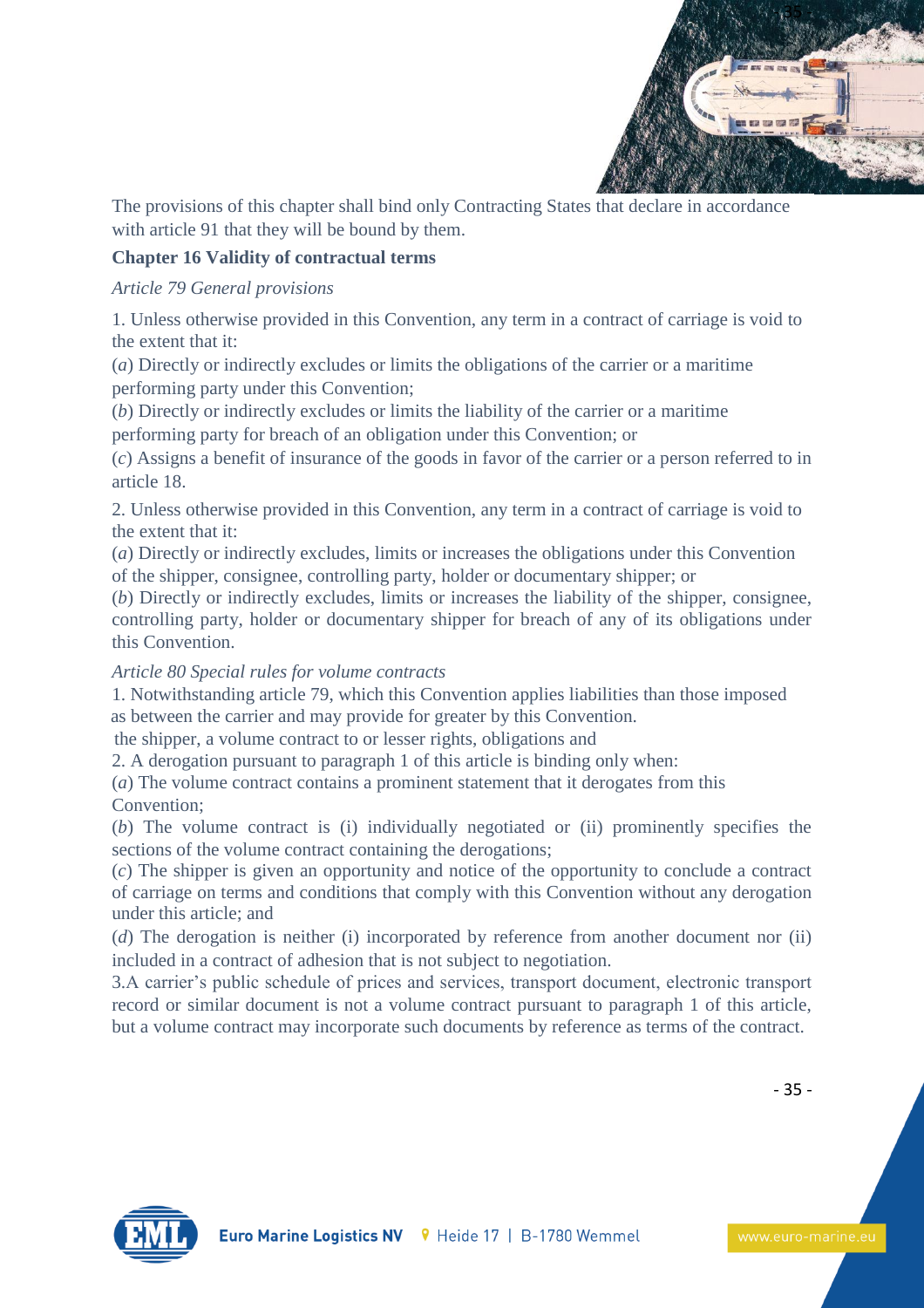

The provisions of this chapter shall bind only Contracting States that declare in accordance with article 91 that they will be bound by them.

## **Chapter 16 Validity of contractual terms**

*Article 79 General provisions*

1. Unless otherwise provided in this Convention, any term in a contract of carriage is void to the extent that it:

(*a*) Directly or indirectly excludes or limits the obligations of the carrier or a maritime performing party under this Convention;

(*b*) Directly or indirectly excludes or limits the liability of the carrier or a maritime performing party for breach of an obligation under this Convention; or

(*c*) Assigns a benefit of insurance of the goods in favor of the carrier or a person referred to in article 18.

2. Unless otherwise provided in this Convention, any term in a contract of carriage is void to the extent that it:

(*a*) Directly or indirectly excludes, limits or increases the obligations under this Convention of the shipper, consignee, controlling party, holder or documentary shipper; or

(*b*) Directly or indirectly excludes, limits or increases the liability of the shipper, consignee, controlling party, holder or documentary shipper for breach of any of its obligations under this Convention.

## *Article 80 Special rules for volume contracts*

1. Notwithstanding article 79, which this Convention applies liabilities than those imposed as between the carrier and may provide for greater by this Convention.

the shipper, a volume contract to or lesser rights, obligations and

2. A derogation pursuant to paragraph 1 of this article is binding only when:

(*a*) The volume contract contains a prominent statement that it derogates from this Convention;

(*b*) The volume contract is (i) individually negotiated or (ii) prominently specifies the sections of the volume contract containing the derogations;

(*c*) The shipper is given an opportunity and notice of the opportunity to conclude a contract of carriage on terms and conditions that comply with this Convention without any derogation under this article; and

(*d*) The derogation is neither (i) incorporated by reference from another document nor (ii) included in a contract of adhesion that is not subject to negotiation.

3.A carrier's public schedule of prices and services, transport document, electronic transport record or similar document is not a volume contract pursuant to paragraph 1 of this article, but a volume contract may incorporate such documents by reference as terms of the contract.



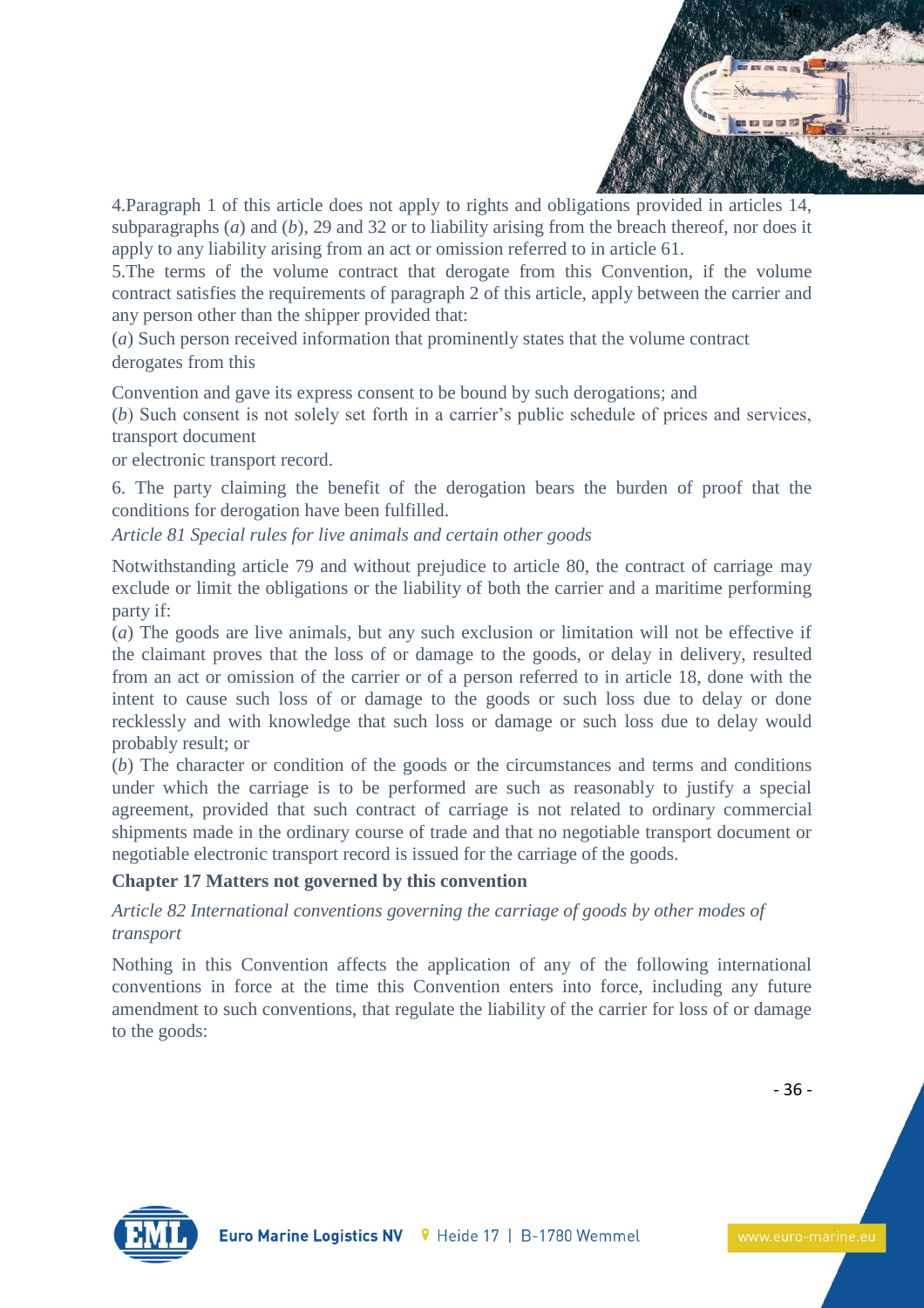

4.Paragraph 1 of this article does not apply to rights and obligations provided in articles 14, subparagraphs (*a*) and (*b*), 29 and 32 or to liability arising from the breach thereof, nor does it apply to any liability arising from an act or omission referred to in article 61.

5.The terms of the volume contract that derogate from this Convention, if the volume contract satisfies the requirements of paragraph 2 of this article, apply between the carrier and any person other than the shipper provided that:

(*a*) Such person received information that prominently states that the volume contract derogates from this

Convention and gave its express consent to be bound by such derogations; and

(*b*) Such consent is not solely set forth in a carrier's public schedule of prices and services, transport document

or electronic transport record.

6. The party claiming the benefit of the derogation bears the burden of proof that the conditions for derogation have been fulfilled.

#### *Article 81 Special rules for live animals and certain other goods*

Notwithstanding article 79 and without prejudice to article 80, the contract of carriage may exclude or limit the obligations or the liability of both the carrier and a maritime performing party if:

(*a*) The goods are live animals, but any such exclusion or limitation will not be effective if the claimant proves that the loss of or damage to the goods, or delay in delivery, resulted from an act or omission of the carrier or of a person referred to in article 18, done with the intent to cause such loss of or damage to the goods or such loss due to delay or done recklessly and with knowledge that such loss or damage or such loss due to delay would probably result; or

(*b*) The character or condition of the goods or the circumstances and terms and conditions under which the carriage is to be performed are such as reasonably to justify a special agreement, provided that such contract of carriage is not related to ordinary commercial shipments made in the ordinary course of trade and that no negotiable transport document or negotiable electronic transport record is issued for the carriage of the goods.

## **Chapter 17 Matters not governed by this convention**

*Article 82 International conventions governing the carriage of goods by other modes of transport*

Nothing in this Convention affects the application of any of the following international conventions in force at the time this Convention enters into force, including any future amendment to such conventions, that regulate the liability of the carrier for loss of or damage to the goods:

- 36 -

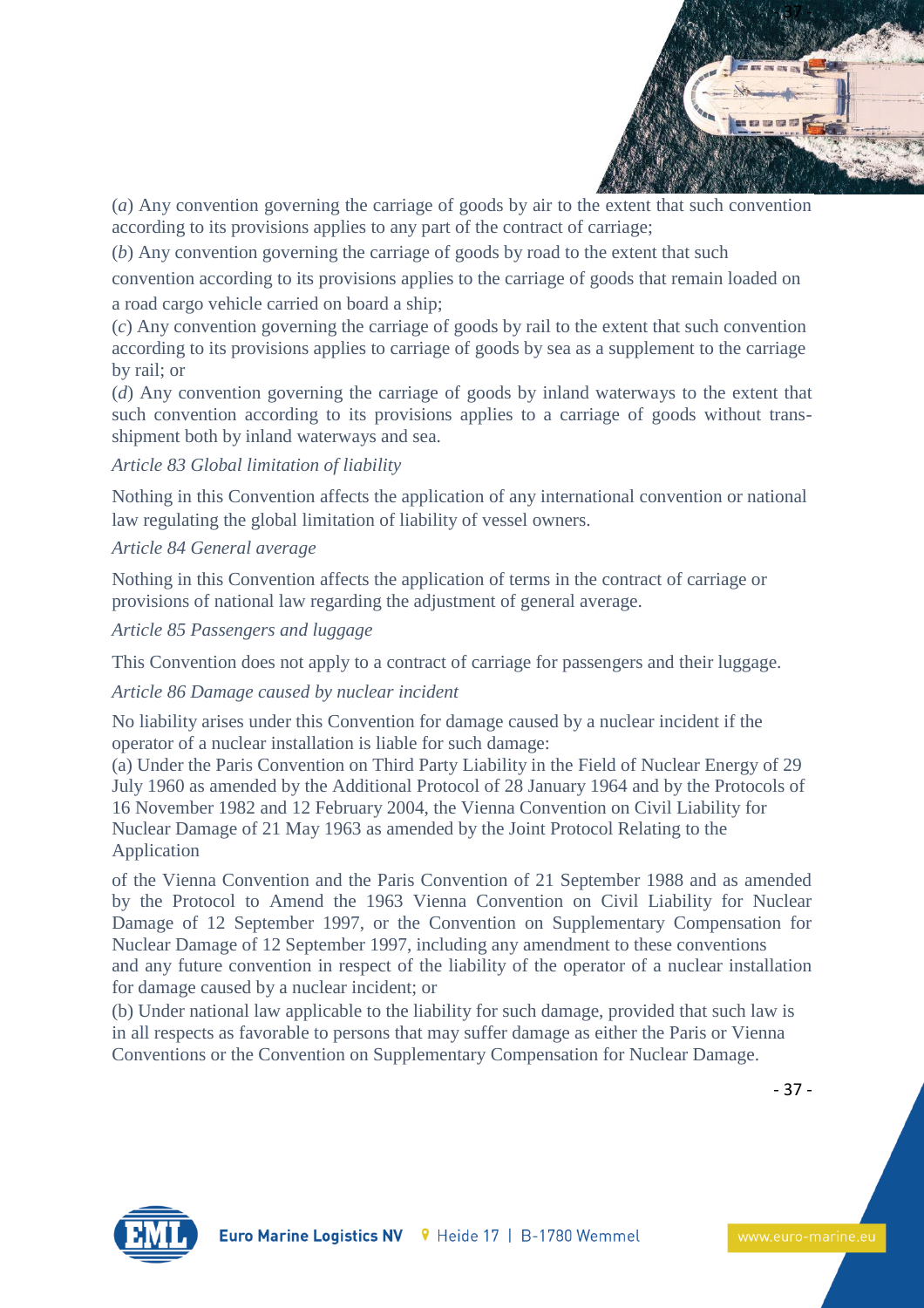

(*a*) Any convention governing the carriage of goods by air to the extent that such convention according to its provisions applies to any part of the contract of carriage;

(*b*) Any convention governing the carriage of goods by road to the extent that such

convention according to its provisions applies to the carriage of goods that remain loaded on a road cargo vehicle carried on board a ship;

(*c*) Any convention governing the carriage of goods by rail to the extent that such convention according to its provisions applies to carriage of goods by sea as a supplement to the carriage by rail; or

(*d*) Any convention governing the carriage of goods by inland waterways to the extent that such convention according to its provisions applies to a carriage of goods without transshipment both by inland waterways and sea.

## *Article 83 Global limitation of liability*

Nothing in this Convention affects the application of any international convention or national law regulating the global limitation of liability of vessel owners.

## *Article 84 General average*

Nothing in this Convention affects the application of terms in the contract of carriage or provisions of national law regarding the adjustment of general average.

## *Article 85 Passengers and luggage*

This Convention does not apply to a contract of carriage for passengers and their luggage.

## *Article 86 Damage caused by nuclear incident*

No liability arises under this Convention for damage caused by a nuclear incident if the operator of a nuclear installation is liable for such damage:

(a) Under the Paris Convention on Third Party Liability in the Field of Nuclear Energy of 29 July 1960 as amended by the Additional Protocol of 28 January 1964 and by the Protocols of 16 November 1982 and 12 February 2004, the Vienna Convention on Civil Liability for Nuclear Damage of 21 May 1963 as amended by the Joint Protocol Relating to the Application

of the Vienna Convention and the Paris Convention of 21 September 1988 and as amended by the Protocol to Amend the 1963 Vienna Convention on Civil Liability for Nuclear Damage of 12 September 1997, or the Convention on Supplementary Compensation for Nuclear Damage of 12 September 1997, including any amendment to these conventions and any future convention in respect of the liability of the operator of a nuclear installation for damage caused by a nuclear incident; or

(b) Under national law applicable to the liability for such damage, provided that such law is in all respects as favorable to persons that may suffer damage as either the Paris or Vienna Conventions or the Convention on Supplementary Compensation for Nuclear Damage.

- 37 -

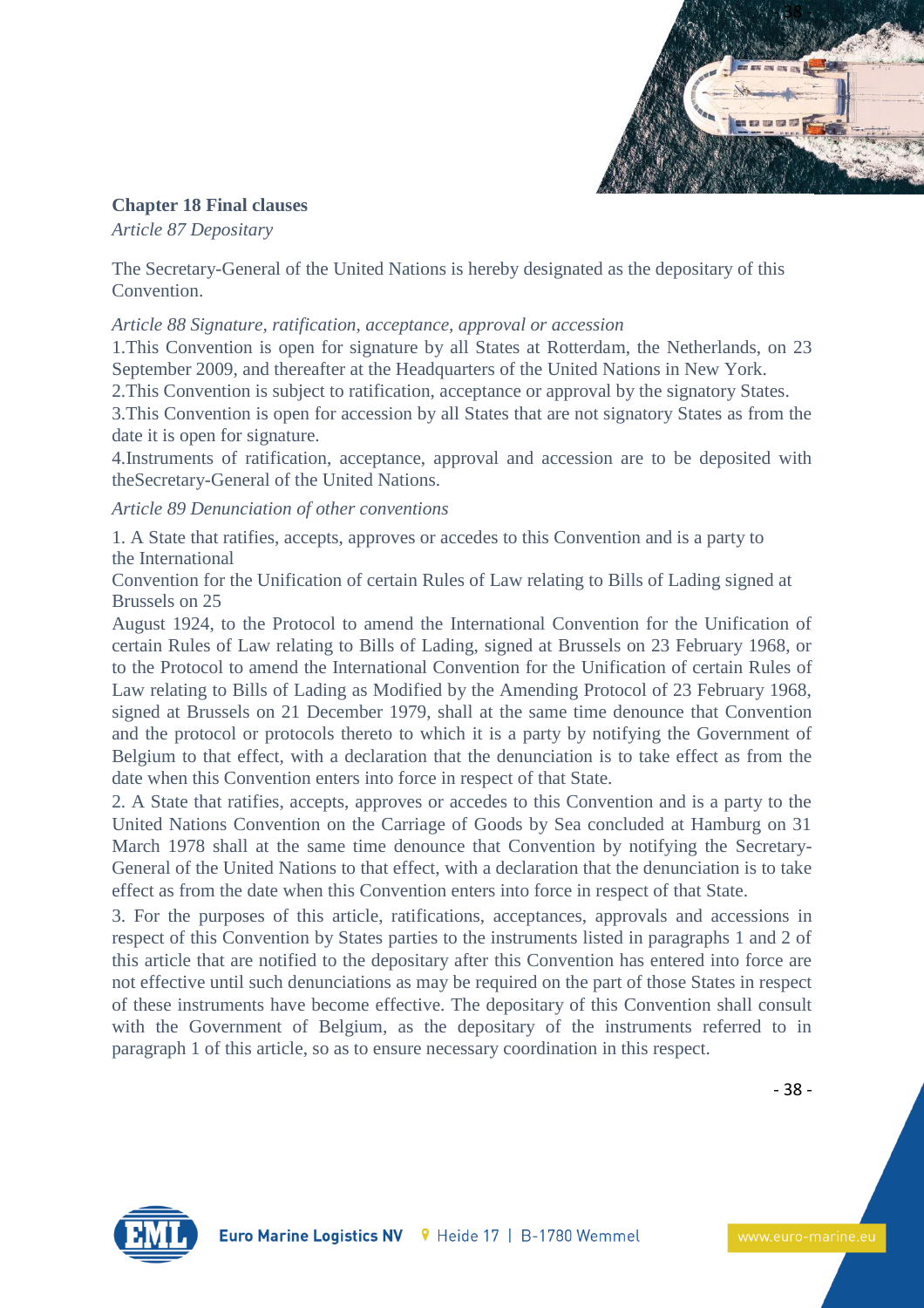

## **Chapter 18 Final clauses**

*Article 87 Depositary*

The Secretary-General of the United Nations is hereby designated as the depositary of this Convention.

#### *Article 88 Signature, ratification, acceptance, approval or accession*

1.This Convention is open for signature by all States at Rotterdam, the Netherlands, on 23 September 2009, and thereafter at the Headquarters of the United Nations in New York.

2.This Convention is subject to ratification, acceptance or approval by the signatory States.

3.This Convention is open for accession by all States that are not signatory States as from the date it is open for signature.

4.Instruments of ratification, acceptance, approval and accession are to be deposited with theSecretary-General of the United Nations.

*Article 89 Denunciation of other conventions*

1. A State that ratifies, accepts, approves or accedes to this Convention and is a party to the International

Convention for the Unification of certain Rules of Law relating to Bills of Lading signed at Brussels on 25

August 1924, to the Protocol to amend the International Convention for the Unification of certain Rules of Law relating to Bills of Lading, signed at Brussels on 23 February 1968, or to the Protocol to amend the International Convention for the Unification of certain Rules of Law relating to Bills of Lading as Modified by the Amending Protocol of 23 February 1968, signed at Brussels on 21 December 1979, shall at the same time denounce that Convention and the protocol or protocols thereto to which it is a party by notifying the Government of Belgium to that effect, with a declaration that the denunciation is to take effect as from the date when this Convention enters into force in respect of that State.

2. A State that ratifies, accepts, approves or accedes to this Convention and is a party to the United Nations Convention on the Carriage of Goods by Sea concluded at Hamburg on 31 March 1978 shall at the same time denounce that Convention by notifying the Secretary-General of the United Nations to that effect, with a declaration that the denunciation is to take effect as from the date when this Convention enters into force in respect of that State.

3. For the purposes of this article, ratifications, acceptances, approvals and accessions in respect of this Convention by States parties to the instruments listed in paragraphs 1 and 2 of this article that are notified to the depositary after this Convention has entered into force are not effective until such denunciations as may be required on the part of those States in respect of these instruments have become effective. The depositary of this Convention shall consult with the Government of Belgium, as the depositary of the instruments referred to in paragraph 1 of this article, so as to ensure necessary coordination in this respect.

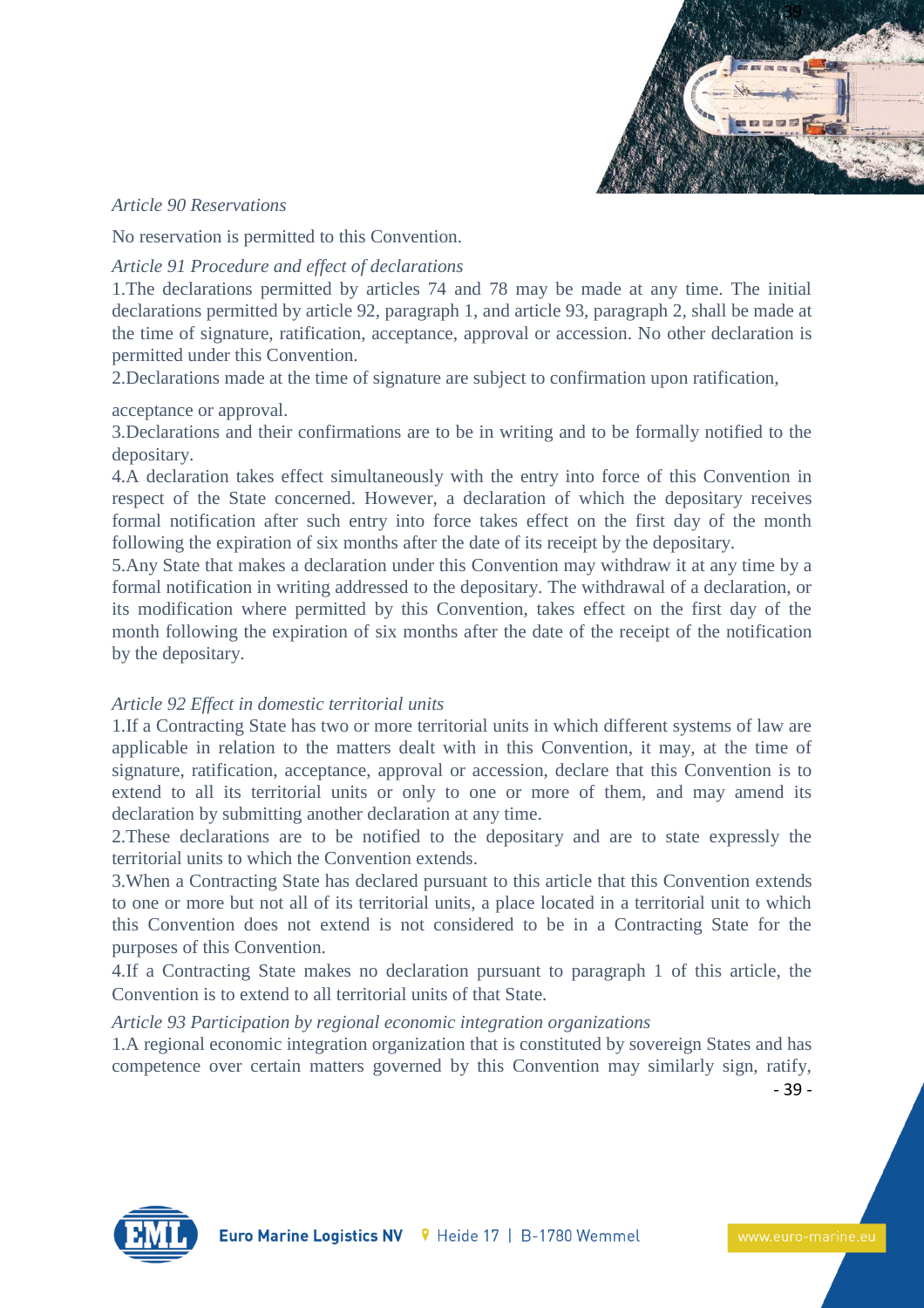

#### *Article 90 Reservations*

No reservation is permitted to this Convention.

## *Article 91 Procedure and effect of declarations*

1.The declarations permitted by articles 74 and 78 may be made at any time. The initial declarations permitted by article 92, paragraph 1, and article 93, paragraph 2, shall be made at the time of signature, ratification, acceptance, approval or accession. No other declaration is permitted under this Convention.

2.Declarations made at the time of signature are subject to confirmation upon ratification,

acceptance or approval.

3.Declarations and their confirmations are to be in writing and to be formally notified to the depositary.

4.A declaration takes effect simultaneously with the entry into force of this Convention in respect of the State concerned. However, a declaration of which the depositary receives formal notification after such entry into force takes effect on the first day of the month following the expiration of six months after the date of its receipt by the depositary.

5.Any State that makes a declaration under this Convention may withdraw it at any time by a formal notification in writing addressed to the depositary. The withdrawal of a declaration, or its modification where permitted by this Convention, takes effect on the first day of the month following the expiration of six months after the date of the receipt of the notification by the depositary.

## *Article 92 Effect in domestic territorial units*

1.If a Contracting State has two or more territorial units in which different systems of law are applicable in relation to the matters dealt with in this Convention, it may, at the time of signature, ratification, acceptance, approval or accession, declare that this Convention is to extend to all its territorial units or only to one or more of them, and may amend its declaration by submitting another declaration at any time.

2.These declarations are to be notified to the depositary and are to state expressly the territorial units to which the Convention extends.

3.When a Contracting State has declared pursuant to this article that this Convention extends to one or more but not all of its territorial units, a place located in a territorial unit to which this Convention does not extend is not considered to be in a Contracting State for the purposes of this Convention.

4.If a Contracting State makes no declaration pursuant to paragraph 1 of this article, the Convention is to extend to all territorial units of that State.

## *Article 93 Participation by regional economic integration organizations*

1.A regional economic integration organization that is constituted by sovereign States and has competence over certain matters governed by this Convention may similarly sign, ratify,

- 39 -

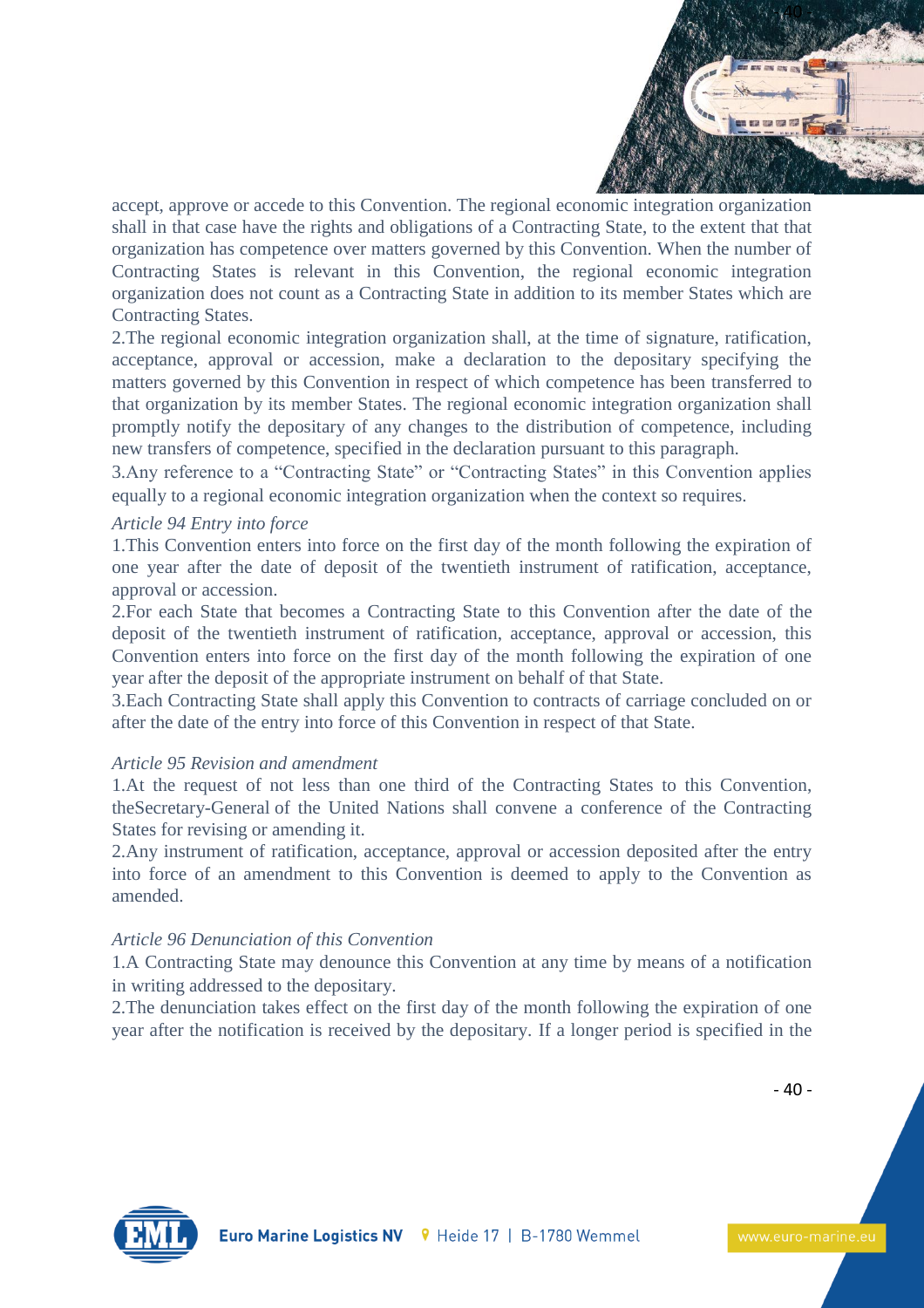

accept, approve or accede to this Convention. The regional economic integration organization shall in that case have the rights and obligations of a Contracting State, to the extent that that organization has competence over matters governed by this Convention. When the number of Contracting States is relevant in this Convention, the regional economic integration organization does not count as a Contracting State in addition to its member States which are Contracting States.

2.The regional economic integration organization shall, at the time of signature, ratification, acceptance, approval or accession, make a declaration to the depositary specifying the matters governed by this Convention in respect of which competence has been transferred to that organization by its member States. The regional economic integration organization shall promptly notify the depositary of any changes to the distribution of competence, including new transfers of competence, specified in the declaration pursuant to this paragraph.

3.Any reference to a "Contracting State" or "Contracting States" in this Convention applies equally to a regional economic integration organization when the context so requires.

## *Article 94 Entry into force*

1.This Convention enters into force on the first day of the month following the expiration of one year after the date of deposit of the twentieth instrument of ratification, acceptance, approval or accession.

2.For each State that becomes a Contracting State to this Convention after the date of the deposit of the twentieth instrument of ratification, acceptance, approval or accession, this Convention enters into force on the first day of the month following the expiration of one year after the deposit of the appropriate instrument on behalf of that State.

3.Each Contracting State shall apply this Convention to contracts of carriage concluded on or after the date of the entry into force of this Convention in respect of that State.

## *Article 95 Revision and amendment*

1.At the request of not less than one third of the Contracting States to this Convention, theSecretary-General of the United Nations shall convene a conference of the Contracting States for revising or amending it.

2.Any instrument of ratification, acceptance, approval or accession deposited after the entry into force of an amendment to this Convention is deemed to apply to the Convention as amended.

## *Article 96 Denunciation of this Convention*

1.A Contracting State may denounce this Convention at any time by means of a notification in writing addressed to the depositary.

2.The denunciation takes effect on the first day of the month following the expiration of one year after the notification is received by the depositary. If a longer period is specified in the

- 40 -